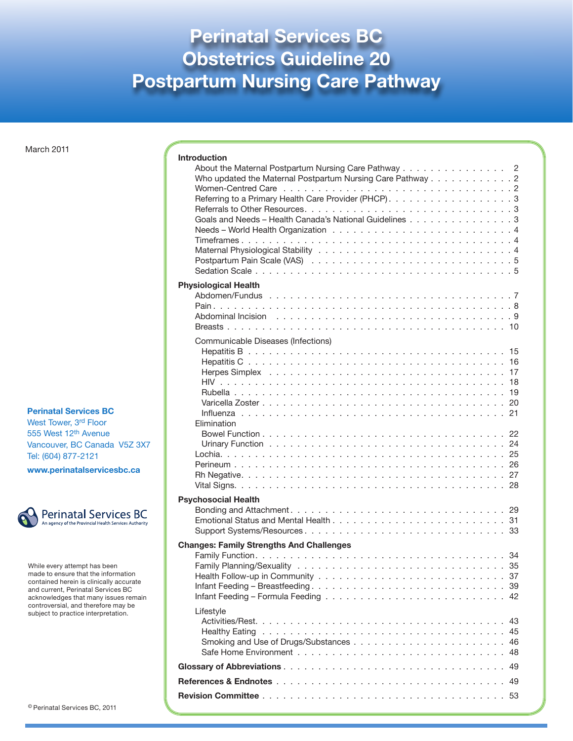## **Perinatal Services BC Obstetrics Guideline 20 Postpartum Nursing Care Pathway**

March 2011

#### **Perinatal Services BC**

West Tower, 3rd Floor 555 West 12th Avenue Vancouver, BC Canada V5Z 3X7 Tel: (604) 877-2121

**www.perinatalservicesbc.ca**



While every attempt has been made to ensure that the information contained herein is clinically accurate and current, Perinatal Services BC acknowledges that many issues remain controversial, and therefore may be subject to practice interpretation.

| <sup>©</sup> Perinatal Services BC, 2011 |  |  |  |
|------------------------------------------|--|--|--|
|------------------------------------------|--|--|--|

| <b>Introduction</b>                                                                                                                                                                                                            |  |
|--------------------------------------------------------------------------------------------------------------------------------------------------------------------------------------------------------------------------------|--|
| About the Maternal Postpartum Nursing Care Pathway<br>-2                                                                                                                                                                       |  |
| Who updated the Maternal Postpartum Nursing Care Pathway 2                                                                                                                                                                     |  |
|                                                                                                                                                                                                                                |  |
|                                                                                                                                                                                                                                |  |
| Goals and Needs - Health Canada's National Guidelines 3                                                                                                                                                                        |  |
|                                                                                                                                                                                                                                |  |
|                                                                                                                                                                                                                                |  |
|                                                                                                                                                                                                                                |  |
|                                                                                                                                                                                                                                |  |
| <b>Physiological Health</b>                                                                                                                                                                                                    |  |
|                                                                                                                                                                                                                                |  |
|                                                                                                                                                                                                                                |  |
|                                                                                                                                                                                                                                |  |
| Communicable Diseases (Infections)                                                                                                                                                                                             |  |
|                                                                                                                                                                                                                                |  |
|                                                                                                                                                                                                                                |  |
| Herpes Simplex enterprise in the contract of the contract of the contract of the Herpes Simplex of the contract of the Simplex Simplex Simplex Simplex Simplex Simplex Simplex Simplex Simplex Simplex Simplex Simplex Simplex |  |
|                                                                                                                                                                                                                                |  |
|                                                                                                                                                                                                                                |  |
|                                                                                                                                                                                                                                |  |
| Elimination                                                                                                                                                                                                                    |  |
|                                                                                                                                                                                                                                |  |
|                                                                                                                                                                                                                                |  |
|                                                                                                                                                                                                                                |  |
|                                                                                                                                                                                                                                |  |
|                                                                                                                                                                                                                                |  |
| <b>Psychosocial Health</b>                                                                                                                                                                                                     |  |
|                                                                                                                                                                                                                                |  |
|                                                                                                                                                                                                                                |  |
| <b>Changes: Family Strengths And Challenges</b>                                                                                                                                                                                |  |
|                                                                                                                                                                                                                                |  |
|                                                                                                                                                                                                                                |  |
|                                                                                                                                                                                                                                |  |
|                                                                                                                                                                                                                                |  |
| Lifestyle                                                                                                                                                                                                                      |  |
|                                                                                                                                                                                                                                |  |
|                                                                                                                                                                                                                                |  |
|                                                                                                                                                                                                                                |  |
|                                                                                                                                                                                                                                |  |
|                                                                                                                                                                                                                                |  |
|                                                                                                                                                                                                                                |  |
|                                                                                                                                                                                                                                |  |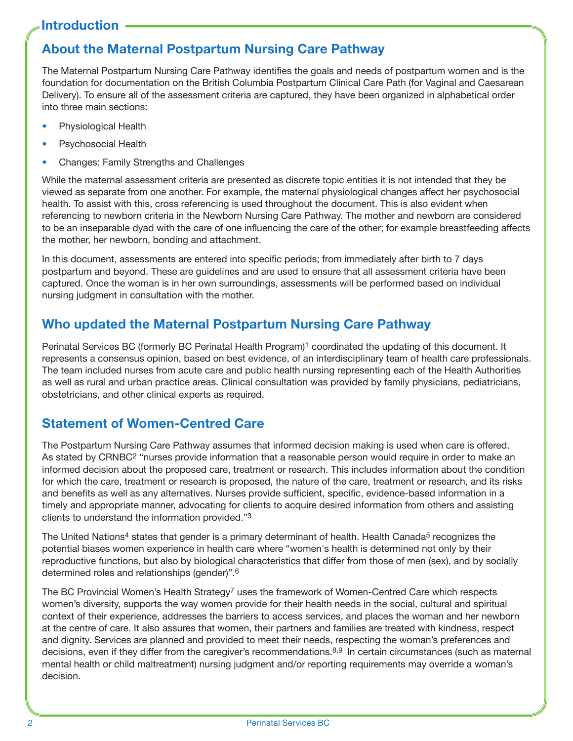### **About the Maternal Postpartum Nursing Care Pathway**

The Maternal Postpartum Nursing Care Pathway identifies the goals and needs of postpartum women and is the foundation for documentation on the British Columbia Postpartum Clinical Care Path (for Vaginal and Caesarean Delivery). To ensure all of the assessment criteria are captured, they have been organized in alphabetical order into three main sections:

- Physiological Health
- Psychosocial Health
- Changes: Family Strengths and Challenges

While the maternal assessment criteria are presented as discrete topic entities it is not intended that they be viewed as separate from one another. For example, the maternal physiological changes affect her psychosocial health. To assist with this, cross referencing is used throughout the document. This is also evident when referencing to newborn criteria in the Newborn Nursing Care Pathway. The mother and newborn are considered to be an inseparable dyad with the care of one influencing the care of the other; for example breastfeeding affects the mother, her newborn, bonding and attachment.

In this document, assessments are entered into specific periods; from immediately after birth to 7 days postpartum and beyond. These are guidelines and are used to ensure that all assessment criteria have been captured. Once the woman is in her own surroundings, assessments will be performed based on individual nursing judgment in consultation with the mother.

### **Who updated the Maternal Postpartum Nursing Care Pathway**

Perinatal Services BC (formerly BC Perinatal Health Program)<sup>1</sup> coordinated the updating of this document. It represents a consensus opinion, based on best evidence, of an interdisciplinary team of health care professionals. The team included nurses from acute care and public health nursing representing each of the Health Authorities as well as rural and urban practice areas. Clinical consultation was provided by family physicians, pediatricians, obstetricians, and other clinical experts as required.

### **Statement of Women-Centred Care**

The Postpartum Nursing Care Pathway assumes that informed decision making is used when care is offered. As stated by CRNBC<sup>2</sup> "nurses provide information that a reasonable person would require in order to make an informed decision about the proposed care, treatment or research. This includes information about the condition for which the care, treatment or research is proposed, the nature of the care, treatment or research, and its risks and benefits as well as any alternatives. Nurses provide sufficient, specific, evidence-based information in a timely and appropriate manner, advocating for clients to acquire desired information from others and assisting clients to understand the information provided."3

The United Nations<sup>4</sup> states that gender is a primary determinant of health. Health Canada<sup>5</sup> recognizes the potential biases women experience in health care where "women's health is determined not only by their reproductive functions, but also by biological characteristics that differ from those of men (sex), and by socially determined roles and relationships (gender)".6

The BC Provincial Women's Health Strategy<sup>7</sup> uses the framework of Women-Centred Care which respects women's diversity, supports the way women provide for their health needs in the social, cultural and spiritual context of their experience, addresses the barriers to access services, and places the woman and her newborn at the centre of care. It also assures that women, their partners and families are treated with kindness, respect and dignity. Services are planned and provided to meet their needs, respecting the woman's preferences and decisions, even if they differ from the caregiver's recommendations.8,9 In certain circumstances (such as maternal mental health or child maltreatment) nursing judgment and/or reporting requirements may override a woman's decision.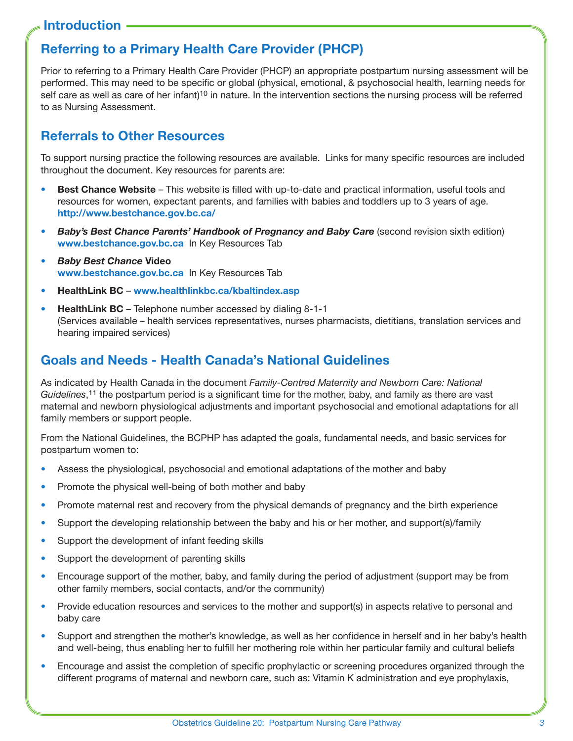### **Referring to a Primary Health Care Provider (PHCP)**

Prior to referring to a Primary Health Care Provider (PHCP) an appropriate postpartum nursing assessment will be performed. This may need to be specific or global (physical, emotional, & psychosocial health, learning needs for self care as well as care of her infant)<sup>10</sup> in nature. In the intervention sections the nursing process will be referred to as Nursing Assessment.

### **Referrals to Other Resources**

To support nursing practice the following resources are available. Links for many specific resources are included throughout the document. Key resources for parents are:

- **Best Chance Website** This website is filled with up-to-date and practical information, useful tools and resources for women, expectant parents, and families with babies and toddlers up to 3 years of age. **http://www.bestchance.gov.bc.ca/**
- *• Baby's Best Chance Parents' Handbook of Pregnancy and Baby Care* (second revision sixth edition) **www.bestchance.gov.bc.ca** In Key Resources Tab
- *• Baby Best Chance* **Video www.bestchance.gov.bc.ca** In Key Resources Tab
- • **HealthLink BC www.healthlinkbc.ca/kbaltindex.asp**
- **HealthLink BC** Telephone number accessed by dialing 8-1-1 (Services available – health services representatives, nurses pharmacists, dietitians, translation services and hearing impaired services)

#### **Goals and Needs - Health Canada's National Guidelines**

As indicated by Health Canada in the document *Family-Centred Maternity and Newborn Care: National Guidelines*,11 the postpartum period is a significant time for the mother, baby, and family as there are vast maternal and newborn physiological adjustments and important psychosocial and emotional adaptations for all family members or support people.

From the National Guidelines, the BCPHP has adapted the goals, fundamental needs, and basic services for postpartum women to:

- Assess the physiological, psychosocial and emotional adaptations of the mother and baby
- Promote the physical well-being of both mother and baby
- Promote maternal rest and recovery from the physical demands of pregnancy and the birth experience
- Support the developing relationship between the baby and his or her mother, and support(s)/family
- Support the development of infant feeding skills
- Support the development of parenting skills
- Encourage support of the mother, baby, and family during the period of adjustment (support may be from other family members, social contacts, and/or the community)
- Provide education resources and services to the mother and support(s) in aspects relative to personal and baby care
- Support and strengthen the mother's knowledge, as well as her confidence in herself and in her baby's health and well-being, thus enabling her to fulfill her mothering role within her particular family and cultural beliefs
- Encourage and assist the completion of specific prophylactic or screening procedures organized through the different programs of maternal and newborn care, such as: Vitamin K administration and eye prophylaxis,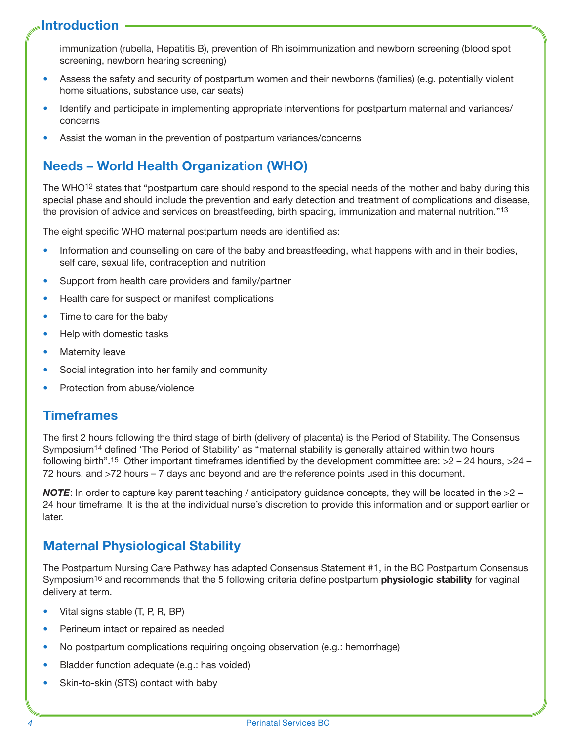immunization (rubella, Hepatitis B), prevention of Rh isoimmunization and newborn screening (blood spot screening, newborn hearing screening)

- Assess the safety and security of postpartum women and their newborns (families) (e.g. potentially violent home situations, substance use, car seats)
- Identify and participate in implementing appropriate interventions for postpartum maternal and variances/ concerns
- Assist the woman in the prevention of postpartum variances/concerns

### **Needs – World Health Organization (WHO)**

The WHO<sup>12</sup> states that "postpartum care should respond to the special needs of the mother and baby during this special phase and should include the prevention and early detection and treatment of complications and disease, the provision of advice and services on breastfeeding, birth spacing, immunization and maternal nutrition."13

The eight specific WHO maternal postpartum needs are identified as:

- Information and counselling on care of the baby and breastfeeding, what happens with and in their bodies, self care, sexual life, contraception and nutrition
- Support from health care providers and family/partner
- Health care for suspect or manifest complications
- Time to care for the baby
- Help with domestic tasks
- Maternity leave
- Social integration into her family and community
- Protection from abuse/violence

#### **Timeframes**

The first 2 hours following the third stage of birth (delivery of placenta) is the Period of Stability. The Consensus Symposium14 defined 'The Period of Stability' as "maternal stability is generally attained within two hours following birth".<sup>15</sup> Other important timeframes identified by the development committee are:  $>2 - 24$  hours,  $>24 -$ 72 hours, and >72 hours – 7 days and beyond and are the reference points used in this document.

*NOTE*: In order to capture key parent teaching / anticipatory guidance concepts, they will be located in the  $>2$  – 24 hour timeframe. It is the at the individual nurse's discretion to provide this information and or support earlier or later.

#### **Maternal Physiological Stability**

The Postpartum Nursing Care Pathway has adapted Consensus Statement #1, in the BC Postpartum Consensus Symposium16 and recommends that the 5 following criteria define postpartum **physiologic stability** for vaginal delivery at term.

- Vital signs stable (T, P, R, BP)
- Perineum intact or repaired as needed
- No postpartum complications requiring ongoing observation (e.g.: hemorrhage)
- Bladder function adequate (e.g.: has voided)
- Skin-to-skin (STS) contact with baby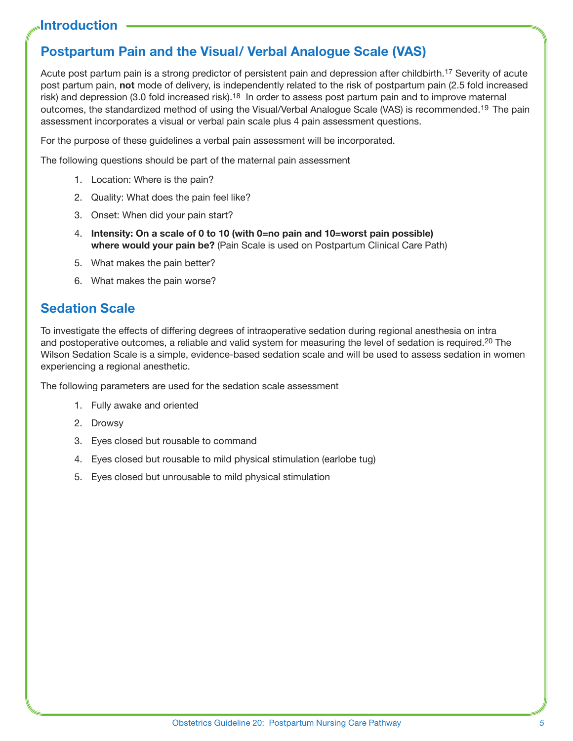### **Postpartum Pain and the Visual/ Verbal Analogue Scale (VAS)**

Acute post partum pain is a strong predictor of persistent pain and depression after childbirth.17 Severity of acute post partum pain, **not** mode of delivery, is independently related to the risk of postpartum pain (2.5 fold increased risk) and depression (3.0 fold increased risk).<sup>18</sup> In order to assess post partum pain and to improve maternal outcomes, the standardized method of using the Visual/Verbal Analogue Scale (VAS) is recommended.19 The pain assessment incorporates a visual or verbal pain scale plus 4 pain assessment questions.

For the purpose of these guidelines a verbal pain assessment will be incorporated.

The following questions should be part of the maternal pain assessment

- 1. Location: Where is the pain?
- 2. Quality: What does the pain feel like?
- 3. Onset: When did your pain start?
- 4. **Intensity: On a scale of 0 to 10 (with 0=no pain and 10=worst pain possible) where would your pain be?** (Pain Scale is used on Postpartum Clinical Care Path)
- 5. What makes the pain better?
- 6. What makes the pain worse?

### **Sedation Scale**

To investigate the effects of differing degrees of intraoperative sedation during regional anesthesia on intra and postoperative outcomes, a reliable and valid system for measuring the level of sedation is required.20 The Wilson Sedation Scale is a simple, evidence-based sedation scale and will be used to assess sedation in women experiencing a regional anesthetic.

The following parameters are used for the sedation scale assessment

- 1. Fully awake and oriented
- 2. Drowsy
- 3. Eyes closed but rousable to command
- 4. Eyes closed but rousable to mild physical stimulation (earlobe tug)
- 5. Eyes closed but unrousable to mild physical stimulation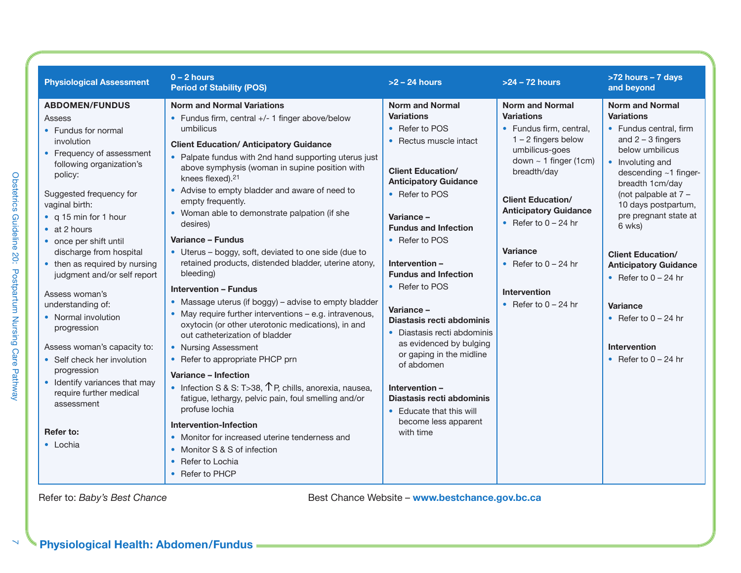| <b>Physiological Assessment</b>                                                                                                                                                                                                                                                                                                                                                                                                                                                                                                                                                                                          | $0 - 2$ hours<br><b>Period of Stability (POS)</b>                                                                                                                                                                                                                                                                                                                                                                                                                                                                                                                                                                                                                                                                                                                                                                                                                                                                                                                                                                                                                                                                                                                                                                            | $>2 - 24$ hours                                                                                                                                                                                                                                                                                                                                                                                                                                                                                                                                                     | $>24 - 72$ hours                                                                                                                                                                                                                                                                                                                     | >72 hours - 7 days<br>and beyond                                                                                                                                                                                                                                                                                                                                                                                                                        |
|--------------------------------------------------------------------------------------------------------------------------------------------------------------------------------------------------------------------------------------------------------------------------------------------------------------------------------------------------------------------------------------------------------------------------------------------------------------------------------------------------------------------------------------------------------------------------------------------------------------------------|------------------------------------------------------------------------------------------------------------------------------------------------------------------------------------------------------------------------------------------------------------------------------------------------------------------------------------------------------------------------------------------------------------------------------------------------------------------------------------------------------------------------------------------------------------------------------------------------------------------------------------------------------------------------------------------------------------------------------------------------------------------------------------------------------------------------------------------------------------------------------------------------------------------------------------------------------------------------------------------------------------------------------------------------------------------------------------------------------------------------------------------------------------------------------------------------------------------------------|---------------------------------------------------------------------------------------------------------------------------------------------------------------------------------------------------------------------------------------------------------------------------------------------------------------------------------------------------------------------------------------------------------------------------------------------------------------------------------------------------------------------------------------------------------------------|--------------------------------------------------------------------------------------------------------------------------------------------------------------------------------------------------------------------------------------------------------------------------------------------------------------------------------------|---------------------------------------------------------------------------------------------------------------------------------------------------------------------------------------------------------------------------------------------------------------------------------------------------------------------------------------------------------------------------------------------------------------------------------------------------------|
| <b>ABDOMEN/FUNDUS</b><br>Assess<br>• Fundus for normal<br>involution<br>• Frequency of assessment<br>following organization's<br>policy:<br>Suggested frequency for<br>vaginal birth:<br>• q 15 min for 1 hour<br>$\bullet$ at 2 hours<br>• once per shift until<br>discharge from hospital<br>• then as required by nursing<br>judgment and/or self report<br>Assess woman's<br>understanding of:<br>• Normal involution<br>progression<br>Assess woman's capacity to:<br>• Self check her involution<br>progression<br>• Identify variances that may<br>require further medical<br>assessment<br>Refer to:<br>• Lochia | <b>Norm and Normal Variations</b><br>• Fundus firm, central +/- 1 finger above/below<br>umbilicus<br><b>Client Education/ Anticipatory Guidance</b><br>• Palpate fundus with 2nd hand supporting uterus just<br>above symphysis (woman in supine position with<br>knees flexed). <sup>21</sup><br>• Advise to empty bladder and aware of need to<br>empty frequently.<br>• Woman able to demonstrate palpation (if she<br>desires)<br>Variance - Fundus<br>• Uterus – boggy, soft, deviated to one side (due to<br>retained products, distended bladder, uterine atony,<br>bleeding)<br><b>Intervention - Fundus</b><br>• Massage uterus (if boggy) – advise to empty bladder<br>• May require further interventions - e.g. intravenous,<br>oxytocin (or other uterotonic medications), in and<br>out catheterization of bladder<br>• Nursing Assessment<br>• Refer to appropriate PHCP prn<br>Variance - Infection<br>• Infection S & S: T>38, $\uparrow$ P, chills, anorexia, nausea,<br>fatigue, lethargy, pelvic pain, foul smelling and/or<br>profuse lochia<br><b>Intervention-Infection</b><br>• Monitor for increased uterine tenderness and<br>• Monitor S & S of infection<br>• Refer to Lochia<br>• Refer to PHCP | <b>Norm and Normal</b><br><b>Variations</b><br>• Refer to POS<br>• Rectus muscle intact<br><b>Client Education/</b><br><b>Anticipatory Guidance</b><br>• Refer to POS<br>Variance-<br><b>Fundus and Infection</b><br>• Refer to POS<br>Intervention-<br><b>Fundus and Infection</b><br>• Refer to POS<br>Variance-<br>Diastasis recti abdominis<br>• Diastasis recti abdominis<br>as evidenced by bulging<br>or gaping in the midline<br>of abdomen<br>Intervention -<br>Diastasis recti abdominis<br>• Educate that this will<br>become less apparent<br>with time | <b>Norm and Normal</b><br><b>Variations</b><br>• Fundus firm, central,<br>$1 - 2$ fingers below<br>umbilicus-goes<br>down $\sim$ 1 finger (1cm)<br>breadth/day<br><b>Client Education/</b><br><b>Anticipatory Guidance</b><br>• Refer to $0 - 24$ hr<br>Variance<br>• Refer to $0 - 24$ hr<br>Intervention<br>• Refer to $0 - 24$ hr | <b>Norm and Normal</b><br><b>Variations</b><br>• Fundus central, firm<br>and $2 - 3$ fingers<br>below umbilicus<br>• Involuting and<br>descending ~1 finger-<br>breadth 1cm/day<br>(not palpable at $7 -$<br>10 days postpartum,<br>pre pregnant state at<br>6 wks)<br><b>Client Education/</b><br><b>Anticipatory Guidance</b><br>• Refer to $0 - 24$ hr<br><b>Variance</b><br>• Refer to $0 - 24$ hr<br><b>Intervention</b><br>• Refer to $0 - 24$ hr |

 $\bar{\mathbf{N}}$ 

**Physiological Health: Abdomen/Fundus**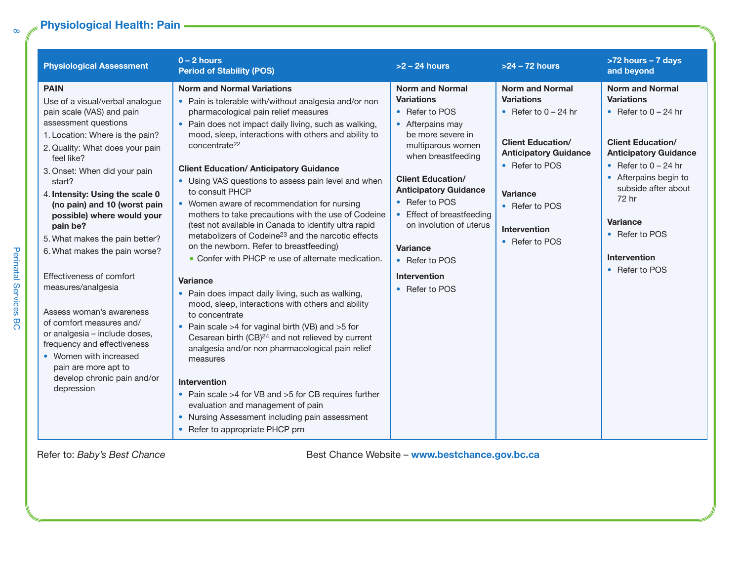## Physiological Health: Pain = **Conserverse Conserverse Exception**

*8*

Perinatal Services BC

Perinatal Services BC

| <b>Physiological Assessment</b>                                                                                                                                                                                                                                                                                                                                                                                                                                                                                                                                                                                                                                                            | $0 - 2$ hours<br><b>Period of Stability (POS)</b>                                                                                                                                                                                                                                                                                                                                                                                                                                                                                                                                                                                                                                                                                                                                                                                                                                                                                                                                                                                                                                                                                                                                                                                                                                      | $>2 - 24$ hours                                                                                                                                                                                                                                                                                                                                                | $>24 - 72$ hours                                                                                                                                                                                                           | >72 hours - 7 days<br>and beyond                                                                                                                                                                                                                                                            |
|--------------------------------------------------------------------------------------------------------------------------------------------------------------------------------------------------------------------------------------------------------------------------------------------------------------------------------------------------------------------------------------------------------------------------------------------------------------------------------------------------------------------------------------------------------------------------------------------------------------------------------------------------------------------------------------------|----------------------------------------------------------------------------------------------------------------------------------------------------------------------------------------------------------------------------------------------------------------------------------------------------------------------------------------------------------------------------------------------------------------------------------------------------------------------------------------------------------------------------------------------------------------------------------------------------------------------------------------------------------------------------------------------------------------------------------------------------------------------------------------------------------------------------------------------------------------------------------------------------------------------------------------------------------------------------------------------------------------------------------------------------------------------------------------------------------------------------------------------------------------------------------------------------------------------------------------------------------------------------------------|----------------------------------------------------------------------------------------------------------------------------------------------------------------------------------------------------------------------------------------------------------------------------------------------------------------------------------------------------------------|----------------------------------------------------------------------------------------------------------------------------------------------------------------------------------------------------------------------------|---------------------------------------------------------------------------------------------------------------------------------------------------------------------------------------------------------------------------------------------------------------------------------------------|
| <b>PAIN</b><br>Use of a visual/verbal analogue<br>pain scale (VAS) and pain<br>assessment questions<br>1. Location: Where is the pain?<br>2. Quality: What does your pain<br>feel like?<br>3. Onset: When did your pain<br>start?<br>4. Intensity: Using the scale 0<br>(no pain) and 10 (worst pain<br>possible) where would your<br>pain be?<br>5. What makes the pain better?<br>6. What makes the pain worse?<br>Effectiveness of comfort<br>measures/analgesia<br>Assess woman's awareness<br>of comfort measures and/<br>or analgesia - include doses,<br>frequency and effectiveness<br>• Women with increased<br>pain are more apt to<br>develop chronic pain and/or<br>depression | <b>Norm and Normal Variations</b><br>• Pain is tolerable with/without analgesia and/or non<br>pharmacological pain relief measures<br>• Pain does not impact daily living, such as walking,<br>mood, sleep, interactions with others and ability to<br>concentrate <sup>22</sup><br><b>Client Education/ Anticipatory Guidance</b><br>• Using VAS questions to assess pain level and when<br>to consult PHCP<br>• Women aware of recommendation for nursing<br>mothers to take precautions with the use of Codeine<br>(test not available in Canada to identify ultra rapid<br>metabolizers of Codeine <sup>23</sup> and the narcotic effects<br>on the newborn. Refer to breastfeeding)<br>• Confer with PHCP re use of alternate medication.<br><b>Variance</b><br>• Pain does impact daily living, such as walking,<br>mood, sleep, interactions with others and ability<br>to concentrate<br>• Pain scale >4 for vaginal birth (VB) and >5 for<br>Cesarean birth (CB) <sup>24</sup> and not relieved by current<br>analgesia and/or non pharmacological pain relief<br>measures<br>Intervention<br>• Pain scale >4 for VB and >5 for CB requires further<br>evaluation and management of pain<br>• Nursing Assessment including pain assessment<br>• Refer to appropriate PHCP prn | <b>Norm and Normal</b><br><b>Variations</b><br>• Refer to POS<br>• Afterpains may<br>be more severe in<br>multiparous women<br>when breastfeeding<br><b>Client Education/</b><br><b>Anticipatory Guidance</b><br>• Refer to POS<br>• Effect of breastfeeding<br>on involution of uterus<br><b>Variance</b><br>• Refer to POS<br>Intervention<br>• Refer to POS | <b>Norm and Normal</b><br><b>Variations</b><br>• Refer to $0 - 24$ hr<br><b>Client Education/</b><br><b>Anticipatory Guidance</b><br>• Refer to POS<br>Variance<br>• Refer to POS<br><b>Intervention</b><br>• Refer to POS | <b>Norm and Normal</b><br><b>Variations</b><br>• Refer to $0 - 24$ hr<br><b>Client Education/</b><br><b>Anticipatory Guidance</b><br>• Refer to $0 - 24$ hr<br>• Afterpains begin to<br>subside after about<br>72 hr<br>Variance<br>• Refer to POS<br><b>Intervention</b><br>• Refer to POS |

Refer to: *Baby's Best Chance* **Best Chance** *Best Chance Website* – www.bestchance.gov.bc.ca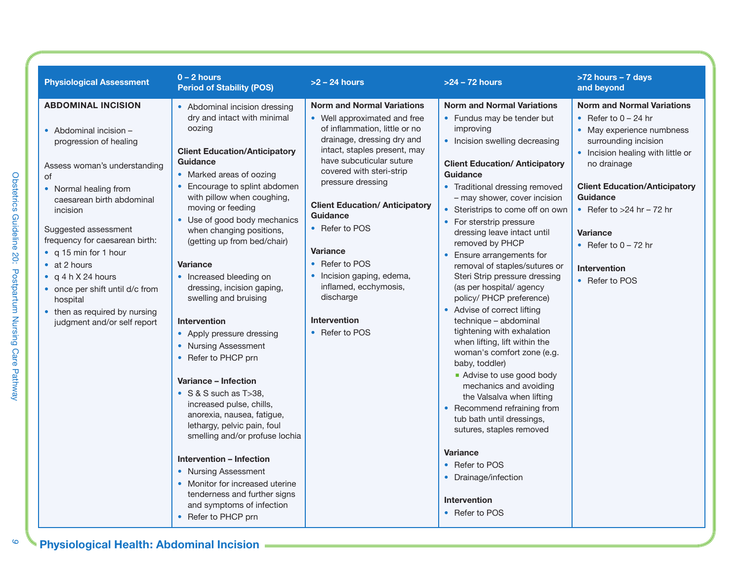| <b>Physiological Assessment</b>                                                                                                                                                                                                                                                                                                                                                                                                 | $0 - 2$ hours<br><b>Period of Stability (POS)</b>                                                                                                                                                                                                                                                                                                                                                                                                                                                                                                                                                                                                                                                                                                                                                                                                                                              | $>2 - 24$ hours                                                                                                                                                                                                                                                                                                                                                                                                                                                       | >24 - 72 hours                                                                                                                                                                                                                                                                                                                                                                                                                                                                                                                                                                                                                                                                                                                                                                                                                                                                                                                            | >72 hours - 7 days<br>and beyond                                                                                                                                                                                                                                                                                                                     |
|---------------------------------------------------------------------------------------------------------------------------------------------------------------------------------------------------------------------------------------------------------------------------------------------------------------------------------------------------------------------------------------------------------------------------------|------------------------------------------------------------------------------------------------------------------------------------------------------------------------------------------------------------------------------------------------------------------------------------------------------------------------------------------------------------------------------------------------------------------------------------------------------------------------------------------------------------------------------------------------------------------------------------------------------------------------------------------------------------------------------------------------------------------------------------------------------------------------------------------------------------------------------------------------------------------------------------------------|-----------------------------------------------------------------------------------------------------------------------------------------------------------------------------------------------------------------------------------------------------------------------------------------------------------------------------------------------------------------------------------------------------------------------------------------------------------------------|-------------------------------------------------------------------------------------------------------------------------------------------------------------------------------------------------------------------------------------------------------------------------------------------------------------------------------------------------------------------------------------------------------------------------------------------------------------------------------------------------------------------------------------------------------------------------------------------------------------------------------------------------------------------------------------------------------------------------------------------------------------------------------------------------------------------------------------------------------------------------------------------------------------------------------------------|------------------------------------------------------------------------------------------------------------------------------------------------------------------------------------------------------------------------------------------------------------------------------------------------------------------------------------------------------|
| <b>ABDOMINAL INCISION</b><br>• Abdominal incision -<br>progression of healing<br>Assess woman's understanding<br>of<br>• Normal healing from<br>caesarean birth abdominal<br>incision<br>Suggested assessment<br>frequency for caesarean birth:<br>• q 15 min for 1 hour<br>• at 2 hours<br>• $q 4 h X 24 hours$<br>• once per shift until d/c from<br>hospital<br>• then as required by nursing<br>judgment and/or self report | • Abdominal incision dressing<br>dry and intact with minimal<br>oozing<br><b>Client Education/Anticipatory</b><br>Guidance<br>• Marked areas of oozing<br>• Encourage to splint abdomen<br>with pillow when coughing,<br>moving or feeding<br>• Use of good body mechanics<br>when changing positions,<br>(getting up from bed/chair)<br><b>Variance</b><br>• Increased bleeding on<br>dressing, incision gaping,<br>swelling and bruising<br><b>Intervention</b><br>• Apply pressure dressing<br>• Nursing Assessment<br>• Refer to PHCP prn<br>Variance - Infection<br>$\bullet$ S & S such as T > 38,<br>increased pulse, chills,<br>anorexia, nausea, fatigue,<br>lethargy, pelvic pain, foul<br>smelling and/or profuse lochia<br><b>Intervention - Infection</b><br>• Nursing Assessment<br>• Monitor for increased uterine<br>tenderness and further signs<br>and symptoms of infection | <b>Norm and Normal Variations</b><br>• Well approximated and free<br>of inflammation, little or no<br>drainage, dressing dry and<br>intact, staples present, may<br>have subcuticular suture<br>covered with steri-strip<br>pressure dressing<br><b>Client Education/ Anticipatory</b><br>Guidance<br>• Refer to POS<br><b>Variance</b><br>• Refer to POS<br>• Incision gaping, edema,<br>inflamed, ecchymosis,<br>discharge<br><b>Intervention</b><br>• Refer to POS | <b>Norm and Normal Variations</b><br>• Fundus may be tender but<br>improving<br>• Incision swelling decreasing<br><b>Client Education/ Anticipatory</b><br>Guidance<br>• Traditional dressing removed<br>- may shower, cover incision<br>• Steristrips to come off on own<br>• For sterstrip pressure<br>dressing leave intact until<br>removed by PHCP<br>Ensure arrangements for<br>removal of staples/sutures or<br>Steri Strip pressure dressing<br>(as per hospital/agency<br>policy/ PHCP preference)<br>• Advise of correct lifting<br>technique - abdominal<br>tightening with exhalation<br>when lifting, lift within the<br>woman's comfort zone (e.g.<br>baby, toddler)<br>Advise to use good body<br>mechanics and avoiding<br>the Valsalva when lifting<br>• Recommend refraining from<br>tub bath until dressings,<br>sutures, staples removed<br><b>Variance</b><br>• Refer to POS<br>• Drainage/infection<br>Intervention | <b>Norm and Normal Variations</b><br>• Refer to $0 - 24$ hr<br>• May experience numbness<br>surrounding incision<br>• Incision healing with little or<br>no drainage<br><b>Client Education/Anticipatory</b><br><b>Guidance</b><br>• Refer to $>24$ hr - 72 hr<br><b>Variance</b><br>• Refer to $0 - 72$ hr<br><b>Intervention</b><br>• Refer to POS |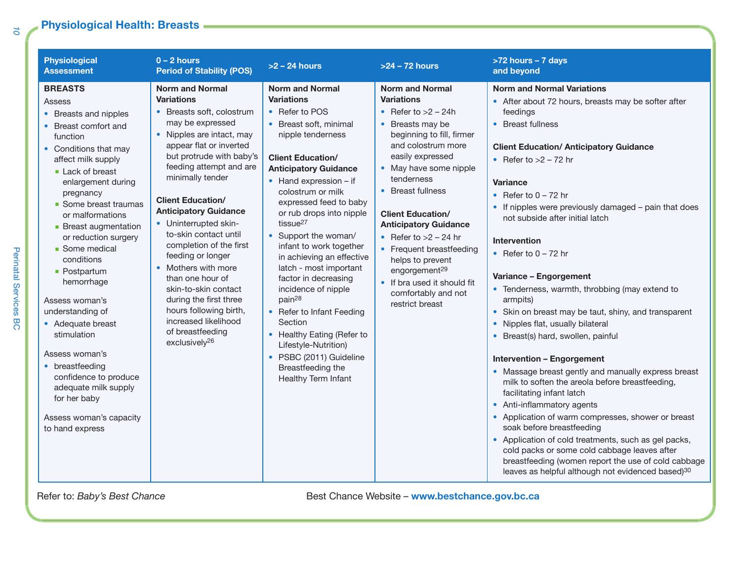### **Physiological Health: Breasts**

| <b>Physiological</b><br><b>Assessment</b>                                                                                                                                                                                                                                                                                                                                                                                                                                                                                                                                           | $0 - 2$ hours<br><b>Period of Stability (POS)</b>                                                                                                                                                                                                                                                                                                                                                                                                                                                                                                                                             | $>2 - 24$ hours                                                                                                                                                                                                                                                                                                                                                                                                                                                                                                                                                                                                                                                     | $>24 - 72$ hours                                                                                                                                                                                                                                                                                                                                                                                                                                                          | >72 hours - 7 days<br>and beyond                                                                                                                                                                                                                                                                                                                                                                                                                                                                                                                                                                                                                                                                                                                                                                                                                                                                                                                                                                                                                                                                                                                  |
|-------------------------------------------------------------------------------------------------------------------------------------------------------------------------------------------------------------------------------------------------------------------------------------------------------------------------------------------------------------------------------------------------------------------------------------------------------------------------------------------------------------------------------------------------------------------------------------|-----------------------------------------------------------------------------------------------------------------------------------------------------------------------------------------------------------------------------------------------------------------------------------------------------------------------------------------------------------------------------------------------------------------------------------------------------------------------------------------------------------------------------------------------------------------------------------------------|---------------------------------------------------------------------------------------------------------------------------------------------------------------------------------------------------------------------------------------------------------------------------------------------------------------------------------------------------------------------------------------------------------------------------------------------------------------------------------------------------------------------------------------------------------------------------------------------------------------------------------------------------------------------|---------------------------------------------------------------------------------------------------------------------------------------------------------------------------------------------------------------------------------------------------------------------------------------------------------------------------------------------------------------------------------------------------------------------------------------------------------------------------|---------------------------------------------------------------------------------------------------------------------------------------------------------------------------------------------------------------------------------------------------------------------------------------------------------------------------------------------------------------------------------------------------------------------------------------------------------------------------------------------------------------------------------------------------------------------------------------------------------------------------------------------------------------------------------------------------------------------------------------------------------------------------------------------------------------------------------------------------------------------------------------------------------------------------------------------------------------------------------------------------------------------------------------------------------------------------------------------------------------------------------------------------|
| <b>BREASTS</b><br>Assess<br>• Breasts and nipples<br>• Breast comfort and<br>function<br>• Conditions that may<br>affect milk supply<br>Lack of breast<br>enlargement during<br>pregnancy<br>• Some breast traumas<br>or malformations<br>• Breast augmentation<br>or reduction surgery<br>• Some medical<br>conditions<br>• Postpartum<br>hemorrhage<br>Assess woman's<br>understanding of<br>• Adequate breast<br>stimulation<br>Assess woman's<br>• breastfeeding<br>confidence to produce<br>adequate milk supply<br>for her baby<br>Assess woman's capacity<br>to hand express | <b>Norm and Normal</b><br><b>Variations</b><br>• Breasts soft, colostrum<br>may be expressed<br>• Nipples are intact, may<br>appear flat or inverted<br>but protrude with baby's<br>feeding attempt and are<br>minimally tender<br><b>Client Education/</b><br><b>Anticipatory Guidance</b><br>• Uninterrupted skin-<br>to-skin contact until<br>completion of the first<br>feeding or longer<br>• Mothers with more<br>than one hour of<br>skin-to-skin contact<br>during the first three<br>hours following birth,<br>increased likelihood<br>of breastfeeding<br>exclusively <sup>26</sup> | <b>Norm and Normal</b><br><b>Variations</b><br>• Refer to POS<br>• Breast soft, minimal<br>nipple tenderness<br><b>Client Education/</b><br><b>Anticipatory Guidance</b><br>$\bullet$ Hand expression – if<br>colostrum or milk<br>expressed feed to baby<br>or rub drops into nipple<br>tissue $27$<br>• Support the woman/<br>infant to work together<br>in achieving an effective<br>latch - most important<br>factor in decreasing<br>incidence of nipple<br>pain <sup>28</sup><br>• Refer to Infant Feeding<br>Section<br>• Healthy Eating (Refer to<br>Lifestyle-Nutrition)<br>PSBC (2011) Guideline<br>$\bullet$<br>Breastfeeding the<br>Healthy Term Infant | <b>Norm and Normal</b><br><b>Variations</b><br>• Refer to $>2$ – 24h<br>• Breasts may be<br>beginning to fill, firmer<br>and colostrum more<br>easily expressed<br>• May have some nipple<br>tenderness<br>• Breast fullness<br><b>Client Education/</b><br><b>Anticipatory Guidance</b><br>• Refer to $>2$ – 24 hr<br>• Frequent breastfeeding<br>helps to prevent<br>engorgement <sup>29</sup><br>• If bra used it should fit<br>comfortably and not<br>restrict breast | <b>Norm and Normal Variations</b><br>• After about 72 hours, breasts may be softer after<br>feedings<br>• Breast fullness<br><b>Client Education/ Anticipatory Guidance</b><br>• Refer to $>2 - 72$ hr<br><b>Variance</b><br>• Refer to $0 - 72$ hr<br>• If nipples were previously damaged - pain that does<br>not subside after initial latch<br>Intervention<br>• Refer to $0 - 72$ hr<br>Variance - Engorgement<br>• Tenderness, warmth, throbbing (may extend to<br>armpits)<br>• Skin on breast may be taut, shiny, and transparent<br>• Nipples flat, usually bilateral<br>• Breast(s) hard, swollen, painful<br><b>Intervention - Engorgement</b><br>• Massage breast gently and manually express breast<br>milk to soften the areola before breastfeeding,<br>facilitating infant latch<br>• Anti-inflammatory agents<br>• Application of warm compresses, shower or breast<br>soak before breastfeeding<br>• Application of cold treatments, such as gel packs,<br>cold packs or some cold cabbage leaves after<br>breastfeeding (women report the use of cold cabbage<br>leaves as helpful although not evidenced based) <sup>30</sup> |

Refer to: *Baby's Best Chance* **Best Chance** *Best Chance Website* – **www.bestchance.gov.bc.ca**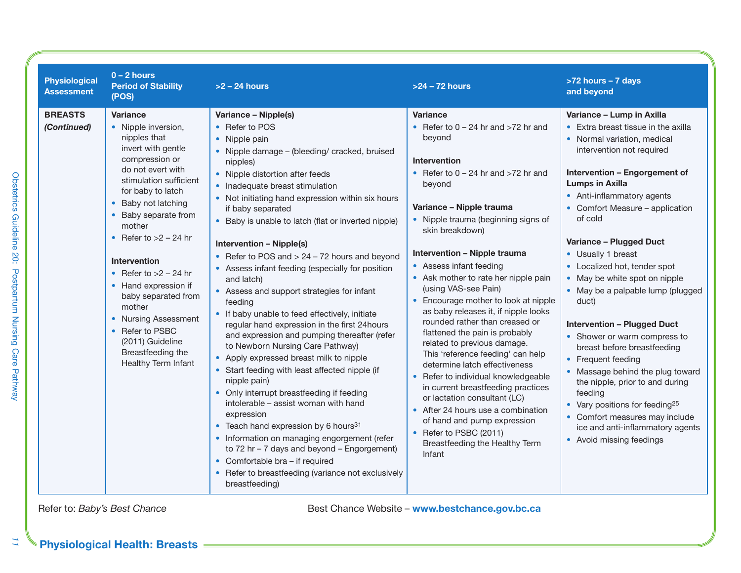| <b>Physiological</b><br><b>Assessment</b> | $0 - 2$ hours<br><b>Period of Stability</b><br>(POS)                                                                                                                                                                                                                                                                                                                                                                                                                | $>2 - 24$ hours                                                                                                                                                                                                                                                                                                                                                                                                                                                                                                                                                                                                                                                                                                                                                                                                                                                                                                                                                                                                                                                                                                                                                                                                       | $>24 - 72$ hours                                                                                                                                                                                                                                                                                                                                                                                                                                                                                                                                                                                                                                                                                                                                                                                                                                                                   | >72 hours - 7 days<br>and beyond                                                                                                                                                                                                                                                                                                                                                                                                                                                                                                                                                                                                                                                                                                                                                                 |
|-------------------------------------------|---------------------------------------------------------------------------------------------------------------------------------------------------------------------------------------------------------------------------------------------------------------------------------------------------------------------------------------------------------------------------------------------------------------------------------------------------------------------|-----------------------------------------------------------------------------------------------------------------------------------------------------------------------------------------------------------------------------------------------------------------------------------------------------------------------------------------------------------------------------------------------------------------------------------------------------------------------------------------------------------------------------------------------------------------------------------------------------------------------------------------------------------------------------------------------------------------------------------------------------------------------------------------------------------------------------------------------------------------------------------------------------------------------------------------------------------------------------------------------------------------------------------------------------------------------------------------------------------------------------------------------------------------------------------------------------------------------|------------------------------------------------------------------------------------------------------------------------------------------------------------------------------------------------------------------------------------------------------------------------------------------------------------------------------------------------------------------------------------------------------------------------------------------------------------------------------------------------------------------------------------------------------------------------------------------------------------------------------------------------------------------------------------------------------------------------------------------------------------------------------------------------------------------------------------------------------------------------------------|--------------------------------------------------------------------------------------------------------------------------------------------------------------------------------------------------------------------------------------------------------------------------------------------------------------------------------------------------------------------------------------------------------------------------------------------------------------------------------------------------------------------------------------------------------------------------------------------------------------------------------------------------------------------------------------------------------------------------------------------------------------------------------------------------|
| <b>BREASTS</b><br>(Continued)             | Variance<br>• Nipple inversion,<br>nipples that<br>invert with gentle<br>compression or<br>do not evert with<br>stimulation sufficient<br>for baby to latch<br>Baby not latching<br>• Baby separate from<br>mother<br>• Refer to $>2$ – 24 hr<br><b>Intervention</b><br>• Refer to $>2$ – 24 hr<br>• Hand expression if<br>baby separated from<br>mother<br>• Nursing Assessment<br>• Refer to PSBC<br>(2011) Guideline<br>Breastfeeding the<br>Healthy Term Infant | Variance - Nipple(s)<br>• Refer to POS<br>• Nipple pain<br>• Nipple damage - (bleeding/ cracked, bruised<br>nipples)<br>• Nipple distortion after feeds<br>• Inadequate breast stimulation<br>• Not initiating hand expression within six hours<br>if baby separated<br>• Baby is unable to latch (flat or inverted nipple)<br><b>Intervention - Nipple(s)</b><br>• Refer to POS and $> 24 - 72$ hours and beyond<br>• Assess infant feeding (especially for position<br>and latch)<br>• Assess and support strategies for infant<br>feeding<br>• If baby unable to feed effectively, initiate<br>regular hand expression in the first 24hours<br>and expression and pumping thereafter (refer<br>to Newborn Nursing Care Pathway)<br>• Apply expressed breast milk to nipple<br>• Start feeding with least affected nipple (if<br>nipple pain)<br>• Only interrupt breastfeeding if feeding<br>intolerable - assist woman with hand<br>expression<br>• Teach hand expression by 6 hours <sup>31</sup><br>• Information on managing engorgement (refer<br>to $72$ hr $-7$ days and beyond $-$ Engorgement)<br>• Comfortable bra - if required<br>• Refer to breastfeeding (variance not exclusively<br>breastfeeding) | <b>Variance</b><br>• Refer to $0 - 24$ hr and $>72$ hr and<br>beyond<br><b>Intervention</b><br>• Refer to $0 - 24$ hr and $>72$ hr and<br>beyond<br>Variance - Nipple trauma<br>• Nipple trauma (beginning signs of<br>skin breakdown)<br>Intervention - Nipple trauma<br>• Assess infant feeding<br>• Ask mother to rate her nipple pain<br>(using VAS-see Pain)<br>• Encourage mother to look at nipple<br>as baby releases it, if nipple looks<br>rounded rather than creased or<br>flattened the pain is probably<br>related to previous damage.<br>This 'reference feeding' can help<br>determine latch effectiveness<br>• Refer to individual knowledgeable<br>in current breastfeeding practices<br>or lactation consultant (LC)<br>• After 24 hours use a combination<br>of hand and pump expression<br>• Refer to PSBC (2011)<br>Breastfeeding the Healthy Term<br>Infant | Variance - Lump in Axilla<br>• Extra breast tissue in the axilla<br>• Normal variation, medical<br>intervention not required<br>Intervention - Engorgement of<br><b>Lumps in Axilla</b><br>• Anti-inflammatory agents<br>• Comfort Measure - application<br>of cold<br>Variance - Plugged Duct<br>• Usually 1 breast<br>• Localized hot, tender spot<br>• May be white spot on nipple<br>• May be a palpable lump (plugged<br>duct)<br><b>Intervention - Plugged Duct</b><br>• Shower or warm compress to<br>breast before breastfeeding<br>• Frequent feeding<br>• Massage behind the plug toward<br>the nipple, prior to and during<br>feeding<br>• Vary positions for feeding <sup>25</sup><br>• Comfort measures may include<br>ice and anti-inflammatory agents<br>• Avoid missing feedings |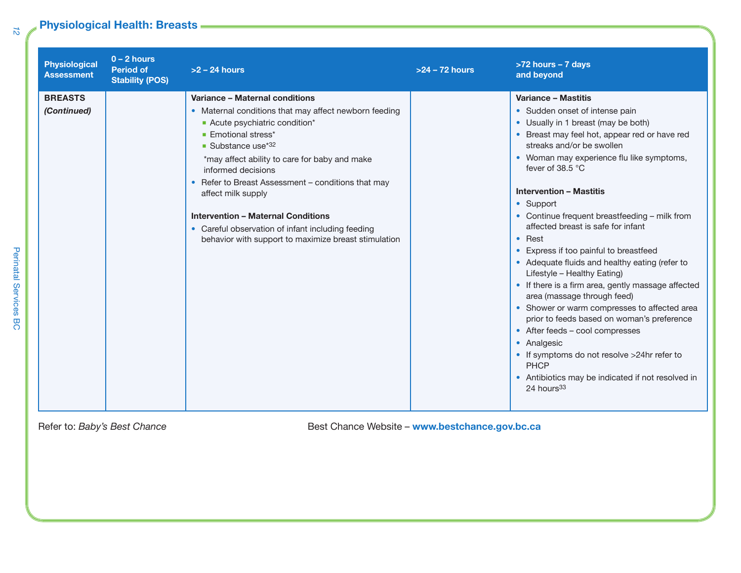# **Physiological Health: Breasts**

| <b>Physiological</b><br><b>Assessment</b> | $0 - 2$ hours<br><b>Period of</b><br><b>Stability (POS)</b> | $>2 - 24$ hours                                                                                                                                                                                                                                                                                                                                     | $>24 - 72$ hours | >72 hours - 7 days<br>and beyond                                                                                                                                                                                                                                                                                                                                                                                                                                                                                                                                                                                   |
|-------------------------------------------|-------------------------------------------------------------|-----------------------------------------------------------------------------------------------------------------------------------------------------------------------------------------------------------------------------------------------------------------------------------------------------------------------------------------------------|------------------|--------------------------------------------------------------------------------------------------------------------------------------------------------------------------------------------------------------------------------------------------------------------------------------------------------------------------------------------------------------------------------------------------------------------------------------------------------------------------------------------------------------------------------------------------------------------------------------------------------------------|
| <b>BREASTS</b><br>(Continued)             |                                                             | Variance - Maternal conditions<br>• Maternal conditions that may affect newborn feeding<br>Acute psychiatric condition*<br><b>Emotional stress*</b><br>Substance use <sup><math>*32</math></sup><br>*may affect ability to care for baby and make<br>informed decisions<br>• Refer to Breast Assessment - conditions that may<br>affect milk supply |                  | Variance - Mastitis<br>• Sudden onset of intense pain<br>• Usually in 1 breast (may be both)<br>• Breast may feel hot, appear red or have red<br>streaks and/or be swollen<br>• Woman may experience flu like symptoms,<br>fever of 38.5 °C<br><b>Intervention - Mastitis</b><br>• Support                                                                                                                                                                                                                                                                                                                         |
|                                           |                                                             | <b>Intervention - Maternal Conditions</b><br>• Careful observation of infant including feeding<br>behavior with support to maximize breast stimulation                                                                                                                                                                                              |                  | • Continue frequent breastfeeding - milk from<br>affected breast is safe for infant<br>$\bullet$ Rest<br>• Express if too painful to breastfeed<br>• Adequate fluids and healthy eating (refer to<br>Lifestyle - Healthy Eating)<br>• If there is a firm area, gently massage affected<br>area (massage through feed)<br>• Shower or warm compresses to affected area<br>prior to feeds based on woman's preference<br>• After feeds - cool compresses<br>• Analgesic<br>• If symptoms do not resolve >24hr refer to<br><b>PHCP</b><br>• Antibiotics may be indicated if not resolved in<br>24 hours <sup>33</sup> |

Refer to: *Baby's Best Chance* **Best Chance** *Best Chance Website* – www.bestchance.gov.bc.ca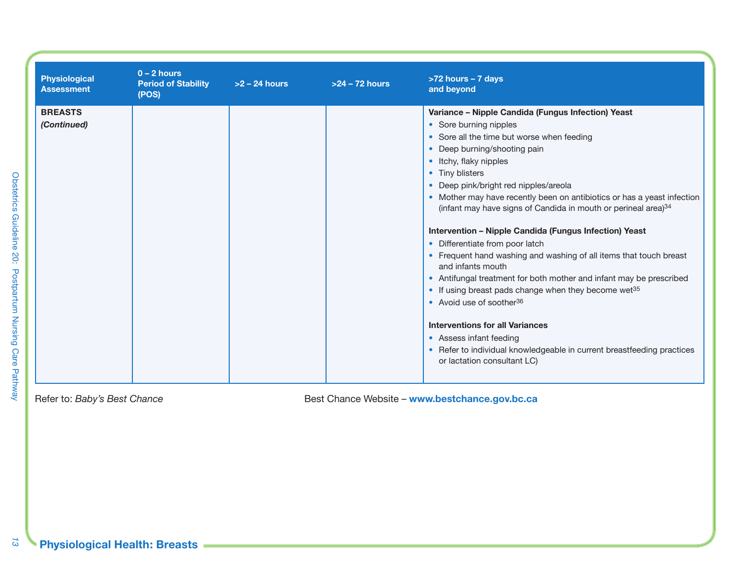| <b>Physiological</b><br><b>Assessment</b> | $0 - 2$ hours<br><b>Period of Stability</b><br>(POS) | $>2 - 24$ hours | $>24 - 72$ hours | >72 hours - 7 days<br>and beyond                                                                                                                                                                                                                                                                                                                                                                                                                                                                                                                                                                                                                                                                                                                                                                                                                                                                                                                                   |
|-------------------------------------------|------------------------------------------------------|-----------------|------------------|--------------------------------------------------------------------------------------------------------------------------------------------------------------------------------------------------------------------------------------------------------------------------------------------------------------------------------------------------------------------------------------------------------------------------------------------------------------------------------------------------------------------------------------------------------------------------------------------------------------------------------------------------------------------------------------------------------------------------------------------------------------------------------------------------------------------------------------------------------------------------------------------------------------------------------------------------------------------|
| <b>BREASTS</b><br>(Continued)             |                                                      |                 |                  | Variance - Nipple Candida (Fungus Infection) Yeast<br>• Sore burning nipples<br>• Sore all the time but worse when feeding<br>• Deep burning/shooting pain<br>• Itchy, flaky nipples<br>• Tiny blisters<br>• Deep pink/bright red nipples/areola<br>• Mother may have recently been on antibiotics or has a yeast infection<br>(infant may have signs of Candida in mouth or perineal area) <sup>34</sup><br>Intervention - Nipple Candida (Fungus Infection) Yeast<br>• Differentiate from poor latch<br>• Frequent hand washing and washing of all items that touch breast<br>and infants mouth<br>• Antifungal treatment for both mother and infant may be prescribed<br>• If using breast pads change when they become wet <sup>35</sup><br>• Avoid use of soother <sup>36</sup><br><b>Interventions for all Variances</b><br>• Assess infant feeding<br>• Refer to individual knowledgeable in current breastfeeding practices<br>or lactation consultant LC) |

<u> 1989 - Johann Barnett, fransk politik (</u>

Refer to: *Baby's Best Chance* **Best Chance** *Best Chance Website* – **www.bestchance.gov.bc.ca**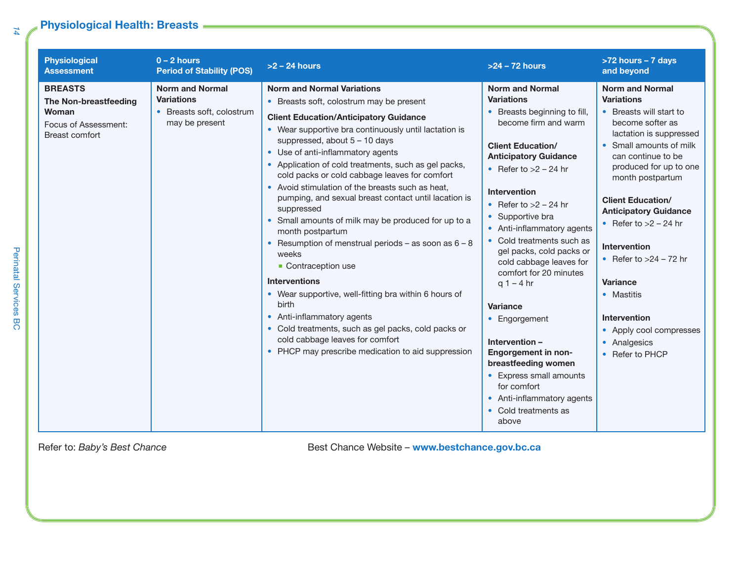## **Physiological Health: Breasts**

| <b>Physiological</b><br><b>Assessment</b>                                                  | $0 - 2$ hours<br><b>Period of Stability (POS)</b>                                          | $>2 - 24$ hours                                                                                                                                                                                                                                                                                                                                                                                                                                                                                                                                                                                                                                                                                                                                                                                                                                                                                                                                 | $>24 - 72$ hours                                                                                                                                                                                                                                                                                                                                                                                                                                                                                                                                                                                                                         | >72 hours - 7 days<br>and beyond                                                                                                                                                                                                                                                                                                                                                                                                                                                     |
|--------------------------------------------------------------------------------------------|--------------------------------------------------------------------------------------------|-------------------------------------------------------------------------------------------------------------------------------------------------------------------------------------------------------------------------------------------------------------------------------------------------------------------------------------------------------------------------------------------------------------------------------------------------------------------------------------------------------------------------------------------------------------------------------------------------------------------------------------------------------------------------------------------------------------------------------------------------------------------------------------------------------------------------------------------------------------------------------------------------------------------------------------------------|------------------------------------------------------------------------------------------------------------------------------------------------------------------------------------------------------------------------------------------------------------------------------------------------------------------------------------------------------------------------------------------------------------------------------------------------------------------------------------------------------------------------------------------------------------------------------------------------------------------------------------------|--------------------------------------------------------------------------------------------------------------------------------------------------------------------------------------------------------------------------------------------------------------------------------------------------------------------------------------------------------------------------------------------------------------------------------------------------------------------------------------|
| <b>BREASTS</b><br>The Non-breastfeeding<br>Woman<br>Focus of Assessment:<br>Breast comfort | <b>Norm and Normal</b><br><b>Variations</b><br>• Breasts soft, colostrum<br>may be present | <b>Norm and Normal Variations</b><br>• Breasts soft, colostrum may be present<br><b>Client Education/Anticipatory Guidance</b><br>• Wear supportive bra continuously until lactation is<br>suppressed, about $5 - 10$ days<br>• Use of anti-inflammatory agents<br>• Application of cold treatments, such as gel packs,<br>cold packs or cold cabbage leaves for comfort<br>• Avoid stimulation of the breasts such as heat,<br>pumping, and sexual breast contact until lacation is<br>suppressed<br>• Small amounts of milk may be produced for up to a<br>month postpartum<br>• Resumption of menstrual periods – as soon as $6 - 8$<br>weeks<br>• Contraception use<br><b>Interventions</b><br>• Wear supportive, well-fitting bra within 6 hours of<br>birth<br>• Anti-inflammatory agents<br>• Cold treatments, such as gel packs, cold packs or<br>cold cabbage leaves for comfort<br>• PHCP may prescribe medication to aid suppression | <b>Norm and Normal</b><br><b>Variations</b><br>• Breasts beginning to fill,<br>become firm and warm<br><b>Client Education/</b><br><b>Anticipatory Guidance</b><br>• Refer to $>2$ – 24 hr<br>Intervention<br>• Refer to $>2$ – 24 hr<br>• Supportive bra<br>• Anti-inflammatory agents<br>• Cold treatments such as<br>gel packs, cold packs or<br>cold cabbage leaves for<br>comfort for 20 minutes<br>$q1 - 4$ hr<br><b>Variance</b><br>• Engorgement<br>Intervention -<br><b>Engorgement in non-</b><br>breastfeeding women<br>• Express small amounts<br>for comfort<br>• Anti-inflammatory agents<br>• Cold treatments as<br>above | <b>Norm and Normal</b><br><b>Variations</b><br>• Breasts will start to<br>become softer as<br>lactation is suppressed<br>• Small amounts of milk<br>can continue to be<br>produced for up to one<br>month postpartum<br><b>Client Education/</b><br><b>Anticipatory Guidance</b><br>• Refer to $>2$ – 24 hr<br><b>Intervention</b><br>• Refer to $>24 - 72$ hr<br><b>Variance</b><br>• Mastitis<br><b>Intervention</b><br>• Apply cool compresses<br>• Analgesics<br>• Refer to PHCP |

Refer to: *Baby's Best Chance* **Best Chance** *Best Chance Website* – **www.bestchance.gov.bc.ca**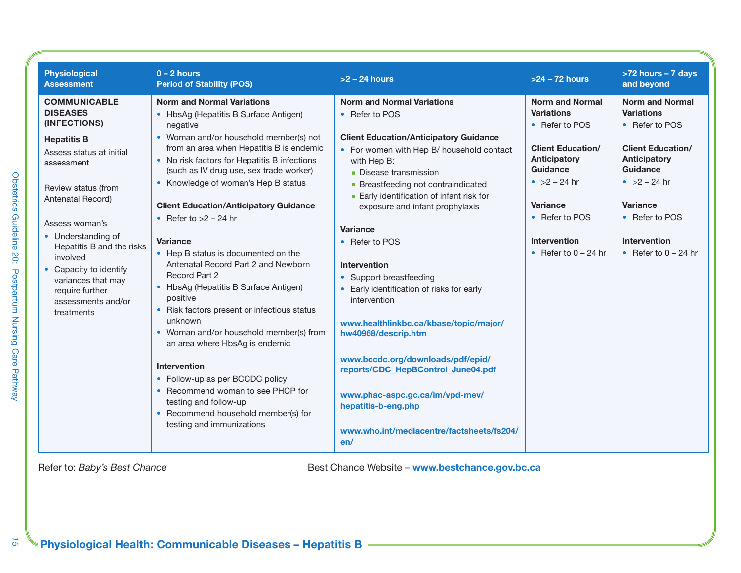| <b>Physiological</b><br><b>Assessment</b>                                                                                                                                                                                                                                                        | $0 - 2$ hours<br><b>Period of Stability (POS)</b>                                                                                                                                                                                                                                                                                                                                                                                                                                                                                                                                                                          | $>2 - 24$ hours                                                                                                                                                                                                                                                                                                                                                                                                                                                        | $>24 - 72$ hours                                                                                                                                                        | >72 hours - 7 days<br>and beyond                                                                                                                                        |
|--------------------------------------------------------------------------------------------------------------------------------------------------------------------------------------------------------------------------------------------------------------------------------------------------|----------------------------------------------------------------------------------------------------------------------------------------------------------------------------------------------------------------------------------------------------------------------------------------------------------------------------------------------------------------------------------------------------------------------------------------------------------------------------------------------------------------------------------------------------------------------------------------------------------------------------|------------------------------------------------------------------------------------------------------------------------------------------------------------------------------------------------------------------------------------------------------------------------------------------------------------------------------------------------------------------------------------------------------------------------------------------------------------------------|-------------------------------------------------------------------------------------------------------------------------------------------------------------------------|-------------------------------------------------------------------------------------------------------------------------------------------------------------------------|
| <b>COMMUNICABLE</b><br><b>DISEASES</b><br>(INFECTIONS)                                                                                                                                                                                                                                           | <b>Norm and Normal Variations</b><br>• HbsAg (Hepatitis B Surface Antigen)                                                                                                                                                                                                                                                                                                                                                                                                                                                                                                                                                 | <b>Norm and Normal Variations</b><br>• Refer to POS                                                                                                                                                                                                                                                                                                                                                                                                                    | <b>Norm and Normal</b><br><b>Variations</b>                                                                                                                             | <b>Norm and Normal</b><br><b>Variations</b>                                                                                                                             |
| <b>Hepatitis B</b><br>Assess status at initial<br>assessment<br>Review status (from<br>Antenatal Record)<br>Assess woman's<br>• Understanding of<br>Hepatitis B and the risks<br>involved<br>• Capacity to identify<br>variances that may<br>require further<br>assessments and/or<br>treatments | negative<br>• Woman and/or household member(s) not<br>from an area when Hepatitis B is endemic<br>• No risk factors for Hepatitis B infections<br>(such as IV drug use, sex trade worker)<br>• Knowledge of woman's Hep B status<br><b>Client Education/Anticipatory Guidance</b><br>• Refer to $>2$ – 24 hr<br><b>Variance</b><br>• Hep B status is documented on the<br>Antenatal Record Part 2 and Newborn<br>Record Part 2<br>• HbsAg (Hepatitis B Surface Antigen)<br>positive<br>• Risk factors present or infectious status<br>unknown<br>• Woman and/or household member(s) from<br>an area where HbsAg is endemic | <b>Client Education/Anticipatory Guidance</b><br>• For women with Hep B/ household contact<br>with Hep B:<br>• Disease transmission<br>• Breastfeeding not contraindicated<br>Early identification of infant risk for<br>exposure and infant prophylaxis<br><b>Variance</b><br>• Refer to POS<br>Intervention<br>• Support breastfeeding<br>• Early identification of risks for early<br>intervention<br>www.healthlinkbc.ca/kbase/topic/major/<br>hw40968/descrip.htm | • Refer to POS<br><b>Client Education/</b><br><b>Anticipatory</b><br>Guidance<br>• $>2 - 24$ hr<br>Variance<br>• Refer to POS<br>Intervention<br>• Refer to $0 - 24$ hr | • Refer to POS<br><b>Client Education/</b><br>Anticipatory<br>Guidance<br>• $>2 - 24$ hr<br>Variance<br>• Refer to POS<br><b>Intervention</b><br>• Refer to $0 - 24$ hr |
|                                                                                                                                                                                                                                                                                                  | Intervention<br>• Follow-up as per BCCDC policy<br>• Recommend woman to see PHCP for<br>testing and follow-up<br>• Recommend household member(s) for<br>testing and immunizations                                                                                                                                                                                                                                                                                                                                                                                                                                          | www.bccdc.org/downloads/pdf/epid/<br>reports/CDC_HepBControl_June04.pdf<br>www.phac-aspc.gc.ca/im/vpd-mev/<br>hepatitis-b-eng.php<br>www.who.int/mediacentre/factsheets/fs204/<br>en/                                                                                                                                                                                                                                                                                  |                                                                                                                                                                         |                                                                                                                                                                         |

 $\vec{5}$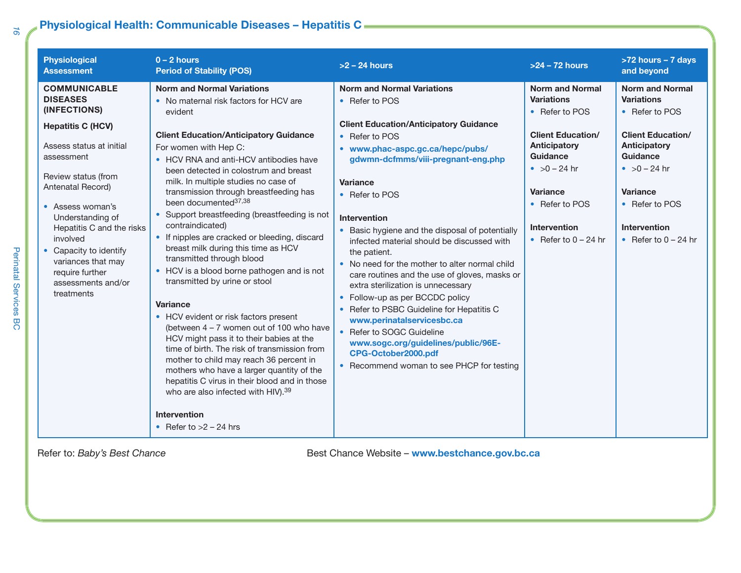## **Physiological Health: Communicable Diseases – Hepatitis C**

| <b>Physiological</b><br><b>Assessment</b>                                                                                                                                                                                                                                                                                                                      | $0 - 2$ hours<br><b>Period of Stability (POS)</b>                                                                                                                                                                                                                                                                                                                                                                                                                                                                                                                                                                                                                                                                                                                                                                                                                                                                                                                                                                                                                                       | $>2 - 24$ hours                                                                                                                                                                                                                                                                                                                                                                                                                                                                                                                                                                                                                                                                                                                                                       | $>24 - 72$ hours                                                                                                                                                                                                              | >72 hours - 7 days<br>and beyond                                                                                                                                                                                       |
|----------------------------------------------------------------------------------------------------------------------------------------------------------------------------------------------------------------------------------------------------------------------------------------------------------------------------------------------------------------|-----------------------------------------------------------------------------------------------------------------------------------------------------------------------------------------------------------------------------------------------------------------------------------------------------------------------------------------------------------------------------------------------------------------------------------------------------------------------------------------------------------------------------------------------------------------------------------------------------------------------------------------------------------------------------------------------------------------------------------------------------------------------------------------------------------------------------------------------------------------------------------------------------------------------------------------------------------------------------------------------------------------------------------------------------------------------------------------|-----------------------------------------------------------------------------------------------------------------------------------------------------------------------------------------------------------------------------------------------------------------------------------------------------------------------------------------------------------------------------------------------------------------------------------------------------------------------------------------------------------------------------------------------------------------------------------------------------------------------------------------------------------------------------------------------------------------------------------------------------------------------|-------------------------------------------------------------------------------------------------------------------------------------------------------------------------------------------------------------------------------|------------------------------------------------------------------------------------------------------------------------------------------------------------------------------------------------------------------------|
| <b>COMMUNICABLE</b><br><b>DISEASES</b><br>(INFECTIONS)<br><b>Hepatitis C (HCV)</b><br>Assess status at initial<br>assessment<br>Review status (from<br>Antenatal Record)<br>• Assess woman's<br>Understanding of<br>Hepatitis C and the risks<br>involved<br>Capacity to identify<br>variances that may<br>require further<br>assessments and/or<br>treatments | <b>Norm and Normal Variations</b><br>• No maternal risk factors for HCV are<br>evident<br><b>Client Education/Anticipatory Guidance</b><br>For women with Hep C:<br>• HCV RNA and anti-HCV antibodies have<br>been detected in colostrum and breast<br>milk. In multiple studies no case of<br>transmission through breastfeeding has<br>been documented <sup>37,38</sup><br>Support breastfeeding (breastfeeding is not<br>contraindicated)<br>• If nipples are cracked or bleeding, discard<br>breast milk during this time as HCV<br>transmitted through blood<br>• HCV is a blood borne pathogen and is not<br>transmitted by urine or stool<br><b>Variance</b><br>• HCV evident or risk factors present<br>(between 4 - 7 women out of 100 who have<br>HCV might pass it to their babies at the<br>time of birth. The risk of transmission from<br>mother to child may reach 36 percent in<br>mothers who have a larger quantity of the<br>hepatitis C virus in their blood and in those<br>who are also infected with HIV). 39<br><b>Intervention</b><br>• Refer to $>2$ – 24 hrs | <b>Norm and Normal Variations</b><br>• Refer to POS<br><b>Client Education/Anticipatory Guidance</b><br>• Refer to POS<br>• www.phac-aspc.gc.ca/hepc/pubs/<br>gdwmn-dcfmms/viii-pregnant-eng.php<br><b>Variance</b><br>• Refer to POS<br>Intervention<br>• Basic hygiene and the disposal of potentially<br>infected material should be discussed with<br>the patient.<br>• No need for the mother to alter normal child<br>care routines and the use of gloves, masks or<br>extra sterilization is unnecessary<br>• Follow-up as per BCCDC policy<br>• Refer to PSBC Guideline for Hepatitis C<br>www.perinatalservicesbc.ca<br>• Refer to SOGC Guideline<br>www.sogc.org/guidelines/public/96E-<br>CPG-October2000.pdf<br>• Recommend woman to see PHCP for testing | <b>Norm and Normal</b><br><b>Variations</b><br>• Refer to POS<br><b>Client Education/</b><br>Anticipatory<br>Guidance<br>• $>0 - 24$ hr<br><b>Variance</b><br>• Refer to POS<br><b>Intervention</b><br>• Refer to $0 - 24$ hr | <b>Norm and Normal</b><br><b>Variations</b><br>• Refer to POS<br><b>Client Education/</b><br>Anticipatory<br>Guidance<br>• $>0 - 24$ hr<br>Variance<br>• Refer to POS<br><b>Intervention</b><br>• Refer to $0 - 24$ hr |

*16*

Perinatal Services BC

Perinatal Services BC

Refer to: *Baby's Best Chance* **Best Chance** *Best Chance Website* – www.bestchance.gov.bc.ca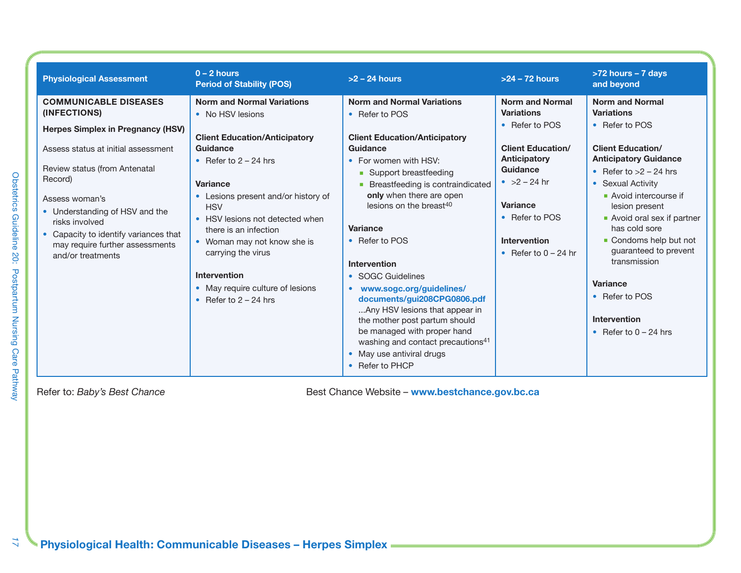| <b>Physiological Assessment</b>                                                                                                                                                                                                                        | $0 - 2$ hours<br><b>Period of Stability (POS)</b>                                                                                                                                                                                                                  | $>2 - 24$ hours                                                                                                                                                                                                                                                                                          | $>24 - 72$ hours                                                                                                                                      | >72 hours - 7 days<br>and beyond                                                                                                                                                                                                                                       |
|--------------------------------------------------------------------------------------------------------------------------------------------------------------------------------------------------------------------------------------------------------|--------------------------------------------------------------------------------------------------------------------------------------------------------------------------------------------------------------------------------------------------------------------|----------------------------------------------------------------------------------------------------------------------------------------------------------------------------------------------------------------------------------------------------------------------------------------------------------|-------------------------------------------------------------------------------------------------------------------------------------------------------|------------------------------------------------------------------------------------------------------------------------------------------------------------------------------------------------------------------------------------------------------------------------|
| <b>COMMUNICABLE DISEASES</b><br>(INFECTIONS)<br>Herpes Simplex in Pregnancy (HSV)                                                                                                                                                                      | <b>Norm and Normal Variations</b><br>• No HSV lesions                                                                                                                                                                                                              | <b>Norm and Normal Variations</b><br>• Refer to POS                                                                                                                                                                                                                                                      | <b>Norm and Normal</b><br><b>Variations</b><br>• Refer to POS                                                                                         | <b>Norm and Normal</b><br><b>Variations</b><br>• Refer to POS                                                                                                                                                                                                          |
| Assess status at initial assessment<br>Review status (from Antenatal<br>Record)<br>Assess woman's<br>• Understanding of HSV and the<br>risks involved<br>• Capacity to identify variances that<br>may require further assessments<br>and/or treatments | <b>Client Education/Anticipatory</b><br>Guidance<br>• Refer to $2 - 24$ hrs<br><b>Variance</b><br>Lesions present and/or history of<br><b>HSV</b><br>• HSV lesions not detected when<br>there is an infection<br>• Woman may not know she is<br>carrying the virus | <b>Client Education/Anticipatory</b><br>Guidance<br>• For women with HSV:<br>• Support breastfeeding<br>• Breastfeeding is contraindicated<br>only when there are open<br>lesions on the breast <sup>40</sup><br>Variance<br>• Refer to POS                                                              | <b>Client Education/</b><br>Anticipatory<br>Guidance<br>• $>2 - 24$ hr<br>Variance<br>• Refer to POS<br><b>Intervention</b><br>• Refer to $0 - 24$ hr | <b>Client Education/</b><br><b>Anticipatory Guidance</b><br>• Refer to $>2$ – 24 hrs<br>• Sexual Activity<br>Avoid intercourse if<br>lesion present<br>• Avoid oral sex if partner<br>has cold sore<br>• Condoms help but not<br>guaranteed to prevent<br>transmission |
|                                                                                                                                                                                                                                                        | <b>Intervention</b><br>• May require culture of lesions<br>• Refer to $2 - 24$ hrs                                                                                                                                                                                 | <b>Intervention</b><br>• SOGC Guidelines<br>• www.sogc.org/guidelines/<br>documents/gui208CPG0806.pdf<br>Any HSV lesions that appear in<br>the mother post partum should<br>be managed with proper hand<br>washing and contact precautions <sup>41</sup><br>• May use antiviral drugs<br>• Refer to PHCP |                                                                                                                                                       | Variance<br>• Refer to POS<br><b>Intervention</b><br>• Refer to $0 - 24$ hrs                                                                                                                                                                                           |

 $\overline{\mathcal{L}}$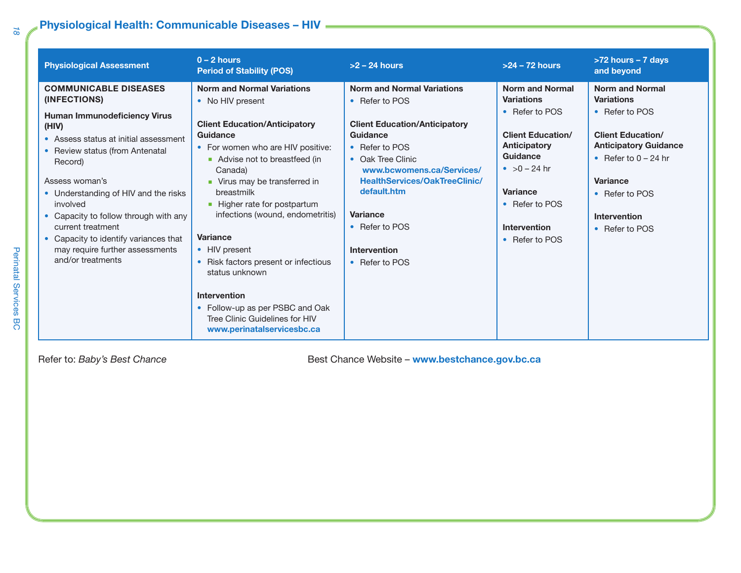## **Physiological Health: Communicable Diseases – HIV**

| <b>Physiological Assessment</b>                                                                                                                                                                                                                                                                                                                                                                                      | $0 - 2$ hours<br><b>Period of Stability (POS)</b>                                                                                                                                                                                                                                                                                                                                                                                                                                                                                    | $>2 - 24$ hours                                                                                                                                                                                                                                                                                                  | $>24 - 72$ hours                                                                                                                                                                                                      | >72 hours - 7 days<br>and beyond                                                                                                                                                                                           |
|----------------------------------------------------------------------------------------------------------------------------------------------------------------------------------------------------------------------------------------------------------------------------------------------------------------------------------------------------------------------------------------------------------------------|--------------------------------------------------------------------------------------------------------------------------------------------------------------------------------------------------------------------------------------------------------------------------------------------------------------------------------------------------------------------------------------------------------------------------------------------------------------------------------------------------------------------------------------|------------------------------------------------------------------------------------------------------------------------------------------------------------------------------------------------------------------------------------------------------------------------------------------------------------------|-----------------------------------------------------------------------------------------------------------------------------------------------------------------------------------------------------------------------|----------------------------------------------------------------------------------------------------------------------------------------------------------------------------------------------------------------------------|
| <b>COMMUNICABLE DISEASES</b><br>(INFECTIONS)<br><b>Human Immunodeficiency Virus</b><br>(HIV)<br>• Assess status at initial assessment<br>• Review status (from Antenatal<br>Record)<br>Assess woman's<br>• Understanding of HIV and the risks<br>involved<br>Capacity to follow through with any<br>current treatment<br>Capacity to identify variances that<br>may require further assessments<br>and/or treatments | <b>Norm and Normal Variations</b><br>• No HIV present<br><b>Client Education/Anticipatory</b><br>Guidance<br>• For women who are HIV positive:<br>Advise not to breastfeed (in<br>Canada)<br>• Virus may be transferred in<br>breastmilk<br>• Higher rate for postpartum<br>infections (wound, endometritis)<br><b>Variance</b><br>• HIV present<br>• Risk factors present or infectious<br>status unknown<br><b>Intervention</b><br>• Follow-up as per PSBC and Oak<br>Tree Clinic Guidelines for HIV<br>www.perinatalservicesbc.ca | <b>Norm and Normal Variations</b><br>• Refer to POS<br><b>Client Education/Anticipatory</b><br>Guidance<br>• Refer to POS<br>• Oak Tree Clinic<br>www.bcwomens.ca/Services/<br><b>HealthServices/OakTreeClinic/</b><br>default.htm<br><b>Variance</b><br>• Refer to POS<br><b>Intervention</b><br>• Refer to POS | <b>Norm and Normal</b><br><b>Variations</b><br>• Refer to POS<br><b>Client Education/</b><br>Anticipatory<br>Guidance<br>• $>0 - 24$ hr<br><b>Variance</b><br>• Refer to POS<br><b>Intervention</b><br>• Refer to POS | <b>Norm and Normal</b><br><b>Variations</b><br>• Refer to POS<br><b>Client Education/</b><br><b>Anticipatory Guidance</b><br>• Refer to $0 - 24$ hr<br>Variance<br>• Refer to POS<br><b>Intervention</b><br>• Refer to POS |

Refer to: *Baby's Best Chance* **Best Chance** *Best Chance Website* – **www.bestchance.gov.bc.ca** 

Perinatal Services BC Perinatal Services BC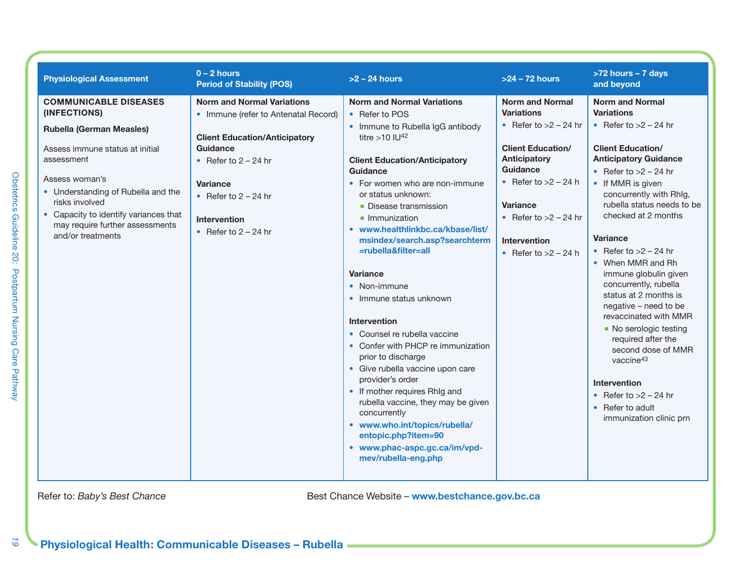| <b>Physiological Assessment</b>                                                                                                                                                                                                                                                                             | $0 - 2$ hours<br><b>Period of Stability (POS)</b>                                                                                                                                                                                                     | $>2$ – 24 hours                                                                                                                                                                                                                                                                                                                                                                                                                                                                                                                                                                                                                                                                                                                                                                                                       | $>24 - 72$ hours                                                                                                                                                                                                                                        | >72 hours - 7 days<br>and beyond                                                                                                                                                                                                                                                                                                                                                                                                                                                                                                                                                                                                                                   |
|-------------------------------------------------------------------------------------------------------------------------------------------------------------------------------------------------------------------------------------------------------------------------------------------------------------|-------------------------------------------------------------------------------------------------------------------------------------------------------------------------------------------------------------------------------------------------------|-----------------------------------------------------------------------------------------------------------------------------------------------------------------------------------------------------------------------------------------------------------------------------------------------------------------------------------------------------------------------------------------------------------------------------------------------------------------------------------------------------------------------------------------------------------------------------------------------------------------------------------------------------------------------------------------------------------------------------------------------------------------------------------------------------------------------|---------------------------------------------------------------------------------------------------------------------------------------------------------------------------------------------------------------------------------------------------------|--------------------------------------------------------------------------------------------------------------------------------------------------------------------------------------------------------------------------------------------------------------------------------------------------------------------------------------------------------------------------------------------------------------------------------------------------------------------------------------------------------------------------------------------------------------------------------------------------------------------------------------------------------------------|
| <b>COMMUNICABLE DISEASES</b><br>(INFECTIONS)<br><b>Rubella (German Measles)</b><br>Assess immune status at initial<br>assessment<br>Assess woman's<br>• Understanding of Rubella and the<br>risks involved<br>• Capacity to identify variances that<br>may require further assessments<br>and/or treatments | <b>Norm and Normal Variations</b><br>• Immune (refer to Antenatal Record)<br><b>Client Education/Anticipatory</b><br>Guidance<br>• Refer to $2 - 24$ hr<br><b>Variance</b><br>• Refer to $2 - 24$ hr<br><b>Intervention</b><br>• Refer to $2 - 24$ hr | <b>Norm and Normal Variations</b><br>• Refer to POS<br>• Immune to Rubella IgG antibody<br>titre $>10$ IU <sup>42</sup><br><b>Client Education/Anticipatory</b><br>Guidance<br>• For women who are non-immune<br>or status unknown:<br>• Disease transmission<br>• Immunization<br>• www.healthlinkbc.ca/kbase/list/<br>msindex/search.asp?searchterm<br>=rubella&filter=all<br><b>Variance</b><br>• Non-immune<br>• Immune status unknown<br>Intervention<br>• Counsel re rubella vaccine<br>• Confer with PHCP re immunization<br>prior to discharge<br>• Give rubella vaccine upon care<br>provider's order<br>• If mother requires RhIg and<br>rubella vaccine, they may be given<br>concurrently<br>• www.who.int/topics/rubella/<br>entopic.php?item=90<br>• www.phac-aspc.gc.ca/im/vpd-<br>mev/rubella-eng.php | <b>Norm and Normal</b><br><b>Variations</b><br>• Refer to $>2$ – 24 hr<br><b>Client Education/</b><br>Anticipatory<br>Guidance<br>• Refer to $>2$ – 24 h<br><b>Variance</b><br>• Refer to $>2$ – 24 hr<br><b>Intervention</b><br>• Refer to $>2$ – 24 h | <b>Norm and Normal</b><br><b>Variations</b><br>• Refer to $>2$ – 24 hr<br><b>Client Education/</b><br><b>Anticipatory Guidance</b><br>• Refer to $>2$ – 24 hr<br>• If MMR is given<br>concurrently with RhIg,<br>rubella status needs to be<br>checked at 2 months<br><b>Variance</b><br>• Refer to $>2$ – 24 hr<br>• When MMR and Rh<br>immune globulin given<br>concurrently, rubella<br>status at 2 months is<br>negative - need to be<br>revaccinated with MMR<br>• No serologic testing<br>required after the<br>second dose of MMR<br>vaccine <sup>43</sup><br><b>Intervention</b><br>• Refer to $>2$ – 24 hr<br>• Refer to adult<br>immunization clinic prn |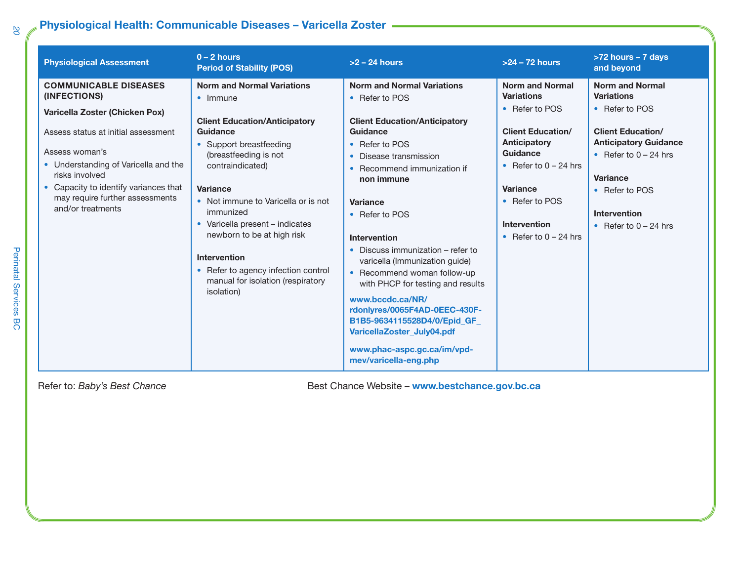## **Physiological Health: Communicable Diseases – Varicella Zoster**

| <b>Physiological Assessment</b>                                                                                                                                                                                                                                                                    | $0 - 2$ hours<br><b>Period of Stability (POS)</b>                                                                                                                                                                                                                                                                                                                                                                                    | $>2 - 24$ hours                                                                                                                                                                                                                                                                                                                                                                                                                                                                                                                                                          | $>24 - 72$ hours                                                                                                                                                                                                                        | >72 hours - 7 days<br>and beyond                                                                                                                                                                                                     |
|----------------------------------------------------------------------------------------------------------------------------------------------------------------------------------------------------------------------------------------------------------------------------------------------------|--------------------------------------------------------------------------------------------------------------------------------------------------------------------------------------------------------------------------------------------------------------------------------------------------------------------------------------------------------------------------------------------------------------------------------------|--------------------------------------------------------------------------------------------------------------------------------------------------------------------------------------------------------------------------------------------------------------------------------------------------------------------------------------------------------------------------------------------------------------------------------------------------------------------------------------------------------------------------------------------------------------------------|-----------------------------------------------------------------------------------------------------------------------------------------------------------------------------------------------------------------------------------------|--------------------------------------------------------------------------------------------------------------------------------------------------------------------------------------------------------------------------------------|
| <b>COMMUNICABLE DISEASES</b><br>(INFECTIONS)<br>Varicella Zoster (Chicken Pox)<br>Assess status at initial assessment<br>Assess woman's<br>• Understanding of Varicella and the<br>risks involved<br>• Capacity to identify variances that<br>may require further assessments<br>and/or treatments | <b>Norm and Normal Variations</b><br>$\bullet$ Immune<br><b>Client Education/Anticipatory</b><br>Guidance<br>• Support breastfeeding<br>(breastfeeding is not<br>contraindicated)<br>Variance<br>• Not immune to Varicella or is not<br>immunized<br>• Varicella present - indicates<br>newborn to be at high risk<br>Intervention<br>• Refer to agency infection control<br>manual for isolation (respiratory<br><i>isolation</i> ) | <b>Norm and Normal Variations</b><br>• Refer to POS<br><b>Client Education/Anticipatory</b><br>Guidance<br>• Refer to POS<br>Disease transmission<br>• Recommend immunization if<br>non immune<br><b>Variance</b><br>• Refer to POS<br>Intervention<br>• Discuss immunization – refer to<br>varicella (Immunization guide)<br>• Recommend woman follow-up<br>with PHCP for testing and results<br>www.bccdc.ca/NR/<br>rdonlyres/0065F4AD-0EEC-430F-<br>B1B5-9634115528D4/0/Epid_GF<br>VaricellaZoster_July04.pdf<br>www.phac-aspc.gc.ca/im/vpd-<br>mev/varicella-eng.php | <b>Norm and Normal</b><br><b>Variations</b><br>• Refer to POS<br><b>Client Education/</b><br><b>Anticipatory</b><br><b>Guidance</b><br>• Refer to $0 - 24$ hrs<br>Variance<br>• Refer to POS<br>Intervention<br>• Refer to $0 - 24$ hrs | <b>Norm and Normal</b><br><b>Variations</b><br>• Refer to POS<br><b>Client Education/</b><br><b>Anticipatory Guidance</b><br>• Refer to $0 - 24$ hrs<br>Variance<br>• Refer to POS<br><b>Intervention</b><br>• Refer to $0 - 24$ hrs |

Refer to: *Baby's Best Chance* **Best Chance** *Best Chance Website* – **www.bestchance.gov.bc.ca**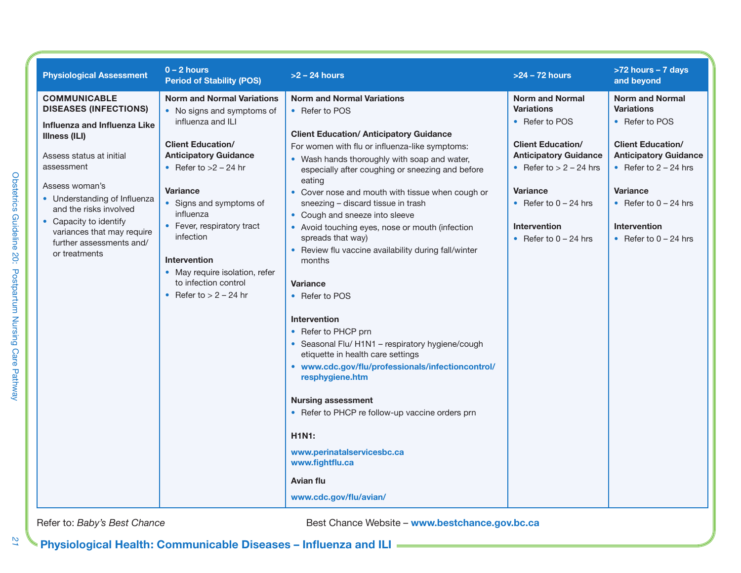| <b>Physiological Assessment</b>                                                                                                                                                                                                                                                                                                        | $0 - 2$ hours<br><b>Period of Stability (POS)</b>                                                                                                                                                                                                                                                                                                                                       | $>2$ – 24 hours                                                                                                                                                                                                                                                                                                                                                                                                                                                                                                                                                                                                                                                                                                                                                                                                                                                                                                                                                                                | $>24 - 72$ hours                                                                                                                                                                                                                                       | >72 hours - 7 days<br>and beyond                                                                                                                                                                                                                     |
|----------------------------------------------------------------------------------------------------------------------------------------------------------------------------------------------------------------------------------------------------------------------------------------------------------------------------------------|-----------------------------------------------------------------------------------------------------------------------------------------------------------------------------------------------------------------------------------------------------------------------------------------------------------------------------------------------------------------------------------------|------------------------------------------------------------------------------------------------------------------------------------------------------------------------------------------------------------------------------------------------------------------------------------------------------------------------------------------------------------------------------------------------------------------------------------------------------------------------------------------------------------------------------------------------------------------------------------------------------------------------------------------------------------------------------------------------------------------------------------------------------------------------------------------------------------------------------------------------------------------------------------------------------------------------------------------------------------------------------------------------|--------------------------------------------------------------------------------------------------------------------------------------------------------------------------------------------------------------------------------------------------------|------------------------------------------------------------------------------------------------------------------------------------------------------------------------------------------------------------------------------------------------------|
| <b>COMMUNICABLE</b><br><b>DISEASES (INFECTIONS)</b><br>Influenza and Influenza Like<br><b>Illness (ILI)</b><br>Assess status at initial<br>assessment<br>Assess woman's<br>• Understanding of Influenza<br>and the risks involved<br>• Capacity to identify<br>variances that may require<br>further assessments and/<br>or treatments | <b>Norm and Normal Variations</b><br>• No signs and symptoms of<br>influenza and ILI<br><b>Client Education/</b><br><b>Anticipatory Guidance</b><br>• Refer to $>2$ – 24 hr<br>Variance<br>• Signs and symptoms of<br>influenza<br>• Fever, respiratory tract<br>infection<br><b>Intervention</b><br>• May require isolation, refer<br>to infection control<br>• Refer to $> 2 - 24$ hr | <b>Norm and Normal Variations</b><br>• Refer to POS<br><b>Client Education/ Anticipatory Guidance</b><br>For women with flu or influenza-like symptoms:<br>• Wash hands thoroughly with soap and water,<br>especially after coughing or sneezing and before<br>eating<br>• Cover nose and mouth with tissue when cough or<br>sneezing - discard tissue in trash<br>• Cough and sneeze into sleeve<br>• Avoid touching eyes, nose or mouth (infection<br>spreads that way)<br>• Review flu vaccine availability during fall/winter<br>months<br><b>Variance</b><br>• Refer to POS<br><b>Intervention</b><br>• Refer to PHCP prn<br>• Seasonal Flu/ H1N1 - respiratory hygiene/cough<br>etiquette in health care settings<br>• www.cdc.gov/flu/professionals/infectioncontrol/<br>resphygiene.htm<br><b>Nursing assessment</b><br>• Refer to PHCP re follow-up vaccine orders prn<br><b>H1N1:</b><br>www.perinatalservicesbc.ca<br>www.fightflu.ca<br><b>Avian flu</b><br>www.cdc.gov/flu/avian/ | <b>Norm and Normal</b><br><b>Variations</b><br>• Refer to POS<br><b>Client Education/</b><br><b>Anticipatory Guidance</b><br>• Refer to $> 2 - 24$ hrs<br><b>Variance</b><br>• Refer to $0 - 24$ hrs<br><b>Intervention</b><br>• Refer to $0 - 24$ hrs | <b>Norm and Normal</b><br><b>Variations</b><br>• Refer to POS<br><b>Client Education/</b><br><b>Anticipatory Guidance</b><br>• Refer to $2 - 24$ hrs<br><b>Variance</b><br>• Refer to $0 - 24$ hrs<br><b>Intervention</b><br>• Refer to $0 - 24$ hrs |

 $\overline{27}$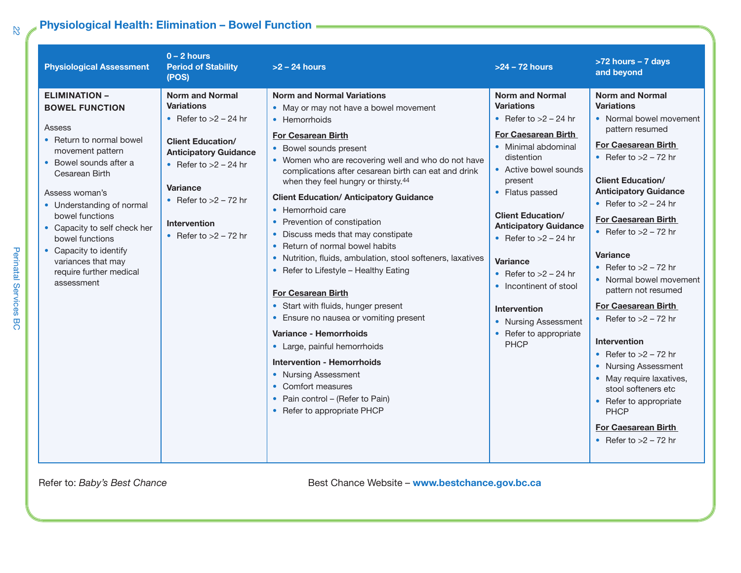## **Physiological Health: Elimination – Bowel Function**

| <b>Physiological Assessment</b>                                                                                                                                                                                                                                                                                                                                   | $0 - 2$ hours<br><b>Period of Stability</b><br>(POS)                                                                                                                                                                                                          | $>2$ – 24 hours                                                                                                                                                                                                                                                                                                                                                                                                                                                                                                                                                                                                                                                                                                                                                                                                                                                                                                                             | $>24 - 72$ hours                                                                                                                                                                                                                                                                                                                                                                                                                                        | >72 hours - 7 days<br>and beyond                                                                                                                                                                                                                                                                                                                                                                                                                                                                                                                                                                                                                                                           |
|-------------------------------------------------------------------------------------------------------------------------------------------------------------------------------------------------------------------------------------------------------------------------------------------------------------------------------------------------------------------|---------------------------------------------------------------------------------------------------------------------------------------------------------------------------------------------------------------------------------------------------------------|---------------------------------------------------------------------------------------------------------------------------------------------------------------------------------------------------------------------------------------------------------------------------------------------------------------------------------------------------------------------------------------------------------------------------------------------------------------------------------------------------------------------------------------------------------------------------------------------------------------------------------------------------------------------------------------------------------------------------------------------------------------------------------------------------------------------------------------------------------------------------------------------------------------------------------------------|---------------------------------------------------------------------------------------------------------------------------------------------------------------------------------------------------------------------------------------------------------------------------------------------------------------------------------------------------------------------------------------------------------------------------------------------------------|--------------------------------------------------------------------------------------------------------------------------------------------------------------------------------------------------------------------------------------------------------------------------------------------------------------------------------------------------------------------------------------------------------------------------------------------------------------------------------------------------------------------------------------------------------------------------------------------------------------------------------------------------------------------------------------------|
| <b>ELIMINATION -</b><br><b>BOWEL FUNCTION</b><br>Assess<br>• Return to normal bowel<br>movement pattern<br>• Bowel sounds after a<br>Cesarean Birth<br>Assess woman's<br>• Understanding of normal<br>bowel functions<br>• Capacity to self check her<br>bowel functions<br>• Capacity to identify<br>variances that may<br>require further medical<br>assessment | <b>Norm and Normal</b><br><b>Variations</b><br>• Refer to $>2$ – 24 hr<br><b>Client Education/</b><br><b>Anticipatory Guidance</b><br>• Refer to $>2$ – 24 hr<br><b>Variance</b><br>• Refer to $>2$ – 72 hr<br><b>Intervention</b><br>• Refer to $>2 - 72$ hr | <b>Norm and Normal Variations</b><br>• May or may not have a bowel movement<br>• Hemorrhoids<br><b>For Cesarean Birth</b><br>• Bowel sounds present<br>• Women who are recovering well and who do not have<br>complications after cesarean birth can eat and drink<br>when they feel hungry or thirsty. <sup>44</sup><br><b>Client Education/ Anticipatory Guidance</b><br>• Hemorrhoid care<br>• Prevention of constipation<br>• Discuss meds that may constipate<br>• Return of normal bowel habits<br>• Nutrition, fluids, ambulation, stool softeners, laxatives<br>• Refer to Lifestyle - Healthy Eating<br><b>For Cesarean Birth</b><br>• Start with fluids, hunger present<br>• Ensure no nausea or vomiting present<br>Variance - Hemorrhoids<br>• Large, painful hemorrhoids<br><b>Intervention - Hemorrhoids</b><br>• Nursing Assessment<br>• Comfort measures<br>• Pain control - (Refer to Pain)<br>• Refer to appropriate PHCP | <b>Norm and Normal</b><br><b>Variations</b><br>• Refer to $>2$ – 24 hr<br><b>For Caesarean Birth</b><br>• Minimal abdominal<br>distention<br>• Active bowel sounds<br>present<br>• Flatus passed<br><b>Client Education/</b><br><b>Anticipatory Guidance</b><br>• Refer to $>2$ – 24 hr<br><b>Variance</b><br>• Refer to $>2$ – 24 hr<br>• Incontinent of stool<br><b>Intervention</b><br>• Nursing Assessment<br>• Refer to appropriate<br><b>PHCP</b> | <b>Norm and Normal</b><br><b>Variations</b><br>• Normal bowel movement<br>pattern resumed<br><b>For Caesarean Birth</b><br>• Refer to $>2$ – 72 hr<br><b>Client Education/</b><br><b>Anticipatory Guidance</b><br>• Refer to $>2$ – 24 hr<br><b>For Caesarean Birth</b><br>• Refer to $>2$ – 72 hr<br><b>Variance</b><br>• Refer to $>2$ – 72 hr<br>• Normal bowel movement<br>pattern not resumed<br><b>For Caesarean Birth</b><br>• Refer to $>2$ – 72 hr<br><b>Intervention</b><br>• Refer to $>2$ – 72 hr<br>• Nursing Assessment<br>• May require laxatives,<br>stool softeners etc<br>• Refer to appropriate<br><b>PHCP</b><br><b>For Caesarean Birth</b><br>• Refer to $>2$ – 72 hr |

Refer to: *Baby's Best Chance* **Best Chance** *Best Chance Website* – **www.bestchance.gov.bc.ca**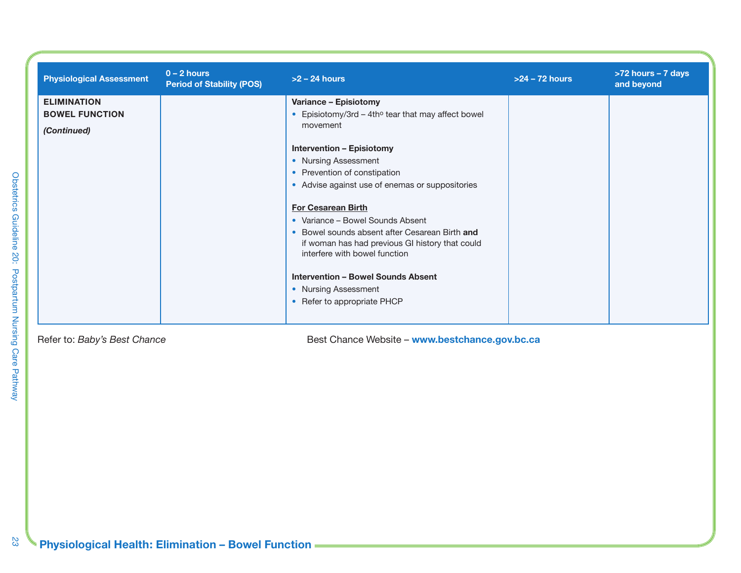| <b>Physiological Assessment</b> | $0 - 2$ hours<br><b>Period of Stability (POS)</b> | $>2$ – 24 hours                                                                                                                                                                                                                                                                                         | $>24 - 72$ hours | >72 hours - 7 days<br>and beyond |
|---------------------------------|---------------------------------------------------|---------------------------------------------------------------------------------------------------------------------------------------------------------------------------------------------------------------------------------------------------------------------------------------------------------|------------------|----------------------------------|
| <b>ELIMINATION</b>              |                                                   | Variance - Episiotomy                                                                                                                                                                                                                                                                                   |                  |                                  |
| <b>BOWEL FUNCTION</b>           |                                                   | • Episiotomy/3rd – 4th $\circ$ tear that may affect bowel                                                                                                                                                                                                                                               |                  |                                  |
| (Continued)                     |                                                   | movement                                                                                                                                                                                                                                                                                                |                  |                                  |
|                                 |                                                   | <b>Intervention - Episiotomy</b>                                                                                                                                                                                                                                                                        |                  |                                  |
|                                 |                                                   | • Nursing Assessment                                                                                                                                                                                                                                                                                    |                  |                                  |
|                                 |                                                   | • Prevention of constipation                                                                                                                                                                                                                                                                            |                  |                                  |
|                                 |                                                   | • Advise against use of enemas or suppositories                                                                                                                                                                                                                                                         |                  |                                  |
|                                 |                                                   | <b>For Cesarean Birth</b><br>• Variance – Bowel Sounds Absent<br>• Bowel sounds absent after Cesarean Birth and<br>if woman has had previous GI history that could<br>interfere with bowel function<br><b>Intervention - Bowel Sounds Absent</b><br>• Nursing Assessment<br>• Refer to appropriate PHCP |                  |                                  |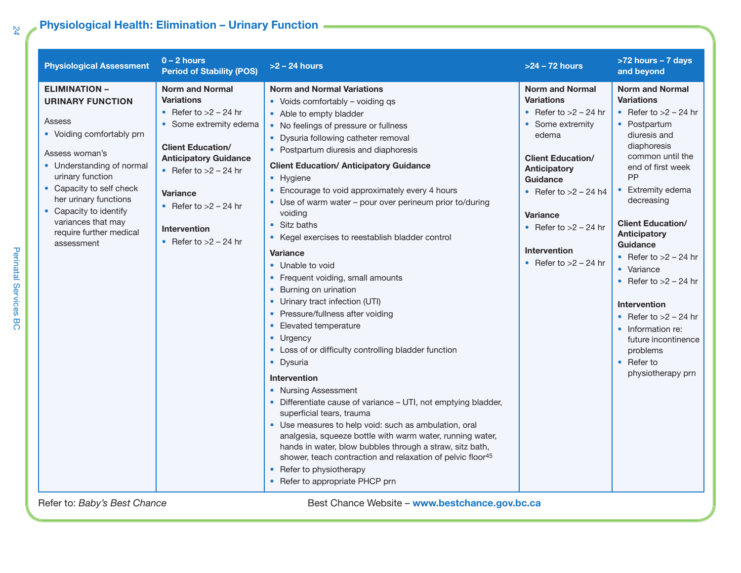### **Physiological Health: Elimination – Urinary Function**

| <b>Physiological Assessment</b>                                                                                                                                                                                                                                                                         | $0 - 2$ hours<br><b>Period of Stability (POS)</b>                                                                                                                                                                                                                                       | $>2$ – 24 hours                                                                                                                                                                                                                                                                                                                                                                                                                                                                                                                                                                                                                                                                                                                                                                                                                                                                                                                                                                                                                                                                                                                                                                                                                                | $>24 - 72$ hours                                                                                                                                                                                                                                                                                     | >72 hours - 7 days<br>and beyond                                                                                                                                                                                                                                                                                                                                                                                                                                                                |
|---------------------------------------------------------------------------------------------------------------------------------------------------------------------------------------------------------------------------------------------------------------------------------------------------------|-----------------------------------------------------------------------------------------------------------------------------------------------------------------------------------------------------------------------------------------------------------------------------------------|------------------------------------------------------------------------------------------------------------------------------------------------------------------------------------------------------------------------------------------------------------------------------------------------------------------------------------------------------------------------------------------------------------------------------------------------------------------------------------------------------------------------------------------------------------------------------------------------------------------------------------------------------------------------------------------------------------------------------------------------------------------------------------------------------------------------------------------------------------------------------------------------------------------------------------------------------------------------------------------------------------------------------------------------------------------------------------------------------------------------------------------------------------------------------------------------------------------------------------------------|------------------------------------------------------------------------------------------------------------------------------------------------------------------------------------------------------------------------------------------------------------------------------------------------------|-------------------------------------------------------------------------------------------------------------------------------------------------------------------------------------------------------------------------------------------------------------------------------------------------------------------------------------------------------------------------------------------------------------------------------------------------------------------------------------------------|
| <b>ELIMINATION -</b><br><b>URINARY FUNCTION</b><br>Assess<br>• Voiding comfortably prn<br>Assess woman's<br>• Understanding of normal<br>urinary function<br>• Capacity to self check<br>her urinary functions<br>• Capacity to identify<br>variances that may<br>require further medical<br>assessment | <b>Norm and Normal</b><br><b>Variations</b><br>• Refer to $>2$ – 24 hr<br>• Some extremity edema<br><b>Client Education/</b><br><b>Anticipatory Guidance</b><br>• Refer to $>2$ – 24 hr<br><b>Variance</b><br>• Refer to $>2$ – 24 hr<br><b>Intervention</b><br>• Refer to $>2$ – 24 hr | <b>Norm and Normal Variations</b><br>• Voids comfortably – voiding qs<br>• Able to empty bladder<br>• No feelings of pressure or fullness<br>• Dysuria following catheter removal<br>• Postpartum diuresis and diaphoresis<br><b>Client Education/ Anticipatory Guidance</b><br>• Hygiene<br>Encourage to void approximately every 4 hours<br>Use of warm water - pour over perineum prior to/during<br>voiding<br>• Sitz baths<br>• Kegel exercises to reestablish bladder control<br><b>Variance</b><br>• Unable to void<br>• Frequent voiding, small amounts<br>Burning on urination<br>• Urinary tract infection (UTI)<br>Pressure/fullness after voiding<br>Elevated temperature<br>• Urgency<br>• Loss of or difficulty controlling bladder function<br>• Dysuria<br><b>Intervention</b><br>• Nursing Assessment<br>Differentiate cause of variance - UTI, not emptying bladder,<br>superficial tears, trauma<br>• Use measures to help void: such as ambulation, oral<br>analgesia, squeeze bottle with warm water, running water,<br>hands in water, blow bubbles through a straw, sitz bath,<br>shower, teach contraction and relaxation of pelvic floor <sup>45</sup><br>• Refer to physiotherapy<br>• Refer to appropriate PHCP prn | <b>Norm and Normal</b><br><b>Variations</b><br>• Refer to $>2$ – 24 hr<br>• Some extremity<br>edema<br><b>Client Education/</b><br><b>Anticipatory</b><br><b>Guidance</b><br>• Refer to $>2$ – 24 h4<br><b>Variance</b><br>• Refer to $>2$ – 24 hr<br><b>Intervention</b><br>• Refer to $>2$ – 24 hr | <b>Norm and Normal</b><br><b>Variations</b><br>• Refer to $>2$ – 24 hr<br>• Postpartum<br>diuresis and<br>diaphoresis<br>common until the<br>end of first week<br>PP<br>• Extremity edema<br>decreasing<br><b>Client Education/</b><br>Anticipatory<br><b>Guidance</b><br>• Refer to $>2 - 24$ hr<br>• Variance<br>• Refer to $>2$ – 24 hr<br><b>Intervention</b><br>• Refer to $>2$ – 24 hr<br>• Information re:<br>future incontinence<br>problems<br>$\bullet$ Refer to<br>physiotherapy prn |
| Refer to: Baby's Best Chance                                                                                                                                                                                                                                                                            |                                                                                                                                                                                                                                                                                         | Best Chance Website - www.bestchance.gov.bc.ca                                                                                                                                                                                                                                                                                                                                                                                                                                                                                                                                                                                                                                                                                                                                                                                                                                                                                                                                                                                                                                                                                                                                                                                                 |                                                                                                                                                                                                                                                                                                      |                                                                                                                                                                                                                                                                                                                                                                                                                                                                                                 |

Perinatal Services BC Perinatal Services BC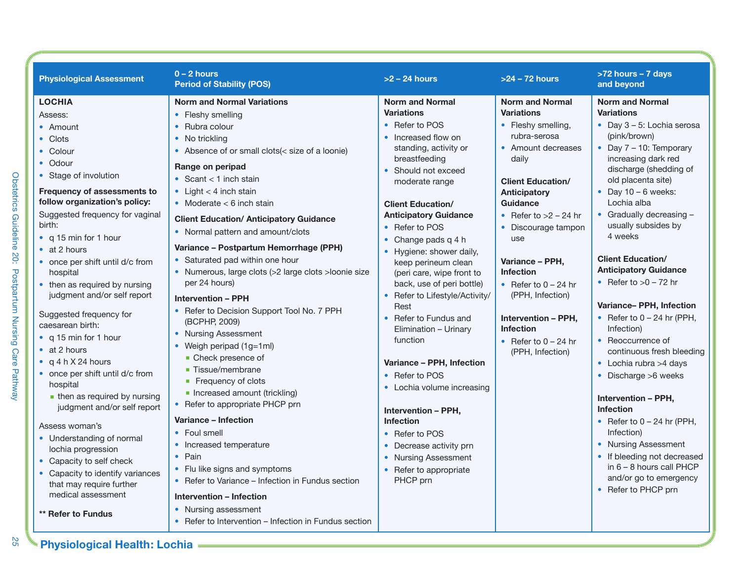| <b>Physiological Assessment</b>                                                                                                                                                                                                                                                                                                                                                                                                                                                                                                                                                                                                                                                                                                     | $0 - 2$ hours<br><b>Period of Stability (POS)</b>                                                                                                                                                                                                                                                                                                                                                                                                                                                                                                                                                                                                                                                                                                                                                                                                                            | $>2 - 24$ hours                                                                                                                                                                                                                                                                                                                                                                                                                                                                                                                                                                                                                                                                                                              | $>24 - 72$ hours                                                                                                                                                                                                                                                                                                                                                                                                              | >72 hours - 7 days<br>and beyond                                                                                                                                                                                                                                                                                                                                                                                                                                                                                                                                                                                                                                                                                                    |
|-------------------------------------------------------------------------------------------------------------------------------------------------------------------------------------------------------------------------------------------------------------------------------------------------------------------------------------------------------------------------------------------------------------------------------------------------------------------------------------------------------------------------------------------------------------------------------------------------------------------------------------------------------------------------------------------------------------------------------------|------------------------------------------------------------------------------------------------------------------------------------------------------------------------------------------------------------------------------------------------------------------------------------------------------------------------------------------------------------------------------------------------------------------------------------------------------------------------------------------------------------------------------------------------------------------------------------------------------------------------------------------------------------------------------------------------------------------------------------------------------------------------------------------------------------------------------------------------------------------------------|------------------------------------------------------------------------------------------------------------------------------------------------------------------------------------------------------------------------------------------------------------------------------------------------------------------------------------------------------------------------------------------------------------------------------------------------------------------------------------------------------------------------------------------------------------------------------------------------------------------------------------------------------------------------------------------------------------------------------|-------------------------------------------------------------------------------------------------------------------------------------------------------------------------------------------------------------------------------------------------------------------------------------------------------------------------------------------------------------------------------------------------------------------------------|-------------------------------------------------------------------------------------------------------------------------------------------------------------------------------------------------------------------------------------------------------------------------------------------------------------------------------------------------------------------------------------------------------------------------------------------------------------------------------------------------------------------------------------------------------------------------------------------------------------------------------------------------------------------------------------------------------------------------------------|
| <b>LOCHIA</b><br>Assess:<br>• Amount<br>• Clots<br>• Colour<br>• Odour<br>• Stage of involution<br>Frequency of assessments to<br>follow organization's policy:<br>Suggested frequency for vaginal<br>birth:<br>• $q 15$ min for 1 hour<br>$\bullet$ at 2 hours<br>• once per shift until d/c from<br>hospital<br>• then as required by nursing<br>judgment and/or self report<br>Suggested frequency for<br>caesarean birth:<br>• q 15 min for 1 hour<br>$\bullet$ at 2 hours<br>• $q 4 h X 24 hours$<br>• once per shift until d/c from<br>hospital<br>$\blacksquare$ then as required by nursing<br>judgment and/or self report<br>Assess woman's<br>• Understanding of normal<br>lochia progression<br>• Capacity to self check | <b>Norm and Normal Variations</b><br>• Fleshy smelling<br>• Rubra colour<br>• No trickling<br>• Absence of or small clots(< size of a loonie)<br>Range on peripad<br>• Scant $<$ 1 inch stain<br>• Light $<$ 4 inch stain<br>• Moderate $<$ 6 inch stain<br><b>Client Education/ Anticipatory Guidance</b><br>• Normal pattern and amount/clots<br>Variance – Postpartum Hemorrhage (PPH)<br>• Saturated pad within one hour<br>• Numerous, large clots (>2 large clots > loonie size<br>per 24 hours)<br><b>Intervention - PPH</b><br>• Refer to Decision Support Tool No. 7 PPH<br>(BCPHP, 2009)<br>• Nursing Assessment<br>• Weigh peripad (1g=1ml)<br>• Check presence of<br>■ Tissue/membrane<br>■ Frequency of clots<br>• Increased amount (trickling)<br>• Refer to appropriate PHCP prn<br>Variance - Infection<br>• Foul smell<br>• Increased temperature<br>• Pain | <b>Norm and Normal</b><br><b>Variations</b><br>• Refer to POS<br>Increased flow on<br>standing, activity or<br>breastfeeding<br>• Should not exceed<br>moderate range<br><b>Client Education/</b><br><b>Anticipatory Guidance</b><br>• Refer to POS<br>Change pads q 4 h<br>$\bullet$<br>• Hygiene: shower daily,<br>keep perineum clean<br>(peri care, wipe front to<br>back, use of peri bottle)<br>• Refer to Lifestyle/Activity/<br>Rest<br>Refer to Fundus and<br>Elimination - Urinary<br>function<br>Variance - PPH, Infection<br>• Refer to POS<br>• Lochia volume increasing<br><b>Intervention - PPH,</b><br><b>Infection</b><br>• Refer to POS<br>Decrease activity prn<br>$\bullet$<br><b>Nursing Assessment</b> | <b>Norm and Normal</b><br><b>Variations</b><br>• Fleshy smelling,<br>rubra-serosa<br>• Amount decreases<br>daily<br><b>Client Education/</b><br><b>Anticipatory</b><br>Guidance<br>• Refer to $>2$ – 24 hr<br>• Discourage tampon<br>use<br>Variance - PPH,<br><b>Infection</b><br>• Refer to $0 - 24$ hr<br>(PPH, Infection)<br><b>Intervention - PPH,</b><br><b>Infection</b><br>• Refer to $0 - 24$ hr<br>(PPH, Infection) | <b>Norm and Normal</b><br><b>Variations</b><br>$\bullet$ Day 3 - 5: Lochia serosa<br>(pink/brown)<br>• Day $7 - 10$ : Temporary<br>increasing dark red<br>discharge (shedding of<br>old placenta site)<br>• Day $10 - 6$ weeks:<br>Lochia alba<br>• Gradually decreasing -<br>usually subsides by<br>4 weeks<br><b>Client Education/</b><br><b>Anticipatory Guidance</b><br>• Refer to $>0 - 72$ hr<br>Variance- PPH, Infection<br>• Refer to $0 - 24$ hr (PPH,<br>Infection)<br>• Reoccurrence of<br>continuous fresh bleeding<br>• Lochia rubra $>4$ days<br>• Discharge >6 weeks<br>Intervention - PPH,<br><b>Infection</b><br>• Refer to $0 - 24$ hr (PPH,<br>Infection)<br>• Nursing Assessment<br>• If bleeding not decreased |
| • Capacity to identify variances<br>that may require further<br>medical assessment<br>** Refer to Fundus                                                                                                                                                                                                                                                                                                                                                                                                                                                                                                                                                                                                                            | • Flu like signs and symptoms<br>• Refer to Variance – Infection in Fundus section<br><b>Intervention - Infection</b><br>• Nursing assessment<br>• Refer to Intervention – Infection in Fundus section                                                                                                                                                                                                                                                                                                                                                                                                                                                                                                                                                                                                                                                                       | Refer to appropriate<br>PHCP prn                                                                                                                                                                                                                                                                                                                                                                                                                                                                                                                                                                                                                                                                                             |                                                                                                                                                                                                                                                                                                                                                                                                                               | in 6 - 8 hours call PHCP<br>and/or go to emergency<br>• Refer to PHCP prn                                                                                                                                                                                                                                                                                                                                                                                                                                                                                                                                                                                                                                                           |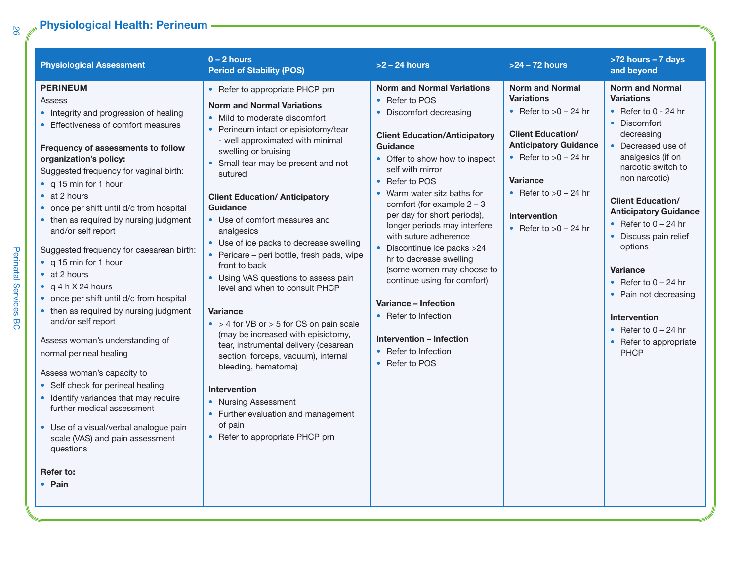### **Physiological Health: Perineum**

| <b>Physiological Assessment</b>                                                                                                                                                                                                                                                                                                                                                                                                                                                                                                                                                                                                                                                                                                                                                                                                                                                                                                                   | $0 - 2$ hours<br><b>Period of Stability (POS)</b>                                                                                                                                                                                                                                                                                                                                                                                                                                                                                                                                                                                                                                                                                                                                                                                                                                                                  | $>2 - 24$ hours                                                                                                                                                                                                                                                                                                                                                                                                                                                                                                                                                                                               | $>24 - 72$ hours                                                                                                                                                                                                                                              | >72 hours - 7 days<br>and beyond                                                                                                                                                                                                                                                                                                                                                                                                                                                |
|---------------------------------------------------------------------------------------------------------------------------------------------------------------------------------------------------------------------------------------------------------------------------------------------------------------------------------------------------------------------------------------------------------------------------------------------------------------------------------------------------------------------------------------------------------------------------------------------------------------------------------------------------------------------------------------------------------------------------------------------------------------------------------------------------------------------------------------------------------------------------------------------------------------------------------------------------|--------------------------------------------------------------------------------------------------------------------------------------------------------------------------------------------------------------------------------------------------------------------------------------------------------------------------------------------------------------------------------------------------------------------------------------------------------------------------------------------------------------------------------------------------------------------------------------------------------------------------------------------------------------------------------------------------------------------------------------------------------------------------------------------------------------------------------------------------------------------------------------------------------------------|---------------------------------------------------------------------------------------------------------------------------------------------------------------------------------------------------------------------------------------------------------------------------------------------------------------------------------------------------------------------------------------------------------------------------------------------------------------------------------------------------------------------------------------------------------------------------------------------------------------|---------------------------------------------------------------------------------------------------------------------------------------------------------------------------------------------------------------------------------------------------------------|---------------------------------------------------------------------------------------------------------------------------------------------------------------------------------------------------------------------------------------------------------------------------------------------------------------------------------------------------------------------------------------------------------------------------------------------------------------------------------|
| <b>PERINEUM</b><br>Assess<br>• Integrity and progression of healing<br>• Effectiveness of comfort measures<br>Frequency of assessments to follow<br>organization's policy:<br>Suggested frequency for vaginal birth:<br>• q 15 min for 1 hour<br>$\bullet$ at 2 hours<br>• once per shift until d/c from hospital<br>• then as required by nursing judgment<br>and/or self report<br>Suggested frequency for caesarean birth:<br>• q 15 min for 1 hour<br>$\bullet$ at 2 hours<br>$\bullet$ a 4 h X 24 hours<br>• once per shift until d/c from hospital<br>• then as required by nursing judgment<br>and/or self report<br>Assess woman's understanding of<br>normal perineal healing<br>Assess woman's capacity to<br>• Self check for perineal healing<br>• Identify variances that may require<br>further medical assessment<br>• Use of a visual/verbal analogue pain<br>scale (VAS) and pain assessment<br>questions<br>Refer to:<br>• Pain | • Refer to appropriate PHCP prn<br><b>Norm and Normal Variations</b><br>• Mild to moderate discomfort<br>• Perineum intact or episiotomy/tear<br>- well approximated with minimal<br>swelling or bruising<br>• Small tear may be present and not<br>sutured<br><b>Client Education/ Anticipatory</b><br><b>Guidance</b><br>• Use of comfort measures and<br>analgesics<br>• Use of ice packs to decrease swelling<br>• Pericare – peri bottle, fresh pads, wipe<br>front to back<br>• Using VAS questions to assess pain<br>level and when to consult PHCP<br><b>Variance</b><br>$\bullet$ > 4 for VB or > 5 for CS on pain scale<br>(may be increased with episiotomy,<br>tear, instrumental delivery (cesarean<br>section, forceps, vacuum), internal<br>bleeding, hematoma)<br><b>Intervention</b><br>• Nursing Assessment<br>• Further evaluation and management<br>of pain<br>• Refer to appropriate PHCP prn | <b>Norm and Normal Variations</b><br>• Refer to POS<br>• Discomfort decreasing<br><b>Client Education/Anticipatory</b><br>Guidance<br>• Offer to show how to inspect<br>self with mirror<br>• Refer to POS<br>• Warm water sitz baths for<br>comfort (for example $2 - 3$<br>per day for short periods),<br>longer periods may interfere<br>with suture adherence<br>• Discontinue ice packs >24<br>hr to decrease swelling<br>(some women may choose to<br>continue using for comfort)<br>Variance - Infection<br>• Refer to Infection<br>Intervention - Infection<br>• Refer to Infection<br>• Refer to POS | <b>Norm and Normal</b><br><b>Variations</b><br>• Refer to $>0 - 24$ hr<br><b>Client Education/</b><br><b>Anticipatory Guidance</b><br>• Refer to $>0 - 24$ hr<br><b>Variance</b><br>• Refer to $>0 - 24$ hr<br><b>Intervention</b><br>• Refer to $>0 - 24$ hr | <b>Norm and Normal</b><br><b>Variations</b><br>• Refer to $0 - 24$ hr<br>• Discomfort<br>decreasing<br>• Decreased use of<br>analgesics (if on<br>narcotic switch to<br>non narcotic)<br><b>Client Education/</b><br><b>Anticipatory Guidance</b><br>• Refer to $0 - 24$ hr<br>• Discuss pain relief<br>options<br><b>Variance</b><br>• Refer to $0 - 24$ hr<br>• Pain not decreasing<br><b>Intervention</b><br>• Refer to $0 - 24$ hr<br>• Refer to appropriate<br><b>PHCP</b> |

Perinatal Services BC

Perinatal Services BC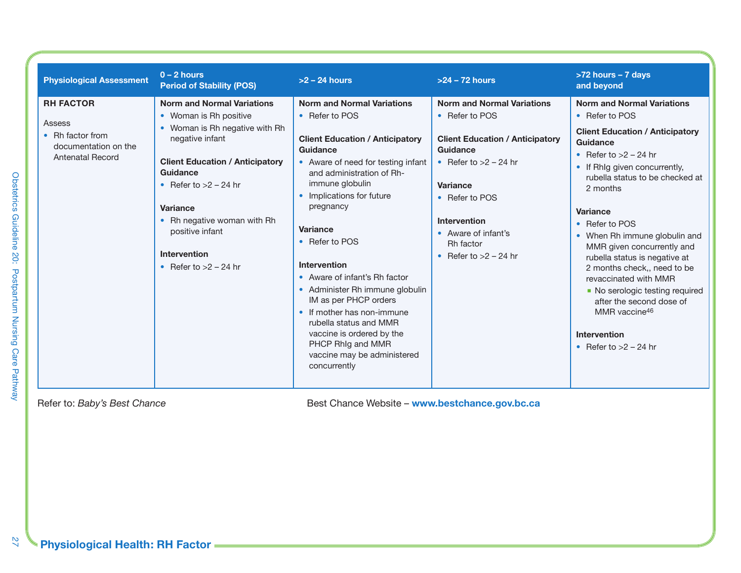| <b>Physiological Assessment</b>                                                                   | $0 - 2$ hours<br><b>Period of Stability (POS)</b>                                                                                                                                                                                                                                                                 | $>2 - 24$ hours                                                                                                                                                                                                                                                                                                                                                                                                                                                                                                                                      | $>24 - 72$ hours                                                                                                                                                                                                                                  | >72 hours - 7 days<br>and beyond                                                                                                                                                                                                                                                                                                                                                                                                                                                                                                             |
|---------------------------------------------------------------------------------------------------|-------------------------------------------------------------------------------------------------------------------------------------------------------------------------------------------------------------------------------------------------------------------------------------------------------------------|------------------------------------------------------------------------------------------------------------------------------------------------------------------------------------------------------------------------------------------------------------------------------------------------------------------------------------------------------------------------------------------------------------------------------------------------------------------------------------------------------------------------------------------------------|---------------------------------------------------------------------------------------------------------------------------------------------------------------------------------------------------------------------------------------------------|----------------------------------------------------------------------------------------------------------------------------------------------------------------------------------------------------------------------------------------------------------------------------------------------------------------------------------------------------------------------------------------------------------------------------------------------------------------------------------------------------------------------------------------------|
| <b>RH FACTOR</b><br>Assess<br>• Rh factor from<br>documentation on the<br><b>Antenatal Record</b> | <b>Norm and Normal Variations</b><br>• Woman is Rh positive<br>• Woman is Rh negative with Rh<br>negative infant<br><b>Client Education / Anticipatory</b><br>Guidance<br>• Refer to $>2$ – 24 hr<br>Variance<br>• Rh negative woman with Rh<br>positive infant<br><b>Intervention</b><br>• Refer to $>2$ – 24 hr | <b>Norm and Normal Variations</b><br>• Refer to POS<br><b>Client Education / Anticipatory</b><br>Guidance<br>• Aware of need for testing infant<br>and administration of Rh-<br>immune globulin<br>• Implications for future<br>pregnancy<br>Variance<br>• Refer to POS<br><b>Intervention</b><br>• Aware of infant's Rh factor<br>• Administer Rh immune globulin<br>IM as per PHCP orders<br>• If mother has non-immune<br>rubella status and MMR<br>vaccine is ordered by the<br>PHCP Rhlg and MMR<br>vaccine may be administered<br>concurrently | <b>Norm and Normal Variations</b><br>• Refer to POS<br><b>Client Education / Anticipatory</b><br>Guidance<br>• Refer to $>2$ – 24 hr<br>Variance<br>• Refer to POS<br>Intervention<br>• Aware of infant's<br>Rh factor<br>• Refer to $>2$ – 24 hr | <b>Norm and Normal Variations</b><br>• Refer to POS<br><b>Client Education / Anticipatory</b><br>Guidance<br>• Refer to $>2$ – 24 hr<br>• If Rhig given concurrently,<br>rubella status to be checked at<br>2 months<br><b>Variance</b><br>• Refer to POS<br>• When Rh immune globulin and<br>MMR given concurrently and<br>rubella status is negative at<br>2 months check,, need to be<br>revaccinated with MMR<br>• No serologic testing required<br>after the second dose of<br>MMR vaccine46<br>Intervention<br>• Refer to $>2$ – 24 hr |

Refer to: *Baby's Best Chance* **Best Chance** *Best Chance Website* – **www.bestchance.gov.bc.ca** 

 $\overline{27}$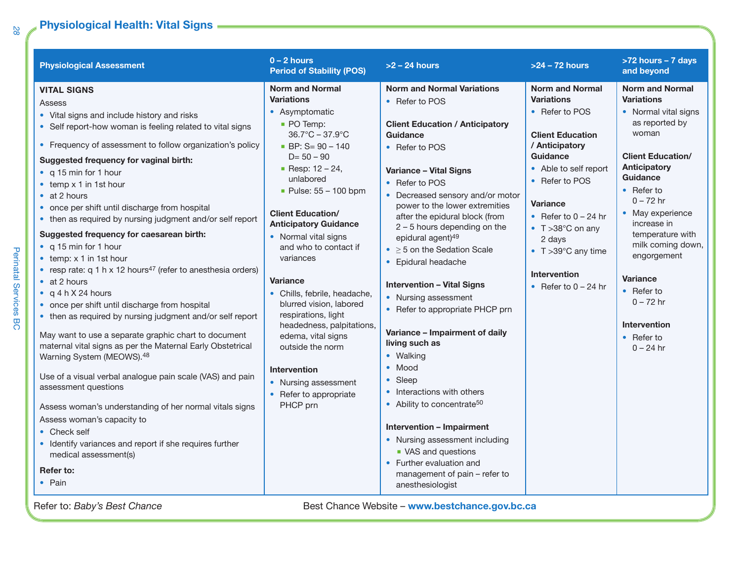### **Physiological Health: Vital Signs**

| <b>Physiological Assessment</b>                                                                                                                                                                                                                                                                                                                                                                                                                                                                                                                                                                                                                                                                                                                                                                                                                                                                                                                                                                                                                                                                                                                                                                                                                                                             | $0 - 2$ hours<br><b>Period of Stability (POS)</b>                                                                                                                                                                                                                                                                                                                                                                                                                                                                                                                                                                            | $>2$ – 24 hours                                                                                                                                                                                                                                                                                                                                                                                                                                                                                                                                                                                                                                                                                                                                                                                                                                                            | $>24 - 72$ hours                                                                                                                                                                                                                                                                                                                         | >72 hours - 7 days<br>and beyond                                                                                                                                                                                                                                                                                                                                                                                 |
|---------------------------------------------------------------------------------------------------------------------------------------------------------------------------------------------------------------------------------------------------------------------------------------------------------------------------------------------------------------------------------------------------------------------------------------------------------------------------------------------------------------------------------------------------------------------------------------------------------------------------------------------------------------------------------------------------------------------------------------------------------------------------------------------------------------------------------------------------------------------------------------------------------------------------------------------------------------------------------------------------------------------------------------------------------------------------------------------------------------------------------------------------------------------------------------------------------------------------------------------------------------------------------------------|------------------------------------------------------------------------------------------------------------------------------------------------------------------------------------------------------------------------------------------------------------------------------------------------------------------------------------------------------------------------------------------------------------------------------------------------------------------------------------------------------------------------------------------------------------------------------------------------------------------------------|----------------------------------------------------------------------------------------------------------------------------------------------------------------------------------------------------------------------------------------------------------------------------------------------------------------------------------------------------------------------------------------------------------------------------------------------------------------------------------------------------------------------------------------------------------------------------------------------------------------------------------------------------------------------------------------------------------------------------------------------------------------------------------------------------------------------------------------------------------------------------|------------------------------------------------------------------------------------------------------------------------------------------------------------------------------------------------------------------------------------------------------------------------------------------------------------------------------------------|------------------------------------------------------------------------------------------------------------------------------------------------------------------------------------------------------------------------------------------------------------------------------------------------------------------------------------------------------------------------------------------------------------------|
| <b>VITAL SIGNS</b><br>Assess<br>• Vital signs and include history and risks<br>• Self report-how woman is feeling related to vital signs<br>• Frequency of assessment to follow organization's policy<br>Suggested frequency for vaginal birth:<br>• q 15 min for 1 hour<br>$\bullet$ temp $\times$ 1 in 1st hour<br>$\bullet$ at 2 hours<br>• once per shift until discharge from hospital<br>• then as required by nursing judgment and/or self report<br>Suggested frequency for caesarean birth:<br>• q 15 min for 1 hour<br>$\bullet$ temp: $\times$ 1 in 1st hour<br>• resp rate: $q 1 h \times 12$ hours <sup>47</sup> (refer to anesthesia orders)<br>$\bullet$ at 2 hours<br>$\bullet$ q 4 h X 24 hours<br>• once per shift until discharge from hospital<br>• then as required by nursing judgment and/or self report<br>May want to use a separate graphic chart to document<br>maternal vital signs as per the Maternal Early Obstetrical<br>Warning System (MEOWS).48<br>Use of a visual verbal analogue pain scale (VAS) and pain<br>assessment questions<br>Assess woman's understanding of her normal vitals signs<br>Assess woman's capacity to<br>• Check self<br>• Identify variances and report if she requires further<br>medical assessment(s)<br>Refer to:<br>• Pain | <b>Norm and Normal</b><br><b>Variations</b><br>• Asymptomatic<br>• PO Temp:<br>$36.7^{\circ}$ C – 37.9 $^{\circ}$ C<br>$\blacksquare$ BP: S= 90 - 140<br>$D = 50 - 90$<br>Resp: $12 - 24$ ,<br>unlabored<br>Pulse: $55 - 100$ bpm<br><b>Client Education/</b><br><b>Anticipatory Guidance</b><br>• Normal vital signs<br>and who to contact if<br>variances<br><b>Variance</b><br>• Chills, febrile, headache,<br>blurred vision, labored<br>respirations, light<br>headedness, palpitations,<br>edema, vital signs<br>outside the norm<br><b>Intervention</b><br>• Nursing assessment<br>• Refer to appropriate<br>PHCP prn | <b>Norm and Normal Variations</b><br>• Refer to POS<br><b>Client Education / Anticipatory</b><br><b>Guidance</b><br>• Refer to POS<br><b>Variance - Vital Signs</b><br>• Refer to POS<br>• Decreased sensory and/or motor<br>power to the lower extremities<br>after the epidural block (from<br>$2 - 5$ hours depending on the<br>epidural agent) <sup>49</sup><br>$\bullet$ > 5 on the Sedation Scale<br>• Epidural headache<br><b>Intervention - Vital Signs</b><br>• Nursing assessment<br>• Refer to appropriate PHCP prn<br>Variance - Impairment of daily<br>living such as<br>• Walking<br>• Mood<br>• Sleep<br>• Interactions with others<br>• Ability to concentrate <sup>50</sup><br><b>Intervention - Impairment</b><br>• Nursing assessment including<br>• VAS and questions<br>• Further evaluation and<br>management of pain - refer to<br>anesthesiologist | <b>Norm and Normal</b><br><b>Variations</b><br>• Refer to POS<br><b>Client Education</b><br>/ Anticipatory<br>Guidance<br>• Able to self report<br>• Refer to POS<br><b>Variance</b><br>• Refer to $0 - 24$ hr<br>$\bullet$ T > 38 $^{\circ}$ C on any<br>2 days<br>• T > 39°C any time<br><b>Intervention</b><br>• Refer to $0 - 24$ hr | <b>Norm and Normal</b><br><b>Variations</b><br>• Normal vital signs<br>as reported by<br>woman<br><b>Client Education/</b><br><b>Anticipatory</b><br><b>Guidance</b><br>$\bullet$ Refer to<br>$0 - 72$ hr<br>• May experience<br>increase in<br>temperature with<br>milk coming down,<br>engorgement<br><b>Variance</b><br>• Refer to<br>$0 - 72$ hr<br><b>Intervention</b><br>$\bullet$ Refer to<br>$0 - 24$ hr |

*28*

Perinatal Services BC

Perinatal Services BC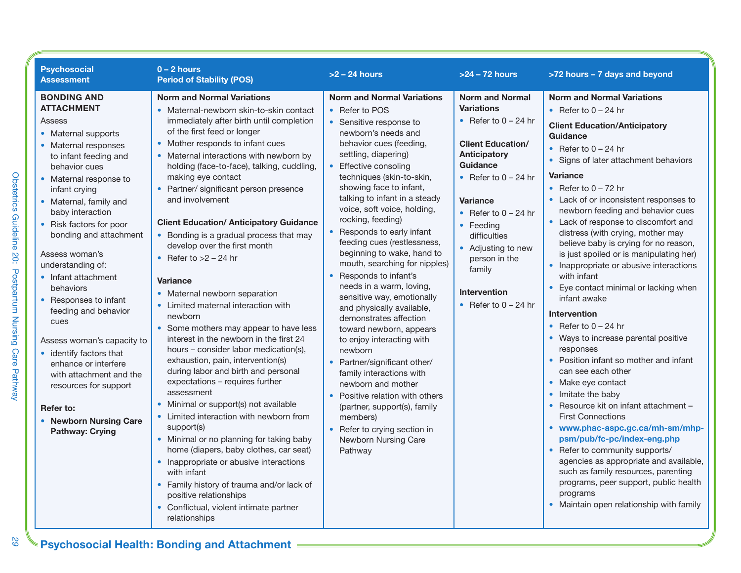| <b>Psychosocial</b><br><b>Assessment</b>                                                                                                                                                                                                                                                                                                                                                                                                                                                                                                                                                                                           | $0 - 2$ hours<br><b>Period of Stability (POS)</b>                                                                                                                                                                                                                                                                                                                                                                                                                                                                                                                                                                                                                                                                                                                                                                                                                                                                                                                                                                                                                                                                                                                                                                                                                                     | $>2$ – 24 hours                                                                                                                                                                                                                                                                                                                                                                                                                                                                                                                                                                                                                                                                                                                                                                                                                                                                                      | $>24 - 72$ hours                                                                                                                                                                                                                                                                                                                    | >72 hours - 7 days and beyond                                                                                                                                                                                                                                                                                                                                                                                                                                                                                                                                                                                                                                                                                                                                                                                                                                                                                                                                                                                                                                                                                                                                                  |
|------------------------------------------------------------------------------------------------------------------------------------------------------------------------------------------------------------------------------------------------------------------------------------------------------------------------------------------------------------------------------------------------------------------------------------------------------------------------------------------------------------------------------------------------------------------------------------------------------------------------------------|---------------------------------------------------------------------------------------------------------------------------------------------------------------------------------------------------------------------------------------------------------------------------------------------------------------------------------------------------------------------------------------------------------------------------------------------------------------------------------------------------------------------------------------------------------------------------------------------------------------------------------------------------------------------------------------------------------------------------------------------------------------------------------------------------------------------------------------------------------------------------------------------------------------------------------------------------------------------------------------------------------------------------------------------------------------------------------------------------------------------------------------------------------------------------------------------------------------------------------------------------------------------------------------|------------------------------------------------------------------------------------------------------------------------------------------------------------------------------------------------------------------------------------------------------------------------------------------------------------------------------------------------------------------------------------------------------------------------------------------------------------------------------------------------------------------------------------------------------------------------------------------------------------------------------------------------------------------------------------------------------------------------------------------------------------------------------------------------------------------------------------------------------------------------------------------------------|-------------------------------------------------------------------------------------------------------------------------------------------------------------------------------------------------------------------------------------------------------------------------------------------------------------------------------------|--------------------------------------------------------------------------------------------------------------------------------------------------------------------------------------------------------------------------------------------------------------------------------------------------------------------------------------------------------------------------------------------------------------------------------------------------------------------------------------------------------------------------------------------------------------------------------------------------------------------------------------------------------------------------------------------------------------------------------------------------------------------------------------------------------------------------------------------------------------------------------------------------------------------------------------------------------------------------------------------------------------------------------------------------------------------------------------------------------------------------------------------------------------------------------|
| <b>BONDING AND</b><br><b>ATTACHMENT</b><br>Assess<br>• Maternal supports<br>• Maternal responses<br>to infant feeding and<br>behavior cues<br>• Maternal response to<br>infant crying<br>• Maternal, family and<br>baby interaction<br>• Risk factors for poor<br>bonding and attachment<br>Assess woman's<br>understanding of:<br>• Infant attachment<br>behaviors<br>• Responses to infant<br>feeding and behavior<br>cues<br>Assess woman's capacity to<br>• identify factors that<br>enhance or interfere<br>with attachment and the<br>resources for support<br>Refer to:<br>• Newborn Nursing Care<br><b>Pathway: Crying</b> | <b>Norm and Normal Variations</b><br>· Maternal-newborn skin-to-skin contact<br>immediately after birth until completion<br>of the first feed or longer<br>• Mother responds to infant cues<br>• Maternal interactions with newborn by<br>holding (face-to-face), talking, cuddling,<br>making eye contact<br>• Partner/ significant person presence<br>and involvement<br><b>Client Education/ Anticipatory Guidance</b><br>• Bonding is a gradual process that may<br>develop over the first month<br>• Refer to $>2 - 24$ hr<br><b>Variance</b><br>• Maternal newborn separation<br>• Limited maternal interaction with<br>newborn<br>• Some mothers may appear to have less<br>interest in the newborn in the first 24<br>hours – consider labor medication(s),<br>exhaustion, pain, intervention(s)<br>during labor and birth and personal<br>expectations - requires further<br>assessment<br>• Minimal or support(s) not available<br>• Limited interaction with newborn from<br>support(s)<br>• Minimal or no planning for taking baby<br>home (diapers, baby clothes, car seat)<br>• Inappropriate or abusive interactions<br>with infant<br>• Family history of trauma and/or lack of<br>positive relationships<br>• Conflictual, violent intimate partner<br>relationships | <b>Norm and Normal Variations</b><br>• Refer to POS<br>• Sensitive response to<br>newborn's needs and<br>behavior cues (feeding,<br>settling, diapering)<br>Effective consoling<br>techniques (skin-to-skin,<br>showing face to infant,<br>talking to infant in a steady<br>voice, soft voice, holding,<br>rocking, feeding)<br>Responds to early infant<br>feeding cues (restlessness,<br>beginning to wake, hand to<br>mouth, searching for nipples)<br>Responds to infant's<br>needs in a warm, loving,<br>sensitive way, emotionally<br>and physically available,<br>demonstrates affection<br>toward newborn, appears<br>to enjoy interacting with<br>newborn<br>• Partner/significant other/<br>family interactions with<br>newborn and mother<br>Positive relation with others<br>(partner, support(s), family<br>members)<br>• Refer to crying section in<br>Newborn Nursing Care<br>Pathway | <b>Norm and Normal</b><br><b>Variations</b><br>• Refer to $0 - 24$ hr<br><b>Client Education/</b><br>Anticipatory<br>Guidance<br>• Refer to $0 - 24$ hr<br><b>Variance</b><br>• Refer to $0 - 24$ hr<br>• Feeding<br>difficulties<br>• Adjusting to new<br>person in the<br>family<br><b>Intervention</b><br>• Refer to $0 - 24$ hr | <b>Norm and Normal Variations</b><br>• Refer to $0 - 24$ hr<br><b>Client Education/Anticipatory</b><br><b>Guidance</b><br>• Refer to $0 - 24$ hr<br>• Signs of later attachment behaviors<br><b>Variance</b><br>• Refer to $0 - 72$ hr<br>• Lack of or inconsistent responses to<br>newborn feeding and behavior cues<br>• Lack of response to discomfort and<br>distress (with crying, mother may<br>believe baby is crying for no reason,<br>is just spoiled or is manipulating her)<br>• Inappropriate or abusive interactions<br>with infant<br>Eye contact minimal or lacking when<br>infant awake<br>Intervention<br>• Refer to $0 - 24$ hr<br>• Ways to increase parental positive<br>responses<br>• Position infant so mother and infant<br>can see each other<br>• Make eye contact<br>• Imitate the baby<br>• Resource kit on infant attachment -<br><b>First Connections</b><br>• www.phac-aspc.gc.ca/mh-sm/mhp-<br>psm/pub/fc-pc/index-eng.php<br>• Refer to community supports/<br>agencies as appropriate and available,<br>such as family resources, parenting<br>programs, peer support, public health<br>programs<br>• Maintain open relationship with family |

Obstetrics Guideline 20: Postpartum Nursing Care Pathway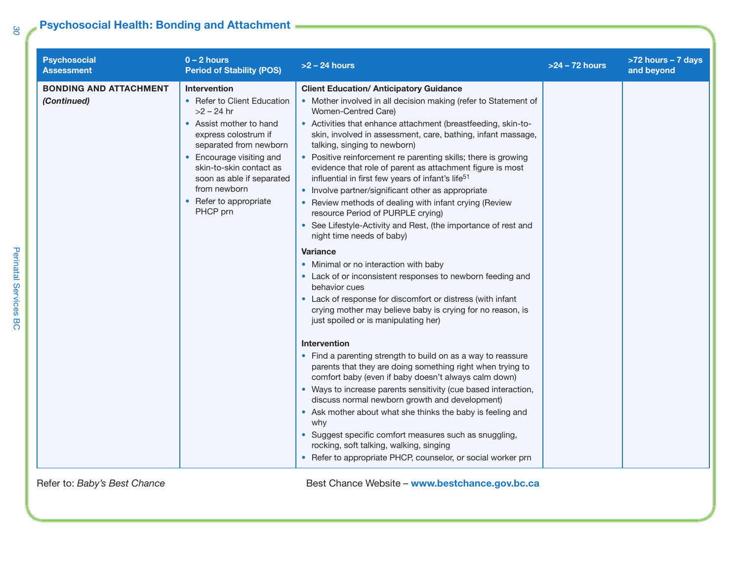### **Psychosocial Health: Bonding and Attachment**

| <b>Psychosocial</b><br><b>Assessment</b>     | $0 - 2$ hours<br><b>Period of Stability (POS)</b>                                                                                                                                                                                                                                                  | $>2$ – 24 hours                                                                                                                                                                                                                                                                                                                                                                                                                                                                                                                                                                                                                                                                                                                                                                                                                                                                                                                                                                                                                                                                                                                                                                                                                                                                                                                                                                                                                                                                                                                                                                                                                                         | $>24 - 72$ hours | >72 hours - 7 days<br>and beyond |
|----------------------------------------------|----------------------------------------------------------------------------------------------------------------------------------------------------------------------------------------------------------------------------------------------------------------------------------------------------|---------------------------------------------------------------------------------------------------------------------------------------------------------------------------------------------------------------------------------------------------------------------------------------------------------------------------------------------------------------------------------------------------------------------------------------------------------------------------------------------------------------------------------------------------------------------------------------------------------------------------------------------------------------------------------------------------------------------------------------------------------------------------------------------------------------------------------------------------------------------------------------------------------------------------------------------------------------------------------------------------------------------------------------------------------------------------------------------------------------------------------------------------------------------------------------------------------------------------------------------------------------------------------------------------------------------------------------------------------------------------------------------------------------------------------------------------------------------------------------------------------------------------------------------------------------------------------------------------------------------------------------------------------|------------------|----------------------------------|
| <b>BONDING AND ATTACHMENT</b><br>(Continued) | <b>Intervention</b><br>• Refer to Client Education<br>$>2 - 24$ hr<br>• Assist mother to hand<br>express colostrum if<br>separated from newborn<br>Encourage visiting and<br>$\bullet$<br>skin-to-skin contact as<br>soon as able if separated<br>from newborn<br>Refer to appropriate<br>PHCP prn | <b>Client Education/ Anticipatory Guidance</b><br>• Mother involved in all decision making (refer to Statement of<br>Women-Centred Care)<br>• Activities that enhance attachment (breastfeeding, skin-to-<br>skin, involved in assessment, care, bathing, infant massage,<br>talking, singing to newborn)<br>• Positive reinforcement re parenting skills; there is growing<br>evidence that role of parent as attachment figure is most<br>influential in first few years of infant's life <sup>51</sup><br>• Involve partner/significant other as appropriate<br>• Review methods of dealing with infant crying (Review<br>resource Period of PURPLE crying)<br>• See Lifestyle-Activity and Rest, (the importance of rest and<br>night time needs of baby)<br><b>Variance</b><br>• Minimal or no interaction with baby<br>• Lack of or inconsistent responses to newborn feeding and<br>behavior cues<br>• Lack of response for discomfort or distress (with infant<br>crying mother may believe baby is crying for no reason, is<br>just spoiled or is manipulating her)<br><b>Intervention</b><br>• Find a parenting strength to build on as a way to reassure<br>parents that they are doing something right when trying to<br>comfort baby (even if baby doesn't always calm down)<br>• Ways to increase parents sensitivity (cue based interaction,<br>discuss normal newborn growth and development)<br>• Ask mother about what she thinks the baby is feeling and<br>why<br>• Suggest specific comfort measures such as snuggling,<br>rocking, soft talking, walking, singing<br>• Refer to appropriate PHCP, counselor, or social worker prn |                  |                                  |
| Refer to: Baby's Best Chance                 |                                                                                                                                                                                                                                                                                                    | Best Chance Website - www.bestchance.gov.bc.ca                                                                                                                                                                                                                                                                                                                                                                                                                                                                                                                                                                                                                                                                                                                                                                                                                                                                                                                                                                                                                                                                                                                                                                                                                                                                                                                                                                                                                                                                                                                                                                                                          |                  |                                  |

*30*

Perinatal Services BC

Perinatal Services BC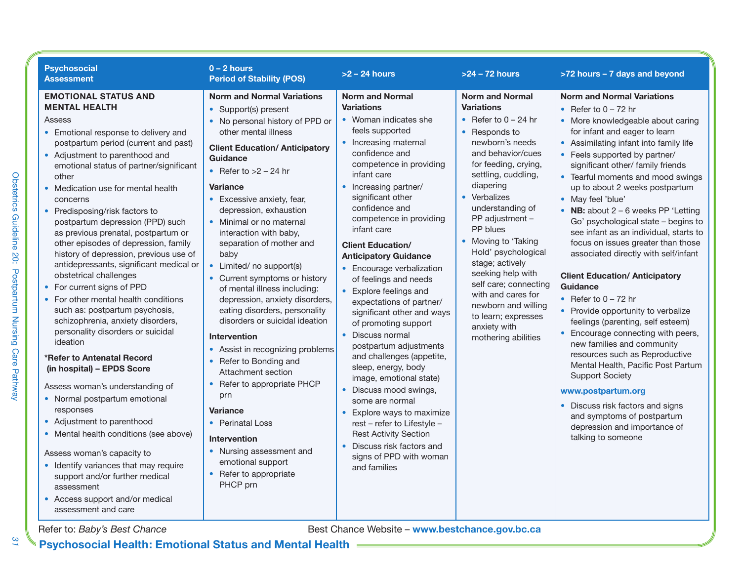| <b>Psychosocial</b><br><b>Assessment</b>                                                                                                                                                                                                                                                                                                                                                                                                                                                                                                                                                                                                                                                                                                                                                                                                                                                                                                                                                                                                                                                                                                                             | $0 - 2$ hours<br><b>Period of Stability (POS)</b>                                                                                                                                                                                                                                                                                                                                                                                                                                                                                                                                                                                                                                                                                                                                                                                                                                          | $>2$ – 24 hours                                                                                                                                                                                                                                                                                                                                                                                                                                                                                                                                                                                                                                                                                                                                                                                                                                                    | $>24 - 72$ hours                                                                                                                                                                                                                                                                                                                                                                                                                                                                        | >72 hours - 7 days and beyond                                                                                                                                                                                                                                                                                                                                                                                                                                                                                                                                                                                                                                                                                                                                                                                                                                                                                                                                                                                                              |
|----------------------------------------------------------------------------------------------------------------------------------------------------------------------------------------------------------------------------------------------------------------------------------------------------------------------------------------------------------------------------------------------------------------------------------------------------------------------------------------------------------------------------------------------------------------------------------------------------------------------------------------------------------------------------------------------------------------------------------------------------------------------------------------------------------------------------------------------------------------------------------------------------------------------------------------------------------------------------------------------------------------------------------------------------------------------------------------------------------------------------------------------------------------------|--------------------------------------------------------------------------------------------------------------------------------------------------------------------------------------------------------------------------------------------------------------------------------------------------------------------------------------------------------------------------------------------------------------------------------------------------------------------------------------------------------------------------------------------------------------------------------------------------------------------------------------------------------------------------------------------------------------------------------------------------------------------------------------------------------------------------------------------------------------------------------------------|--------------------------------------------------------------------------------------------------------------------------------------------------------------------------------------------------------------------------------------------------------------------------------------------------------------------------------------------------------------------------------------------------------------------------------------------------------------------------------------------------------------------------------------------------------------------------------------------------------------------------------------------------------------------------------------------------------------------------------------------------------------------------------------------------------------------------------------------------------------------|-----------------------------------------------------------------------------------------------------------------------------------------------------------------------------------------------------------------------------------------------------------------------------------------------------------------------------------------------------------------------------------------------------------------------------------------------------------------------------------------|--------------------------------------------------------------------------------------------------------------------------------------------------------------------------------------------------------------------------------------------------------------------------------------------------------------------------------------------------------------------------------------------------------------------------------------------------------------------------------------------------------------------------------------------------------------------------------------------------------------------------------------------------------------------------------------------------------------------------------------------------------------------------------------------------------------------------------------------------------------------------------------------------------------------------------------------------------------------------------------------------------------------------------------------|
| <b>EMOTIONAL STATUS AND</b><br><b>MENTAL HEALTH</b><br><b>Assess</b><br>• Emotional response to delivery and<br>postpartum period (current and past)<br>• Adjustment to parenthood and<br>emotional status of partner/significant<br>other<br>• Medication use for mental health<br>concerns<br>• Predisposing/risk factors to<br>postpartum depression (PPD) such<br>as previous prenatal, postpartum or<br>other episodes of depression, family<br>history of depression, previous use of<br>antidepressants, significant medical or<br>obstetrical challenges<br>• For current signs of PPD<br>• For other mental health conditions<br>such as: postpartum psychosis,<br>schizophrenia, anxiety disorders,<br>personality disorders or suicidal<br>ideation<br>*Refer to Antenatal Record<br>(in hospital) - EPDS Score<br>Assess woman's understanding of<br>• Normal postpartum emotional<br>responses<br>• Adjustment to parenthood<br>• Mental health conditions (see above)<br>Assess woman's capacity to<br>• Identify variances that may require<br>support and/or further medical<br>assessment<br>• Access support and/or medical<br>assessment and care | <b>Norm and Normal Variations</b><br>• Support(s) present<br>• No personal history of PPD or<br>other mental illness<br><b>Client Education/ Anticipatory</b><br>Guidance<br>• Refer to $>2$ – 24 hr<br><b>Variance</b><br>• Excessive anxiety, fear,<br>depression, exhaustion<br>• Minimal or no maternal<br>interaction with baby,<br>separation of mother and<br>baby<br>• Limited/ no support(s)<br>Current symptoms or history<br>of mental illness including:<br>depression, anxiety disorders,<br>eating disorders, personality<br>disorders or suicidal ideation<br><b>Intervention</b><br>• Assist in recognizing problems<br>Refer to Bonding and<br>$\bullet$<br>Attachment section<br>• Refer to appropriate PHCP<br>prn<br><b>Variance</b><br>• Perinatal Loss<br><b>Intervention</b><br>• Nursing assessment and<br>emotional support<br>• Refer to appropriate<br>PHCP prn | <b>Norm and Normal</b><br><b>Variations</b><br>• Woman indicates she<br>feels supported<br>• Increasing maternal<br>confidence and<br>competence in providing<br>infant care<br>• Increasing partner/<br>significant other<br>confidence and<br>competence in providing<br>infant care<br><b>Client Education/</b><br><b>Anticipatory Guidance</b><br>• Encourage verbalization<br>of feelings and needs<br>• Explore feelings and<br>expectations of partner/<br>significant other and ways<br>of promoting support<br>• Discuss normal<br>postpartum adjustments<br>and challenges (appetite,<br>sleep, energy, body<br>image, emotional state)<br>• Discuss mood swings,<br>some are normal<br>• Explore ways to maximize<br>rest - refer to Lifestyle -<br><b>Rest Activity Section</b><br>Discuss risk factors and<br>signs of PPD with woman<br>and families | <b>Norm and Normal</b><br><b>Variations</b><br>• Refer to $0 - 24$ hr<br>• Responds to<br>newborn's needs<br>and behavior/cues<br>for feeding, crying,<br>settling, cuddling,<br>diapering<br>• Verbalizes<br>understanding of<br>PP adjustment -<br>PP blues<br>• Moving to 'Taking<br>Hold' psychological<br>stage; actively<br>seeking help with<br>self care; connecting<br>with and cares for<br>newborn and willing<br>to learn; expresses<br>anxiety with<br>mothering abilities | <b>Norm and Normal Variations</b><br>• Refer to $0 - 72$ hr<br>• More knowledgeable about caring<br>for infant and eager to learn<br>• Assimilating infant into family life<br>• Feels supported by partner/<br>significant other/ family friends<br>• Tearful moments and mood swings<br>up to about 2 weeks postpartum<br>• May feel 'blue'<br>• NB: about $2 - 6$ weeks PP 'Letting<br>Go' psychological state - begins to<br>see infant as an individual, starts to<br>focus on issues greater than those<br>associated directly with self/infant<br><b>Client Education/ Anticipatory</b><br><b>Guidance</b><br>• Refer to $0 - 72$ hr<br>• Provide opportunity to verbalize<br>feelings (parenting, self esteem)<br>• Encourage connecting with peers,<br>new families and community<br>resources such as Reproductive<br>Mental Health, Pacific Post Partum<br><b>Support Society</b><br>www.postpartum.org<br>• Discuss risk factors and signs<br>and symptoms of postpartum<br>depression and importance of<br>talking to someone |
| Refer to: Baby's Best Chance                                                                                                                                                                                                                                                                                                                                                                                                                                                                                                                                                                                                                                                                                                                                                                                                                                                                                                                                                                                                                                                                                                                                         |                                                                                                                                                                                                                                                                                                                                                                                                                                                                                                                                                                                                                                                                                                                                                                                                                                                                                            | Best Chance Website - www.bestchance.gov.bc.ca                                                                                                                                                                                                                                                                                                                                                                                                                                                                                                                                                                                                                                                                                                                                                                                                                     |                                                                                                                                                                                                                                                                                                                                                                                                                                                                                         |                                                                                                                                                                                                                                                                                                                                                                                                                                                                                                                                                                                                                                                                                                                                                                                                                                                                                                                                                                                                                                            |

**Psychosocial Health: Emotional Status and Mental Health**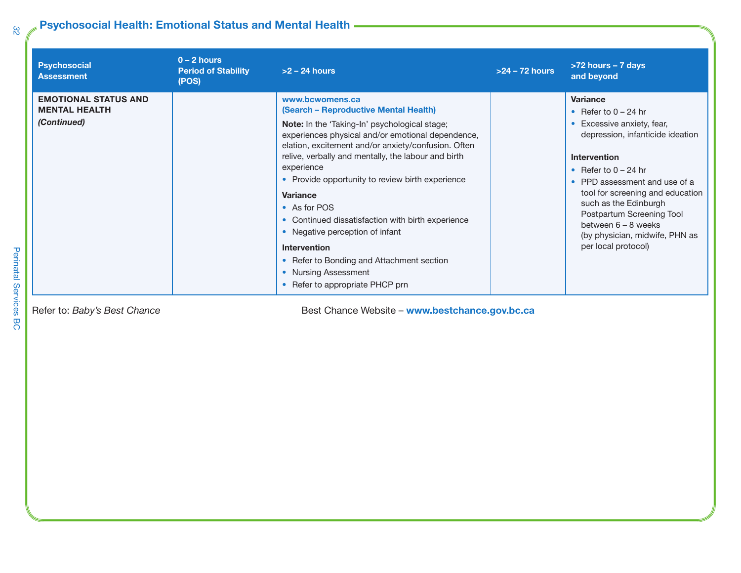## **Psychosocial Health: Emotional Status and Mental Health**

| <b>Psychosocial</b><br><b>Assessment</b>                           | $0 - 2$ hours<br><b>Period of Stability</b><br>(POS) | $>2 - 24$ hours                                                                                                                                                                                                                                                                                                                                                                                                                                                                                                                                                                                          | $>24 - 72$ hours | >72 hours - 7 days<br>and beyond                                                                                                                                                                                                                                                                                                                                          |
|--------------------------------------------------------------------|------------------------------------------------------|----------------------------------------------------------------------------------------------------------------------------------------------------------------------------------------------------------------------------------------------------------------------------------------------------------------------------------------------------------------------------------------------------------------------------------------------------------------------------------------------------------------------------------------------------------------------------------------------------------|------------------|---------------------------------------------------------------------------------------------------------------------------------------------------------------------------------------------------------------------------------------------------------------------------------------------------------------------------------------------------------------------------|
| <b>EMOTIONAL STATUS AND</b><br><b>MENTAL HEALTH</b><br>(Continued) |                                                      | www.bcwomens.ca<br>(Search - Reproductive Mental Health)<br><b>Note:</b> In the 'Taking-In' psychological stage;<br>experiences physical and/or emotional dependence,<br>elation, excitement and/or anxiety/confusion. Often<br>relive, verbally and mentally, the labour and birth<br>experience<br>• Provide opportunity to review birth experience<br>Variance<br>• As for POS<br>• Continued dissatisfaction with birth experience<br>• Negative perception of infant<br><b>Intervention</b><br>• Refer to Bonding and Attachment section<br>• Nursing Assessment<br>• Refer to appropriate PHCP prn |                  | <b>Variance</b><br>• Refer to $0 - 24$ hr<br>• Excessive anxiety, fear,<br>depression, infanticide ideation<br><b>Intervention</b><br>• Refer to $0 - 24$ hr<br>• PPD assessment and use of a<br>tool for screening and education<br>such as the Edinburgh<br>Postpartum Screening Tool<br>between $6 - 8$ weeks<br>(by physician, midwife, PHN as<br>per local protocol) |

Refer to: *Baby's Best Chance* **Best Chance** *Best Chance Website* **– www.bestchance.gov.bc.ca**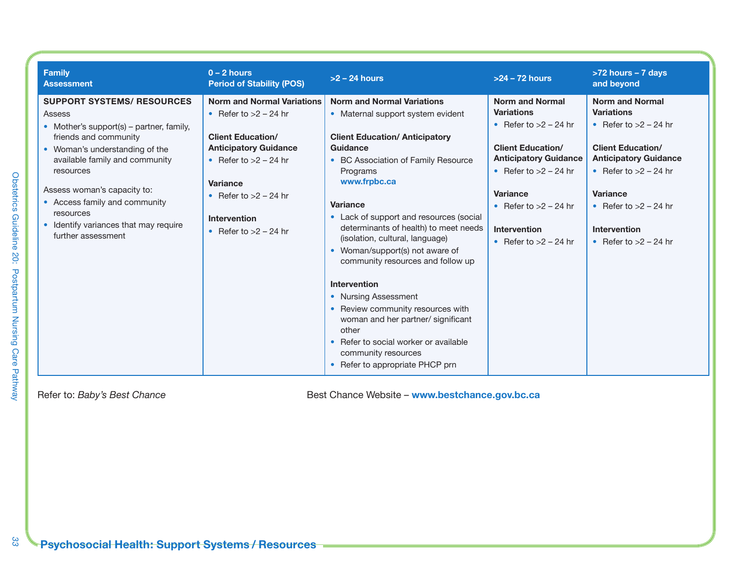| <b>Family</b><br><b>Assessment</b>                                                                                                                                                                                                                                                                                                            | $0 - 2$ hours<br><b>Period of Stability (POS)</b>                                                                                                                                                                                                   | $>2 - 24$ hours                                                                                                                                                                                                                                                                                                                                                                                                                                                                                                                                                                                                                               | $>24 - 72$ hours                                                                                                                                                                                                                                              | >72 hours - 7 days<br>and beyond                                                                                                                                                                                                                              |
|-----------------------------------------------------------------------------------------------------------------------------------------------------------------------------------------------------------------------------------------------------------------------------------------------------------------------------------------------|-----------------------------------------------------------------------------------------------------------------------------------------------------------------------------------------------------------------------------------------------------|-----------------------------------------------------------------------------------------------------------------------------------------------------------------------------------------------------------------------------------------------------------------------------------------------------------------------------------------------------------------------------------------------------------------------------------------------------------------------------------------------------------------------------------------------------------------------------------------------------------------------------------------------|---------------------------------------------------------------------------------------------------------------------------------------------------------------------------------------------------------------------------------------------------------------|---------------------------------------------------------------------------------------------------------------------------------------------------------------------------------------------------------------------------------------------------------------|
| <b>SUPPORT SYSTEMS/ RESOURCES</b><br>Assess<br>• Mother's support(s) – partner, family,<br>friends and community<br>• Woman's understanding of the<br>available family and community<br>resources<br>Assess woman's capacity to:<br>• Access family and community<br>resources<br>• Identify variances that may require<br>further assessment | <b>Norm and Normal Variations</b><br>• Refer to $>2$ – 24 hr<br><b>Client Education/</b><br><b>Anticipatory Guidance</b><br>• Refer to $>2$ – 24 hr<br><b>Variance</b><br>• Refer to $>2$ – 24 hr<br><b>Intervention</b><br>• Refer to $>2$ – 24 hr | <b>Norm and Normal Variations</b><br>• Maternal support system evident<br><b>Client Education/ Anticipatory</b><br>Guidance<br>• BC Association of Family Resource<br>Programs<br>www.frpbc.ca<br><b>Variance</b><br>• Lack of support and resources (social<br>determinants of health) to meet needs<br>(isolation, cultural, language)<br>• Woman/support(s) not aware of<br>community resources and follow up<br>Intervention<br>• Nursing Assessment<br>• Review community resources with<br>woman and her partner/ significant<br>other<br>Refer to social worker or available<br>community resources<br>• Refer to appropriate PHCP prn | <b>Norm and Normal</b><br><b>Variations</b><br>• Refer to $>2$ – 24 hr<br><b>Client Education/</b><br><b>Anticipatory Guidance</b><br>• Refer to $>2$ – 24 hr<br><b>Variance</b><br>• Refer to $>2 - 24$ hr<br><b>Intervention</b><br>• Refer to $>2$ – 24 hr | <b>Norm and Normal</b><br><b>Variations</b><br>• Refer to $>2$ – 24 hr<br><b>Client Education/</b><br><b>Anticipatory Guidance</b><br>• Refer to $>2$ – 24 hr<br><b>Variance</b><br>• Refer to $>2$ – 24 hr<br><b>Intervention</b><br>• Refer to $>2$ – 24 hr |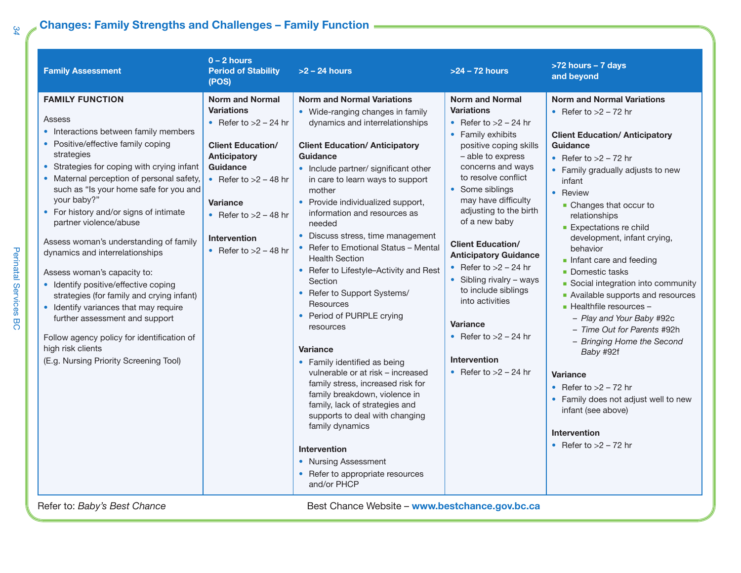### **Changes: Family Strengths and Challenges – Family Function**

| <b>Family Assessment</b>                                                                                                                                                                                                                                                                                                                                                                                                                                                                                                                                                                                                                                                                                                                       | $0 - 2$ hours<br><b>Period of Stability</b><br>(POS)                                                                                                                                                                                                             | $>2$ – 24 hours                                                                                                                                                                                                                                                                                                                                                                                                                                                                                                                                                                                                                                                                                                                                                                                                                                                                                                                                   | >24 - 72 hours                                                                                                                                                                                                                                                                                                                                                                                                                                                                                                                           | >72 hours - 7 days<br>and beyond                                                                                                                                                                                                                                                                                                                                                                                                                                                                                                                                                                                                                                                                                                                        |
|------------------------------------------------------------------------------------------------------------------------------------------------------------------------------------------------------------------------------------------------------------------------------------------------------------------------------------------------------------------------------------------------------------------------------------------------------------------------------------------------------------------------------------------------------------------------------------------------------------------------------------------------------------------------------------------------------------------------------------------------|------------------------------------------------------------------------------------------------------------------------------------------------------------------------------------------------------------------------------------------------------------------|---------------------------------------------------------------------------------------------------------------------------------------------------------------------------------------------------------------------------------------------------------------------------------------------------------------------------------------------------------------------------------------------------------------------------------------------------------------------------------------------------------------------------------------------------------------------------------------------------------------------------------------------------------------------------------------------------------------------------------------------------------------------------------------------------------------------------------------------------------------------------------------------------------------------------------------------------|------------------------------------------------------------------------------------------------------------------------------------------------------------------------------------------------------------------------------------------------------------------------------------------------------------------------------------------------------------------------------------------------------------------------------------------------------------------------------------------------------------------------------------------|---------------------------------------------------------------------------------------------------------------------------------------------------------------------------------------------------------------------------------------------------------------------------------------------------------------------------------------------------------------------------------------------------------------------------------------------------------------------------------------------------------------------------------------------------------------------------------------------------------------------------------------------------------------------------------------------------------------------------------------------------------|
| <b>FAMILY FUNCTION</b><br>Assess<br>• Interactions between family members<br>• Positive/effective family coping<br>strategies<br>• Strategies for coping with crying infant<br>• Maternal perception of personal safety,<br>such as "Is your home safe for you and<br>your baby?"<br>• For history and/or signs of intimate<br>partner violence/abuse<br>Assess woman's understanding of family<br>dynamics and interrelationships<br>Assess woman's capacity to:<br>• Identify positive/effective coping<br>strategies (for family and crying infant)<br>• Identify variances that may require<br>further assessment and support<br>Follow agency policy for identification of<br>high risk clients<br>(E.g. Nursing Priority Screening Tool) | <b>Norm and Normal</b><br><b>Variations</b><br>• Refer to $>2$ – 24 hr<br><b>Client Education/</b><br><b>Anticipatory</b><br>Guidance<br>• Refer to $>2 - 48$ hr<br><b>Variance</b><br>• Refer to $>2 - 48$ hr<br><b>Intervention</b><br>• Refer to $>2 - 48$ hr | <b>Norm and Normal Variations</b><br>• Wide-ranging changes in family<br>dynamics and interrelationships<br><b>Client Education/ Anticipatory</b><br>Guidance<br>• Include partner/ significant other<br>in care to learn ways to support<br>mother<br>• Provide individualized support,<br>information and resources as<br>needed<br>• Discuss stress, time management<br>• Refer to Emotional Status - Mental<br><b>Health Section</b><br>• Refer to Lifestyle-Activity and Rest<br>Section<br>• Refer to Support Systems/<br><b>Resources</b><br>• Period of PURPLE crying<br>resources<br><b>Variance</b><br>• Family identified as being<br>vulnerable or at risk - increased<br>family stress, increased risk for<br>family breakdown, violence in<br>family, lack of strategies and<br>supports to deal with changing<br>family dynamics<br><b>Intervention</b><br>• Nursing Assessment<br>• Refer to appropriate resources<br>and/or PHCP | <b>Norm and Normal</b><br><b>Variations</b><br>• Refer to $>2$ – 24 hr<br>• Family exhibits<br>positive coping skills<br>- able to express<br>concerns and ways<br>to resolve conflict<br>• Some siblings<br>may have difficulty<br>adjusting to the birth<br>of a new baby<br><b>Client Education/</b><br><b>Anticipatory Guidance</b><br>• Refer to $>2$ – 24 hr<br>• Sibling rivalry – ways<br>to include siblings<br>into activities<br><b>Variance</b><br>• Refer to $>2$ – 24 hr<br><b>Intervention</b><br>• Refer to $>2$ – 24 hr | <b>Norm and Normal Variations</b><br>• Refer to $>2$ – 72 hr<br><b>Client Education/ Anticipatory</b><br><b>Guidance</b><br>• Refer to $>2$ – 72 hr<br>• Family gradually adjusts to new<br>infant<br>• Review<br>• Changes that occur to<br>relationships<br><b>Expectations re child</b><br>development, infant crying,<br>behavior<br>Infant care and feeding<br>• Domestic tasks<br>Social integration into community<br>Available supports and resources<br>- Healthfile resources -<br>- Play and Your Baby #92c<br>- Time Out for Parents #92h<br>- Bringing Home the Second<br>Baby #92f<br><b>Variance</b><br>• Refer to $>2$ – 72 hr<br>• Family does not adjust well to new<br>infant (see above)<br>Intervention<br>• Refer to $>2$ – 72 hr |

*34*

Perinatal Services BC

Perinatal Services BC

Refer to: *Baby's Best Chance* Best Chance Website – **www.bestchance.gov.bc.ca**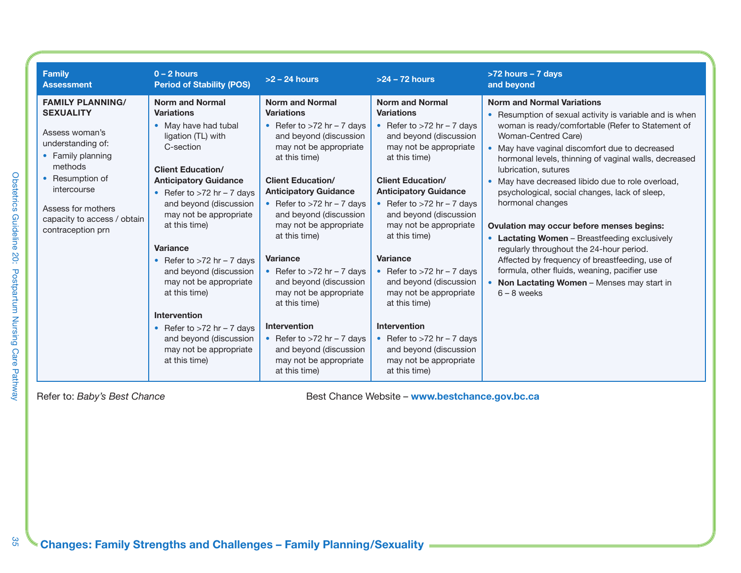| <b>Family</b><br><b>Assessment</b>                                                                                                                                                                                             | $0 - 2$ hours<br><b>Period of Stability (POS)</b>                                                                                                                                                                                                                                                                                                                                                                                                                                                                           | $>2 - 24$ hours                                                                                                                                                                                                                                                                                                                                                                                                                                                                                                                                                          | $>24 - 72$ hours                                                                                                                                                                                                                                                                                                                                                                                                                                                                                                                                               | >72 hours - 7 days<br>and beyond                                                                                                                                                                                                                                                                                                                                                                                                                                                                                                                                                                                                                                                                                                                             |
|--------------------------------------------------------------------------------------------------------------------------------------------------------------------------------------------------------------------------------|-----------------------------------------------------------------------------------------------------------------------------------------------------------------------------------------------------------------------------------------------------------------------------------------------------------------------------------------------------------------------------------------------------------------------------------------------------------------------------------------------------------------------------|--------------------------------------------------------------------------------------------------------------------------------------------------------------------------------------------------------------------------------------------------------------------------------------------------------------------------------------------------------------------------------------------------------------------------------------------------------------------------------------------------------------------------------------------------------------------------|----------------------------------------------------------------------------------------------------------------------------------------------------------------------------------------------------------------------------------------------------------------------------------------------------------------------------------------------------------------------------------------------------------------------------------------------------------------------------------------------------------------------------------------------------------------|--------------------------------------------------------------------------------------------------------------------------------------------------------------------------------------------------------------------------------------------------------------------------------------------------------------------------------------------------------------------------------------------------------------------------------------------------------------------------------------------------------------------------------------------------------------------------------------------------------------------------------------------------------------------------------------------------------------------------------------------------------------|
| <b>FAMILY PLANNING/</b><br><b>SEXUALITY</b><br>Assess woman's<br>understanding of:<br>• Family planning<br>methods<br>• Resumption of<br>intercourse<br>Assess for mothers<br>capacity to access / obtain<br>contraception prn | <b>Norm and Normal</b><br><b>Variations</b><br>• May have had tubal<br>ligation (TL) with<br>C-section<br><b>Client Education/</b><br><b>Anticipatory Guidance</b><br>• Refer to $>72$ hr – 7 days<br>and beyond (discussion<br>may not be appropriate<br>at this time)<br><b>Variance</b><br>• Refer to $>72$ hr – 7 days<br>and beyond (discussion<br>may not be appropriate<br>at this time)<br><b>Intervention</b><br>• Refer to $>72$ hr – 7 days<br>and beyond (discussion<br>may not be appropriate<br>at this time) | <b>Norm and Normal</b><br><b>Variations</b><br>• Refer to $>72$ hr – 7 days<br>and beyond (discussion<br>may not be appropriate<br>at this time)<br><b>Client Education/</b><br><b>Anticipatory Guidance</b><br>• Refer to $>72$ hr $-7$ days<br>and beyond (discussion<br>may not be appropriate<br>at this time)<br><b>Variance</b><br>• Refer to $>72$ hr $-7$ days<br>and beyond (discussion<br>may not be appropriate<br>at this time)<br><b>Intervention</b><br>• Refer to $>72$ hr $-7$ days<br>and beyond (discussion<br>may not be appropriate<br>at this time) | <b>Norm and Normal</b><br><b>Variations</b><br>• Refer to $>72$ hr – 7 days<br>and beyond (discussion<br>may not be appropriate<br>at this time)<br><b>Client Education/</b><br><b>Anticipatory Guidance</b><br>• Refer to $>72$ hr – 7 days<br>and beyond (discussion<br>may not be appropriate<br>at this time)<br>Variance<br>• Refer to $>72$ hr – 7 days<br>and beyond (discussion<br>may not be appropriate<br>at this time)<br><b>Intervention</b><br>• Refer to $>72$ hr - 7 days<br>and beyond (discussion<br>may not be appropriate<br>at this time) | <b>Norm and Normal Variations</b><br>Resumption of sexual activity is variable and is when<br>woman is ready/comfortable (Refer to Statement of<br>Woman-Centred Care)<br>May have vaginal discomfort due to decreased<br>hormonal levels, thinning of vaginal walls, decreased<br>lubrication, sutures<br>May have decreased libido due to role overload,<br>psychological, social changes, lack of sleep,<br>hormonal changes<br><b>Ovulation may occur before menses begins:</b><br><b>Lactating Women</b> – Breastfeeding exclusively<br>regularly throughout the 24-hour period.<br>Affected by frequency of breastfeeding, use of<br>formula, other fluids, weaning, pacifier use<br><b>Non Lactating Women</b> – Menses may start in<br>$6 - 8$ weeks |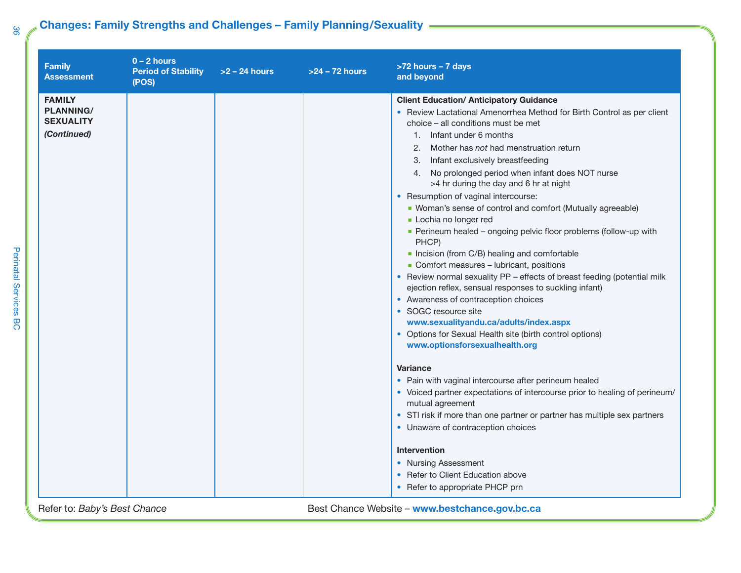### **Changes: Family Strengths and Challenges – Family Planning/Sexuality**

| <b>Family</b><br><b>Assessment</b>                                   | $0 - 2$ hours<br><b>Period of Stability</b><br>(POS) | $>2 - 24$ hours | $>24 - 72$ hours | >72 hours - 7 days<br>and beyond                                                                                                                                                                                                                                                                                                                                                                                                                                                                                                                                                                                                                                                                                                                                                                                                                                                                                                                                                                                                                                                                                                                                                                                                                                                                                                                                                                                                                              |
|----------------------------------------------------------------------|------------------------------------------------------|-----------------|------------------|---------------------------------------------------------------------------------------------------------------------------------------------------------------------------------------------------------------------------------------------------------------------------------------------------------------------------------------------------------------------------------------------------------------------------------------------------------------------------------------------------------------------------------------------------------------------------------------------------------------------------------------------------------------------------------------------------------------------------------------------------------------------------------------------------------------------------------------------------------------------------------------------------------------------------------------------------------------------------------------------------------------------------------------------------------------------------------------------------------------------------------------------------------------------------------------------------------------------------------------------------------------------------------------------------------------------------------------------------------------------------------------------------------------------------------------------------------------|
| <b>FAMILY</b><br><b>PLANNING/</b><br><b>SEXUALITY</b><br>(Continued) |                                                      |                 |                  | <b>Client Education/ Anticipatory Guidance</b><br>• Review Lactational Amenorrhea Method for Birth Control as per client<br>choice – all conditions must be met<br>1. Infant under 6 months<br>Mother has not had menstruation return<br>2.<br>3. Infant exclusively breastfeeding<br>4. No prolonged period when infant does NOT nurse<br>>4 hr during the day and 6 hr at night<br>• Resumption of vaginal intercourse:<br>• Woman's sense of control and comfort (Mutually agreeable)<br>Lochia no longer red<br>Perineum healed - ongoing pelvic floor problems (follow-up with<br>PHCP)<br>Incision (from C/B) healing and comfortable<br>• Comfort measures - lubricant, positions<br>• Review normal sexuality PP - effects of breast feeding (potential milk<br>ejection reflex, sensual responses to suckling infant)<br>• Awareness of contraception choices<br>• SOGC resource site<br>www.sexualityandu.ca/adults/index.aspx<br>• Options for Sexual Health site (birth control options)<br>www.optionsforsexualhealth.org<br><b>Variance</b><br>• Pain with vaginal intercourse after perineum healed<br>• Voiced partner expectations of intercourse prior to healing of perineum/<br>mutual agreement<br>• STI risk if more than one partner or partner has multiple sex partners<br>• Unaware of contraception choices<br><b>Intervention</b><br>• Nursing Assessment<br>• Refer to Client Education above<br>• Refer to appropriate PHCP prn |
| Refer to: Baby's Best Chance                                         |                                                      |                 |                  | Best Chance Website - www.bestchance.gov.bc.ca                                                                                                                                                                                                                                                                                                                                                                                                                                                                                                                                                                                                                                                                                                                                                                                                                                                                                                                                                                                                                                                                                                                                                                                                                                                                                                                                                                                                                |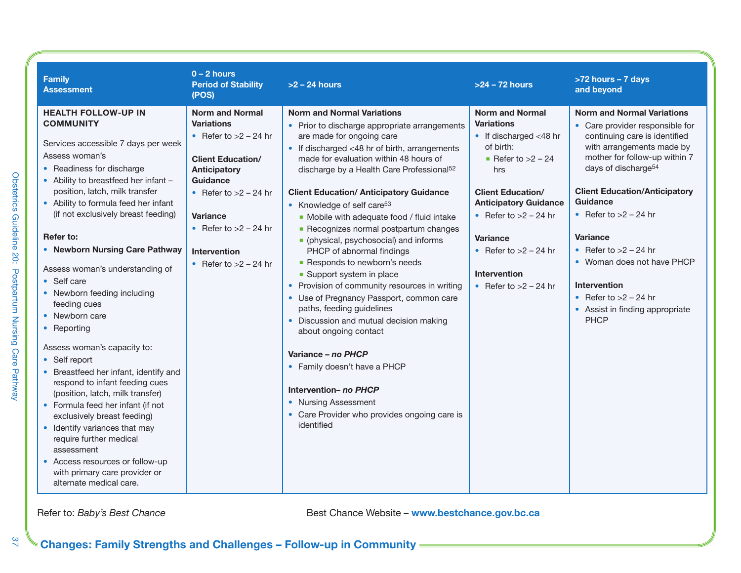| <b>Family</b><br><b>Assessment</b>                                                                                                                                                                                                                                                                                                                                                                                                                                                                                                                                                                                                                                                                                                                                                                                                                                                         | $0 - 2$ hours<br><b>Period of Stability</b><br>(POS)                                                                                                                                                                                                      | $>2$ – 24 hours                                                                                                                                                                                                                                                                                                                                                                                                                                                                                                                                                                                                                                                                                                                                                                                                                                                                                                                                               | $>24 - 72$ hours                                                                                                                                                                                                                                                                                               | >72 hours - 7 days<br>and beyond                                                                                                                                                                                                                                                                                                                                                                                                                               |
|--------------------------------------------------------------------------------------------------------------------------------------------------------------------------------------------------------------------------------------------------------------------------------------------------------------------------------------------------------------------------------------------------------------------------------------------------------------------------------------------------------------------------------------------------------------------------------------------------------------------------------------------------------------------------------------------------------------------------------------------------------------------------------------------------------------------------------------------------------------------------------------------|-----------------------------------------------------------------------------------------------------------------------------------------------------------------------------------------------------------------------------------------------------------|---------------------------------------------------------------------------------------------------------------------------------------------------------------------------------------------------------------------------------------------------------------------------------------------------------------------------------------------------------------------------------------------------------------------------------------------------------------------------------------------------------------------------------------------------------------------------------------------------------------------------------------------------------------------------------------------------------------------------------------------------------------------------------------------------------------------------------------------------------------------------------------------------------------------------------------------------------------|----------------------------------------------------------------------------------------------------------------------------------------------------------------------------------------------------------------------------------------------------------------------------------------------------------------|----------------------------------------------------------------------------------------------------------------------------------------------------------------------------------------------------------------------------------------------------------------------------------------------------------------------------------------------------------------------------------------------------------------------------------------------------------------|
| <b>HEALTH FOLLOW-UP IN</b><br><b>COMMUNITY</b><br>Services accessible 7 days per week<br>Assess woman's<br>• Readiness for discharge<br>• Ability to breastfeed her infant -<br>position, latch, milk transfer<br>• Ability to formula feed her infant<br>(if not exclusively breast feeding)<br>Refer to:<br>• Newborn Nursing Care Pathway<br>Assess woman's understanding of<br>• Self care<br>• Newborn feeding including<br>feeding cues<br>• Newborn care<br>• Reporting<br>Assess woman's capacity to:<br>• Self report<br>• Breastfeed her infant, identify and<br>respond to infant feeding cues<br>(position, latch, milk transfer)<br>• Formula feed her infant (if not<br>exclusively breast feeding)<br>• Identify variances that may<br>require further medical<br>assessment<br>• Access resources or follow-up<br>with primary care provider or<br>alternate medical care. | <b>Norm and Normal</b><br><b>Variations</b><br>• Refer to $>2$ – 24 hr<br><b>Client Education/</b><br>Anticipatory<br>Guidance<br>• Refer to $>2$ – 24 hr<br><b>Variance</b><br>• Refer to $>2$ – 24 hr<br><b>Intervention</b><br>• Refer to $>2$ – 24 hr | <b>Norm and Normal Variations</b><br>• Prior to discharge appropriate arrangements<br>are made for ongoing care<br>• If discharged <48 hr of birth, arrangements<br>made for evaluation within 48 hours of<br>discharge by a Health Care Professional <sup>52</sup><br><b>Client Education/ Anticipatory Guidance</b><br>• Knowledge of self care <sup>53</sup><br>• Mobile with adequate food / fluid intake<br>• Recognizes normal postpartum changes<br>• (physical, psychosocial) and informs<br>PHCP of abnormal findings<br>Responds to newborn's needs<br>• Support system in place<br>• Provision of community resources in writing<br>• Use of Pregnancy Passport, common care<br>paths, feeding guidelines<br>• Discussion and mutual decision making<br>about ongoing contact<br>Variance - no PHCP<br>• Family doesn't have a PHCP<br>Intervention- no PHCP<br>• Nursing Assessment<br>• Care Provider who provides ongoing care is<br>identified | <b>Norm and Normal</b><br><b>Variations</b><br>$\bullet$ If discharged <48 hr<br>of birth:<br>Refer to $>2$ – 24<br>hrs<br><b>Client Education/</b><br><b>Anticipatory Guidance</b><br>• Refer to $>2$ – 24 hr<br><b>Variance</b><br>• Refer to $>2$ – 24 hr<br><b>Intervention</b><br>• Refer to $>2$ – 24 hr | <b>Norm and Normal Variations</b><br>• Care provider responsible for<br>continuing care is identified<br>with arrangements made by<br>mother for follow-up within 7<br>days of discharge <sup>54</sup><br><b>Client Education/Anticipatory</b><br>Guidance<br>• Refer to $>2$ – 24 hr<br><b>Variance</b><br>• Refer to $>2$ – 24 hr<br>• Woman does not have PHCP<br>Intervention<br>• Refer to $>2$ – 24 hr<br>• Assist in finding appropriate<br><b>PHCP</b> |

*37* Obstetrics Guideline 20: Postpartum Nursing Care Pathway

Obstetrics Guideline 20: Postpartum Nursing Care Pathway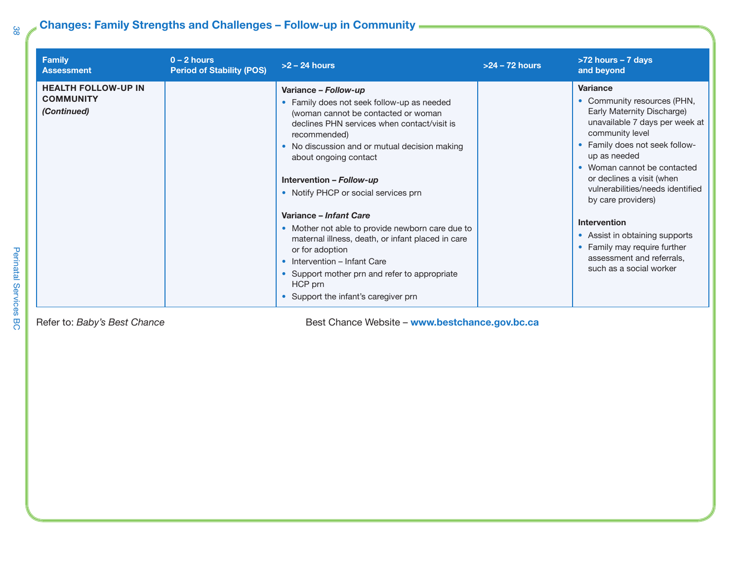### **Changes: Family Strengths and Challenges – Follow-up in Community**

| <b>Family</b><br><b>Assessment</b>                            | $0 - 2$ hours<br><b>Period of Stability (POS)</b> | $>2 - 24$ hours                                                                                                                                                                                                                                                                                                                                                                                                                                                                                                                                                                                                  | $>24 - 72$ hours | $>72$ hours $-7$ days<br>and beyond                                                                                                                                                                                                                                                                                                                                                                                                                 |
|---------------------------------------------------------------|---------------------------------------------------|------------------------------------------------------------------------------------------------------------------------------------------------------------------------------------------------------------------------------------------------------------------------------------------------------------------------------------------------------------------------------------------------------------------------------------------------------------------------------------------------------------------------------------------------------------------------------------------------------------------|------------------|-----------------------------------------------------------------------------------------------------------------------------------------------------------------------------------------------------------------------------------------------------------------------------------------------------------------------------------------------------------------------------------------------------------------------------------------------------|
| <b>HEALTH FOLLOW-UP IN</b><br><b>COMMUNITY</b><br>(Continued) |                                                   | Variance - Follow-up<br>• Family does not seek follow-up as needed<br>(woman cannot be contacted or woman<br>declines PHN services when contact/visit is<br>recommended)<br>• No discussion and or mutual decision making<br>about ongoing contact<br>Intervention - Follow-up<br>• Notify PHCP or social services prn<br>Variance - Infant Care<br>• Mother not able to provide newborn care due to<br>maternal illness, death, or infant placed in care<br>or for adoption<br>• Intervention – Infant Care<br>• Support mother prn and refer to appropriate<br>HCP prn<br>• Support the infant's caregiver prn |                  | <b>Variance</b><br>• Community resources (PHN,<br>Early Maternity Discharge)<br>unavailable 7 days per week at<br>community level<br>• Family does not seek follow-<br>up as needed<br>• Woman cannot be contacted<br>or declines a visit (when<br>vulnerabilities/needs identified<br>by care providers)<br>Intervention<br>• Assist in obtaining supports<br>• Family may require further<br>assessment and referrals,<br>such as a social worker |

Refer to: *Baby's Best Chance* **Best Chance** *Best Chance Website* – **www.bestchance.gov.bc.ca**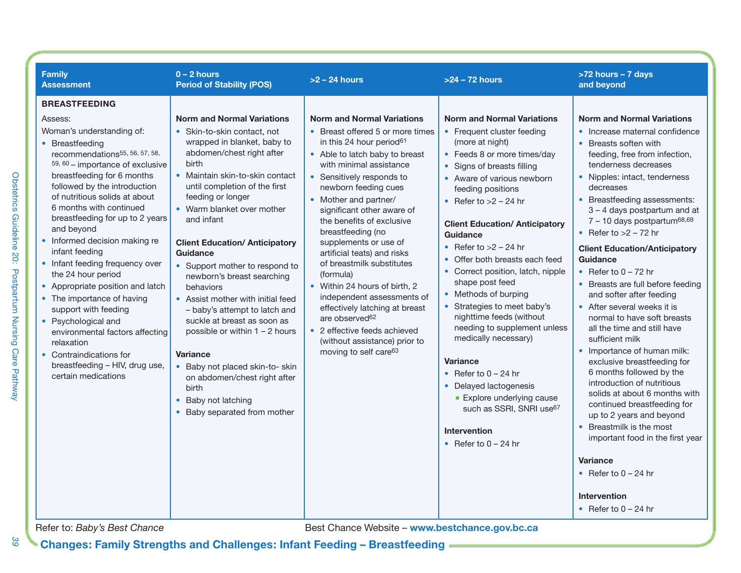| <b>Family</b><br><b>Assessment</b>                                                                                                                                                                                                                                                                                                                                                                                                                       | $0 - 2$ hours<br><b>Period of Stability (POS)</b>                                                                                                                                                                                                                                                                                                                                               | $>2 - 24$ hours                                                                                                                                                                                                                                                                                                                                                                                                                            | $>24 - 72$ hours                                                                                                                                                                                                                                                                                                                                                                     | >72 hours - 7 days<br>and beyond                                                                                                                                                                                                                                                                                                                                                                                                                                                                                                                                |
|----------------------------------------------------------------------------------------------------------------------------------------------------------------------------------------------------------------------------------------------------------------------------------------------------------------------------------------------------------------------------------------------------------------------------------------------------------|-------------------------------------------------------------------------------------------------------------------------------------------------------------------------------------------------------------------------------------------------------------------------------------------------------------------------------------------------------------------------------------------------|--------------------------------------------------------------------------------------------------------------------------------------------------------------------------------------------------------------------------------------------------------------------------------------------------------------------------------------------------------------------------------------------------------------------------------------------|--------------------------------------------------------------------------------------------------------------------------------------------------------------------------------------------------------------------------------------------------------------------------------------------------------------------------------------------------------------------------------------|-----------------------------------------------------------------------------------------------------------------------------------------------------------------------------------------------------------------------------------------------------------------------------------------------------------------------------------------------------------------------------------------------------------------------------------------------------------------------------------------------------------------------------------------------------------------|
| <b>BREASTFEEDING</b><br>Assess:<br>Woman's understanding of:<br>• Breastfeeding<br>recommendations <sup>55, 56, 57, 58,</sup><br>59, 60 - importance of exclusive<br>breastfeeding for 6 months<br>followed by the introduction<br>of nutritious solids at about<br>6 months with continued<br>breastfeeding for up to 2 years<br>and beyond<br>• Informed decision making re<br>infant feeding<br>• Infant feeding frequency over<br>the 24 hour period | <b>Norm and Normal Variations</b><br>• Skin-to-skin contact, not<br>wrapped in blanket, baby to<br>abdomen/chest right after<br>birth<br>• Maintain skin-to-skin contact<br>until completion of the first<br>feeding or longer<br>• Warm blanket over mother<br>and infant<br><b>Client Education/ Anticipatory</b><br>Guidance<br>• Support mother to respond to<br>newborn's breast searching | <b>Norm and Normal Variations</b><br>• Breast offered 5 or more times<br>in this 24 hour period <sup>61</sup><br>• Able to latch baby to breast<br>with minimal assistance<br>• Sensitively responds to<br>newborn feeding cues<br>• Mother and partner/<br>significant other aware of<br>the benefits of exclusive<br>breastfeeding (no<br>supplements or use of<br>artificial teats) and risks<br>of breastmilk substitutes<br>(formula) | <b>Norm and Normal Variations</b><br>• Frequent cluster feeding<br>(more at night)<br>• Feeds 8 or more times/day<br>• Signs of breasts filling<br>• Aware of various newborn<br>feeding positions<br>• Refer to $>2$ – 24 hr<br><b>Client Education/ Anticipatory</b><br>Guidance<br>• Refer to $>2$ – 24 hr<br>• Offer both breasts each feed<br>• Correct position, latch, nipple | <b>Norm and Normal Variations</b><br>• Increase maternal confidence<br>• Breasts soften with<br>feeding, free from infection,<br>tenderness decreases<br>• Nipples: intact, tenderness<br>decreases<br>• Breastfeeding assessments:<br>3 - 4 days postpartum and at<br>$7 - 10$ days postpartum <sup>68,69</sup><br>• Refer to $>2 - 72$ hr<br><b>Client Education/Anticipatory</b><br>Guidance<br>• Refer to $0 - 72$ hr                                                                                                                                       |
| • Appropriate position and latch<br>• The importance of having<br>support with feeding<br>• Psychological and<br>environmental factors affecting<br>relaxation<br>• Contraindications for<br>breastfeeding - HIV, drug use,<br>certain medications<br>Refer to: Baby's Best Chance                                                                                                                                                                       | behaviors<br>• Assist mother with initial feed<br>- baby's attempt to latch and<br>suckle at breast as soon as<br>possible or within $1 - 2$ hours<br>Variance<br>• Baby not placed skin-to- skin<br>on abdomen/chest right after<br>birth<br>• Baby not latching<br>• Baby separated from mother                                                                                               | • Within 24 hours of birth, 2<br>independent assessments of<br>effectively latching at breast<br>are observed <sup>62</sup><br>• 2 effective feeds achieved<br>(without assistance) prior to<br>moving to self care63<br>Best Chance Website - www.bestchance.gov.bc.ca                                                                                                                                                                    | shape post feed<br>• Methods of burping<br>• Strategies to meet baby's<br>nighttime feeds (without<br>needing to supplement unless<br>medically necessary)<br><b>Variance</b><br>• Refer to $0 - 24$ hr<br>• Delayed lactogenesis<br><b>Explore underlying cause</b><br>such as SSRI, SNRI use <sup>67</sup><br><b>Intervention</b><br>• Refer to $0 - 24$ hr                        | • Breasts are full before feeding<br>and softer after feeding<br>• After several weeks it is<br>normal to have soft breasts<br>all the time and still have<br>sufficient milk<br>• Importance of human milk:<br>exclusive breastfeeding for<br>6 months followed by the<br>introduction of nutritious<br>solids at about 6 months with<br>continued breastfeeding for<br>up to 2 years and beyond<br>• Breastmilk is the most<br>important food in the first year<br><b>Variance</b><br>• Refer to $0 - 24$ hr<br><b>Intervention</b><br>• Refer to $0 - 24$ hr |

**Changes: Family Strengths and Challenges: Infant Feeding – Breastfeeding**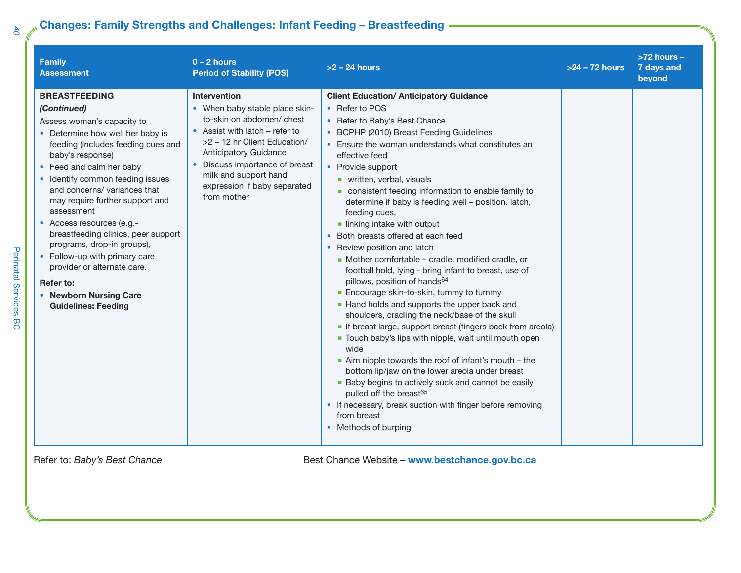### **Changes: Family Strengths and Challenges: Infant Feeding – Breastfeeding**

| <b>Family</b><br><b>Assessment</b>                                                                                                                                                                                                                                                                                                                                                                                                                                                                                                                      | $0 - 2$ hours<br><b>Period of Stability (POS)</b>                                                                                                                                                                                                                                       | $>2 - 24$ hours                                                                                                                                                                                                                                                                                                                                                                                                                                                                                                                                                                                                                                                                                                                                                                                                                                                                                                                                                                                                                                                                                                                                                                                                                                                                   | >24 - 72 hours | $>72$ hours $-$<br>7 days and<br>beyond |
|---------------------------------------------------------------------------------------------------------------------------------------------------------------------------------------------------------------------------------------------------------------------------------------------------------------------------------------------------------------------------------------------------------------------------------------------------------------------------------------------------------------------------------------------------------|-----------------------------------------------------------------------------------------------------------------------------------------------------------------------------------------------------------------------------------------------------------------------------------------|-----------------------------------------------------------------------------------------------------------------------------------------------------------------------------------------------------------------------------------------------------------------------------------------------------------------------------------------------------------------------------------------------------------------------------------------------------------------------------------------------------------------------------------------------------------------------------------------------------------------------------------------------------------------------------------------------------------------------------------------------------------------------------------------------------------------------------------------------------------------------------------------------------------------------------------------------------------------------------------------------------------------------------------------------------------------------------------------------------------------------------------------------------------------------------------------------------------------------------------------------------------------------------------|----------------|-----------------------------------------|
| <b>BREASTFEEDING</b><br>(Continued)<br>Assess woman's capacity to<br>• Determine how well her baby is<br>feeding (includes feeding cues and<br>baby's response)<br>• Feed and calm her baby<br>• Identify common feeding issues<br>and concerns/ variances that<br>may require further support and<br>assessment<br>• Access resources (e.g.-<br>breastfeeding clinics, peer support<br>programs, drop-in groups),<br>• Follow-up with primary care<br>provider or alternate care.<br>Refer to:<br>• Newborn Nursing Care<br><b>Guidelines: Feeding</b> | Intervention<br>• When baby stable place skin-<br>to-skin on abdomen/ chest<br>• Assist with latch - refer to<br>>2 - 12 hr Client Education/<br><b>Anticipatory Guidance</b><br>• Discuss importance of breast<br>milk and support hand<br>expression if baby separated<br>from mother | <b>Client Education/ Anticipatory Guidance</b><br>• Refer to POS<br>• Refer to Baby's Best Chance<br>• BCPHP (2010) Breast Feeding Guidelines<br>• Ensure the woman understands what constitutes an<br>effective feed<br>• Provide support<br>• written, verbal, visuals<br>consistent feeding information to enable family to<br>determine if baby is feeding well - position, latch,<br>feeding cues,<br>linking intake with output<br>• Both breasts offered at each feed<br>• Review position and latch<br>• Mother comfortable - cradle, modified cradle, or<br>football hold, lying - bring infant to breast, use of<br>pillows, position of hands <sup>64</sup><br>• Encourage skin-to-skin, tummy to tummy<br>• Hand holds and supports the upper back and<br>shoulders, cradling the neck/base of the skull<br>If breast large, support breast (fingers back from areola)<br>• Touch baby's lips with nipple, wait until mouth open<br>wide<br>$\blacksquare$ Aim nipple towards the roof of infant's mouth $-$ the<br>bottom lip/jaw on the lower areola under breast<br>• Baby begins to actively suck and cannot be easily<br>pulled off the breast <sup>65</sup><br>• If necessary, break suction with finger before removing<br>from breast<br>• Methods of burping |                |                                         |

*40*

Perinatal Services BC

Perinatal Services BC

Refer to: *Baby's Best Chance* **Best Chance** *Best Chance Website* – www.bestchance.gov.bc.ca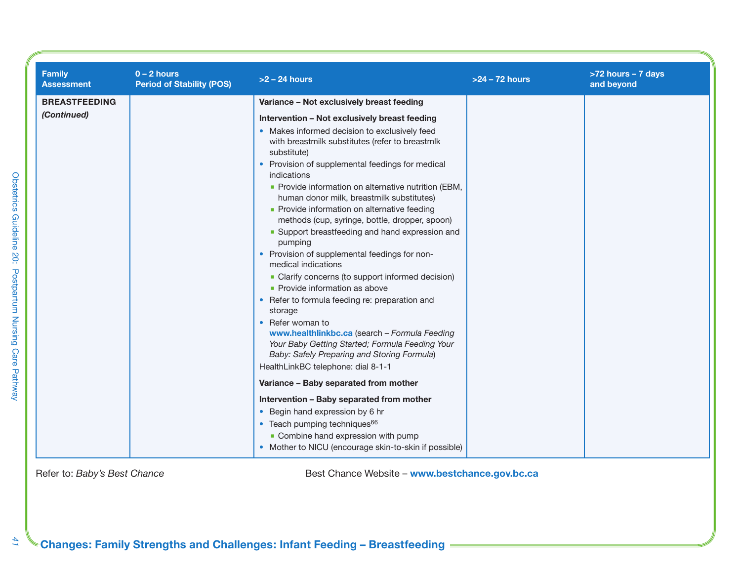| <b>Family</b><br><b>Assessment</b>  | $0 - 2$ hours<br><b>Period of Stability (POS)</b> | $>2 - 24$ hours                                                                                                                                                                                                                                                                                                                                                                                                                                                                                                                                                                                                                                                                                                                                                                                                                                        | $>24 - 72$ hours | >72 hours - 7 days<br>and beyond |
|-------------------------------------|---------------------------------------------------|--------------------------------------------------------------------------------------------------------------------------------------------------------------------------------------------------------------------------------------------------------------------------------------------------------------------------------------------------------------------------------------------------------------------------------------------------------------------------------------------------------------------------------------------------------------------------------------------------------------------------------------------------------------------------------------------------------------------------------------------------------------------------------------------------------------------------------------------------------|------------------|----------------------------------|
| <b>BREASTFEEDING</b><br>(Continued) |                                                   | Variance - Not exclusively breast feeding<br>Intervention - Not exclusively breast feeding<br>• Makes informed decision to exclusively feed<br>with breastmilk substitutes (refer to breastmlk<br>substitute)<br>• Provision of supplemental feedings for medical<br>indications<br>• Provide information on alternative nutrition (EBM,<br>human donor milk, breastmilk substitutes)<br>• Provide information on alternative feeding<br>methods (cup, syringe, bottle, dropper, spoon)<br>• Support breastfeeding and hand expression and<br>pumping<br>• Provision of supplemental feedings for non-<br>medical indications<br>• Clarify concerns (to support informed decision)<br>• Provide information as above<br>• Refer to formula feeding re: preparation and<br>storage<br>• Refer woman to<br>www.healthlinkbc.ca (search - Formula Feeding |                  |                                  |
|                                     |                                                   | Your Baby Getting Started; Formula Feeding Your<br>Baby: Safely Preparing and Storing Formula)<br>HealthLinkBC telephone: dial 8-1-1<br>Variance - Baby separated from mother<br>Intervention - Baby separated from mother<br>• Begin hand expression by 6 hr                                                                                                                                                                                                                                                                                                                                                                                                                                                                                                                                                                                          |                  |                                  |
|                                     |                                                   | • Teach pumping techniques <sup>66</sup><br>• Combine hand expression with pump<br>• Mother to NICU (encourage skin-to-skin if possible)                                                                                                                                                                                                                                                                                                                                                                                                                                                                                                                                                                                                                                                                                                               |                  |                                  |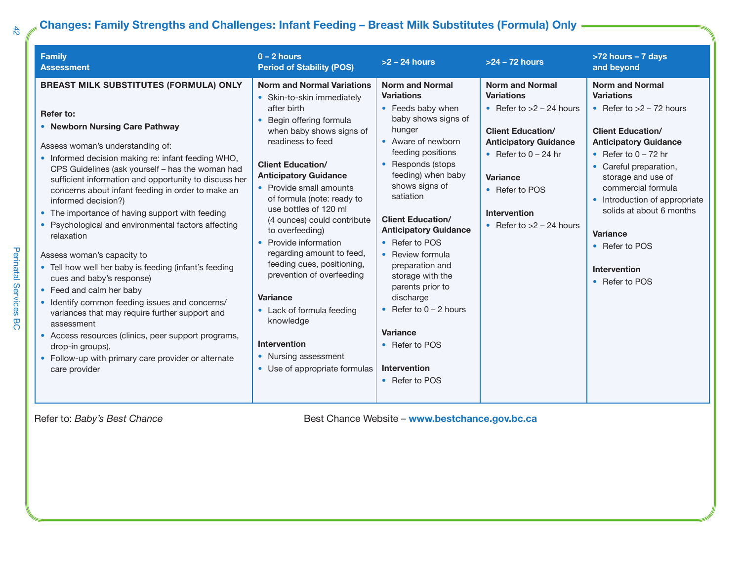### **Changes: Family Strengths and Challenges: Infant Feeding – Breast Milk Substitutes (Formula) Only**

| <b>Family</b><br><b>Assessment</b>                                                                                                                                                                                                                                                                                                                                                                                                                                                                                                                                                                                                                                                                                                                                                                                                                                                                                           | $0 - 2$ hours<br><b>Period of Stability (POS)</b>                                                                                                                                                                                                                                                                                                                                                                                                                                                                                                                                                                       | $>2$ – 24 hours                                                                                                                                                                                                                                                                                                                                                                                                                                                                              | $>24 - 72$ hours                                                                                                                                                                                                                                          | >72 hours - 7 days<br>and beyond                                                                                                                                                                                                                                                                                                                                                 |
|------------------------------------------------------------------------------------------------------------------------------------------------------------------------------------------------------------------------------------------------------------------------------------------------------------------------------------------------------------------------------------------------------------------------------------------------------------------------------------------------------------------------------------------------------------------------------------------------------------------------------------------------------------------------------------------------------------------------------------------------------------------------------------------------------------------------------------------------------------------------------------------------------------------------------|-------------------------------------------------------------------------------------------------------------------------------------------------------------------------------------------------------------------------------------------------------------------------------------------------------------------------------------------------------------------------------------------------------------------------------------------------------------------------------------------------------------------------------------------------------------------------------------------------------------------------|----------------------------------------------------------------------------------------------------------------------------------------------------------------------------------------------------------------------------------------------------------------------------------------------------------------------------------------------------------------------------------------------------------------------------------------------------------------------------------------------|-----------------------------------------------------------------------------------------------------------------------------------------------------------------------------------------------------------------------------------------------------------|----------------------------------------------------------------------------------------------------------------------------------------------------------------------------------------------------------------------------------------------------------------------------------------------------------------------------------------------------------------------------------|
| <b>BREAST MILK SUBSTITUTES (FORMULA) ONLY</b><br>Refer to:<br>• Newborn Nursing Care Pathway<br>Assess woman's understanding of:<br>• Informed decision making re: infant feeding WHO,<br>CPS Guidelines (ask yourself - has the woman had<br>sufficient information and opportunity to discuss her<br>concerns about infant feeding in order to make an<br>informed decision?)<br>• The importance of having support with feeding<br>• Psychological and environmental factors affecting<br>relaxation<br>Assess woman's capacity to<br>• Tell how well her baby is feeding (infant's feeding<br>cues and baby's response)<br>• Feed and calm her baby<br>• Identify common feeding issues and concerns/<br>variances that may require further support and<br>assessment<br>• Access resources (clinics, peer support programs,<br>drop-in groups),<br>• Follow-up with primary care provider or alternate<br>care provider | <b>Norm and Normal Variations</b><br>• Skin-to-skin immediately<br>after birth<br>Begin offering formula<br>when baby shows signs of<br>readiness to feed<br><b>Client Education/</b><br><b>Anticipatory Guidance</b><br>• Provide small amounts<br>of formula (note: ready to<br>use bottles of 120 ml<br>(4 ounces) could contribute<br>to overfeeding)<br>• Provide information<br>regarding amount to feed,<br>feeding cues, positioning,<br>prevention of overfeeding<br><b>Variance</b><br>• Lack of formula feeding<br>knowledge<br><b>Intervention</b><br>• Nursing assessment<br>• Use of appropriate formulas | <b>Norm and Normal</b><br><b>Variations</b><br>• Feeds baby when<br>baby shows signs of<br>hunger<br>• Aware of newborn<br>feeding positions<br>• Responds (stops<br>feeding) when baby<br>shows signs of<br>satiation<br><b>Client Education/</b><br><b>Anticipatory Guidance</b><br>• Refer to POS<br>• Review formula<br>preparation and<br>storage with the<br>parents prior to<br>discharge<br>• Refer to $0 - 2$ hours<br>Variance<br>• Refer to POS<br>Intervention<br>• Refer to POS | <b>Norm and Normal</b><br><b>Variations</b><br>• Refer to $>2$ – 24 hours<br><b>Client Education/</b><br><b>Anticipatory Guidance</b><br>• Refer to $0 - 24$ hr<br><b>Variance</b><br>• Refer to POS<br><b>Intervention</b><br>• Refer to $>2$ – 24 hours | <b>Norm and Normal</b><br><b>Variations</b><br>• Refer to $>2 - 72$ hours<br><b>Client Education/</b><br><b>Anticipatory Guidance</b><br>• Refer to $0 - 72$ hr<br>• Careful preparation,<br>storage and use of<br>commercial formula<br>• Introduction of appropriate<br>solids at about 6 months<br><b>Variance</b><br>• Refer to POS<br><b>Intervention</b><br>• Refer to POS |

*42*

Perinatal Services BC

Perinatal Services BC

Refer to: *Baby's Best Chance* **Best Chance** *Best Chance Website* – **www.bestchance.gov.bc.ca**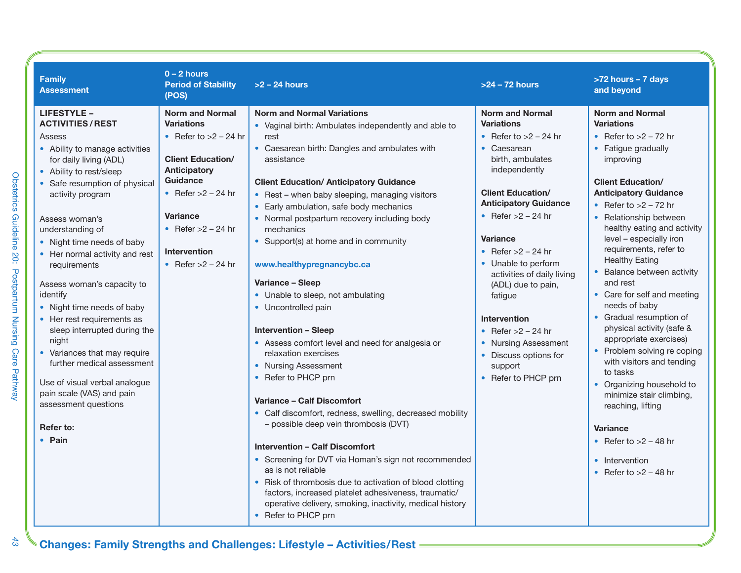| <b>Family</b><br><b>Assessment</b>                                                                                                                                                                                                                                                                                                                                                                                                                                                                                                                                                                                                                 | $0 - 2$ hours<br><b>Period of Stability</b><br>(POS)                                                                                                                                                                                             | $>2 - 24$ hours                                                                                                                                                                                                                                                                                                                                                                                                                                                                                                                                                                                                                                                                                                                                                                                                                                                                                                                                                                                                                                                                                                                                              | $>24 - 72$ hours                                                                                                                                                                                                                                                                                                                                                                                                                                                                  | >72 hours - 7 days<br>and beyond                                                                                                                                                                                                                                                                                                                                                                                                                                                                                                                                                                                                                                                                                                                                      |
|----------------------------------------------------------------------------------------------------------------------------------------------------------------------------------------------------------------------------------------------------------------------------------------------------------------------------------------------------------------------------------------------------------------------------------------------------------------------------------------------------------------------------------------------------------------------------------------------------------------------------------------------------|--------------------------------------------------------------------------------------------------------------------------------------------------------------------------------------------------------------------------------------------------|--------------------------------------------------------------------------------------------------------------------------------------------------------------------------------------------------------------------------------------------------------------------------------------------------------------------------------------------------------------------------------------------------------------------------------------------------------------------------------------------------------------------------------------------------------------------------------------------------------------------------------------------------------------------------------------------------------------------------------------------------------------------------------------------------------------------------------------------------------------------------------------------------------------------------------------------------------------------------------------------------------------------------------------------------------------------------------------------------------------------------------------------------------------|-----------------------------------------------------------------------------------------------------------------------------------------------------------------------------------------------------------------------------------------------------------------------------------------------------------------------------------------------------------------------------------------------------------------------------------------------------------------------------------|-----------------------------------------------------------------------------------------------------------------------------------------------------------------------------------------------------------------------------------------------------------------------------------------------------------------------------------------------------------------------------------------------------------------------------------------------------------------------------------------------------------------------------------------------------------------------------------------------------------------------------------------------------------------------------------------------------------------------------------------------------------------------|
| <b>LIFESTYLE -</b><br><b>ACTIVITIES/REST</b><br>Assess<br>• Ability to manage activities<br>for daily living (ADL)<br>• Ability to rest/sleep<br>• Safe resumption of physical<br>activity program<br>Assess woman's<br>understanding of<br>• Night time needs of baby<br>• Her normal activity and rest<br>requirements<br>Assess woman's capacity to<br>identify<br>• Night time needs of baby<br>• Her rest requirements as<br>sleep interrupted during the<br>night<br>• Variances that may require<br>further medical assessment<br>Use of visual verbal analogue<br>pain scale (VAS) and pain<br>assessment questions<br>Refer to:<br>• Pain | <b>Norm and Normal</b><br><b>Variations</b><br>• Refer to $>2$ – 24 hr<br><b>Client Education/</b><br><b>Anticipatory</b><br>Guidance<br>• Refer $>2$ – 24 hr<br>Variance<br>• Refer $>2$ – 24 hr<br><b>Intervention</b><br>• Refer $>2$ – 24 hr | <b>Norm and Normal Variations</b><br>• Vaginal birth: Ambulates independently and able to<br>rest<br>• Caesarean birth: Dangles and ambulates with<br>assistance<br><b>Client Education/ Anticipatory Guidance</b><br>• Rest – when baby sleeping, managing visitors<br>• Early ambulation, safe body mechanics<br>• Normal postpartum recovery including body<br>mechanics<br>• Support(s) at home and in community<br>www.healthypregnancybc.ca<br>Variance – Sleep<br>• Unable to sleep, not ambulating<br>• Uncontrolled pain<br><b>Intervention - Sleep</b><br>• Assess comfort level and need for analgesia or<br>relaxation exercises<br>• Nursing Assessment<br>• Refer to PHCP prn<br>Variance - Calf Discomfort<br>• Calf discomfort, redness, swelling, decreased mobility<br>- possible deep vein thrombosis (DVT)<br><b>Intervention - Calf Discomfort</b><br>• Screening for DVT via Homan's sign not recommended<br>as is not reliable<br>• Risk of thrombosis due to activation of blood clotting<br>factors, increased platelet adhesiveness, traumatic/<br>operative delivery, smoking, inactivity, medical history<br>• Refer to PHCP prn | <b>Norm and Normal</b><br><b>Variations</b><br>• Refer to $>2$ – 24 hr<br>• Caesarean<br>birth, ambulates<br>independently<br><b>Client Education/</b><br><b>Anticipatory Guidance</b><br>• Refer $>2$ – 24 hr<br><b>Variance</b><br>• Refer $>2$ – 24 hr<br>• Unable to perform<br>activities of daily living<br>(ADL) due to pain,<br>fatigue<br><b>Intervention</b><br>• Refer $>2$ – 24 hr<br>• Nursing Assessment<br>• Discuss options for<br>support<br>• Refer to PHCP prn | <b>Norm and Normal</b><br><b>Variations</b><br>• Refer to $>2$ – 72 hr<br>• Fatigue gradually<br>improving<br><b>Client Education/</b><br><b>Anticipatory Guidance</b><br>• Refer to $>2$ – 72 hr<br>• Relationship between<br>healthy eating and activity<br>level - especially iron<br>requirements, refer to<br><b>Healthy Eating</b><br>• Balance between activity<br>and rest<br>• Care for self and meeting<br>needs of baby<br>• Gradual resumption of<br>physical activity (safe &<br>appropriate exercises)<br>• Problem solving re coping<br>with visitors and tending<br>to tasks<br>• Organizing household to<br>minimize stair climbing,<br>reaching, lifting<br><b>Variance</b><br>• Refer to $>2 - 48$ hr<br>• Intervention<br>• Refer to $>2 - 48$ hr |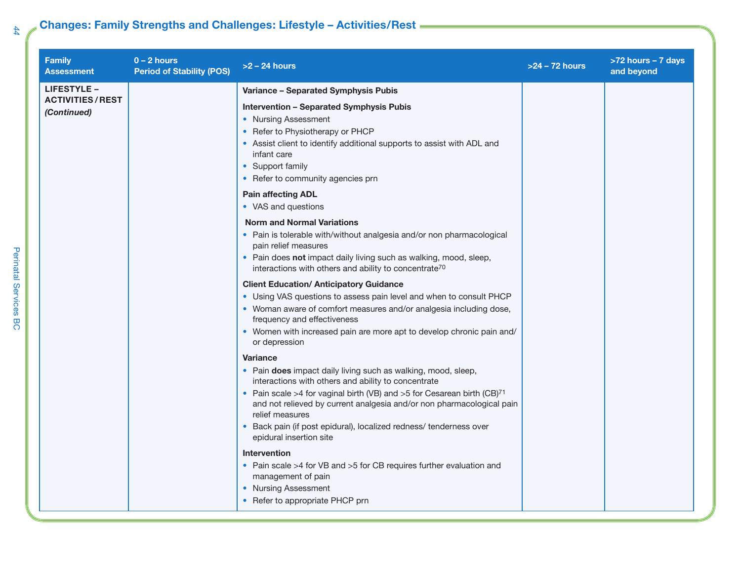### **Changes: Family Strengths and Challenges: Lifestyle – Activities/Rest**

| <b>Family</b><br><b>Assessment</b>    | $0 - 2$ hours<br><b>Period of Stability (POS)</b> | $>2$ – 24 hours                                                                                                                                                                                                                                                              | $>24 - 72$ hours | >72 hours - 7 days<br>and beyond |
|---------------------------------------|---------------------------------------------------|------------------------------------------------------------------------------------------------------------------------------------------------------------------------------------------------------------------------------------------------------------------------------|------------------|----------------------------------|
| <b>LIFESTYLE -</b>                    |                                                   | Variance - Separated Symphysis Pubis                                                                                                                                                                                                                                         |                  |                                  |
| <b>ACTIVITIES/REST</b><br>(Continued) |                                                   | <b>Intervention - Separated Symphysis Pubis</b><br>• Nursing Assessment<br>• Refer to Physiotherapy or PHCP<br>• Assist client to identify additional supports to assist with ADL and<br>infant care<br>• Support family<br>• Refer to community agencies prn                |                  |                                  |
|                                       |                                                   | <b>Pain affecting ADL</b><br>• VAS and questions                                                                                                                                                                                                                             |                  |                                  |
|                                       |                                                   | <b>Norm and Normal Variations</b><br>• Pain is tolerable with/without analgesia and/or non pharmacological<br>pain relief measures<br>• Pain does not impact daily living such as walking, mood, sleep,<br>interactions with others and ability to concentrate <sup>70</sup> |                  |                                  |
|                                       |                                                   | <b>Client Education/ Anticipatory Guidance</b>                                                                                                                                                                                                                               |                  |                                  |
|                                       |                                                   | • Using VAS questions to assess pain level and when to consult PHCP<br>• Woman aware of comfort measures and/or analgesia including dose,<br>frequency and effectiveness                                                                                                     |                  |                                  |
|                                       |                                                   | • Women with increased pain are more apt to develop chronic pain and/<br>or depression                                                                                                                                                                                       |                  |                                  |
|                                       |                                                   | <b>Variance</b>                                                                                                                                                                                                                                                              |                  |                                  |
|                                       |                                                   | • Pain does impact daily living such as walking, mood, sleep,<br>interactions with others and ability to concentrate                                                                                                                                                         |                  |                                  |
|                                       |                                                   | • Pain scale >4 for vaginal birth (VB) and >5 for Cesarean birth (CB) <sup>71</sup><br>and not relieved by current analgesia and/or non pharmacological pain<br>relief measures                                                                                              |                  |                                  |
|                                       |                                                   | • Back pain (if post epidural), localized redness/ tenderness over<br>epidural insertion site                                                                                                                                                                                |                  |                                  |
|                                       |                                                   | <b>Intervention</b>                                                                                                                                                                                                                                                          |                  |                                  |
|                                       |                                                   | • Pain scale >4 for VB and >5 for CB requires further evaluation and<br>management of pain                                                                                                                                                                                   |                  |                                  |
|                                       |                                                   | • Nursing Assessment                                                                                                                                                                                                                                                         |                  |                                  |
|                                       |                                                   | • Refer to appropriate PHCP prn                                                                                                                                                                                                                                              |                  |                                  |

Perinatal Services BC Perinatal Services BC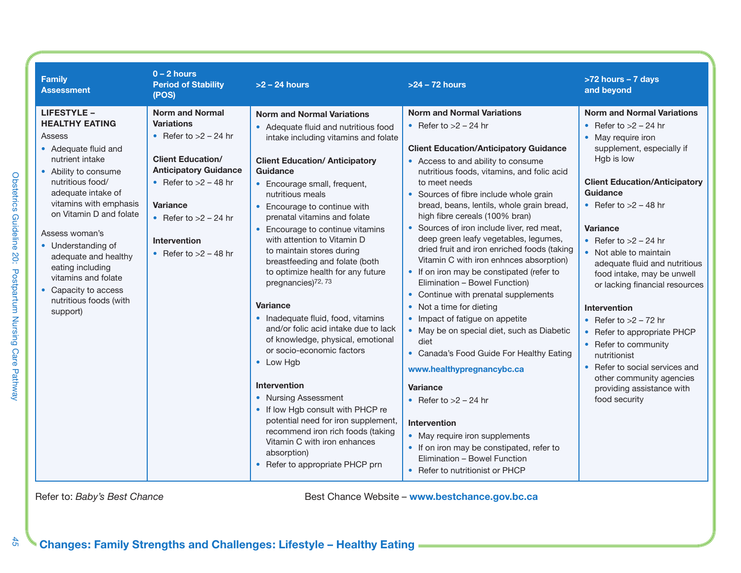| <b>Family</b><br><b>Assessment</b>                                                                                                                                                                                                                                                                                                                                                               | $0 - 2$ hours<br><b>Period of Stability</b><br>(POS)                                                                                                                                                                                                          | $>2 - 24$ hours                                                                                                                                                                                                                                                                                                                                                                                                                                                                                                                                                                                                                                                                                                                                                                                                                                                                                                                       | $>24 - 72$ hours                                                                                                                                                                                                                                                                                                                                                                                                                                                                                                                                                                                                                                                                                                                                                                                                                                                                                                                                                                                                                                                 | >72 hours - 7 days<br>and beyond                                                                                                                                                                                                                                                                                                                                                                                                                                                                                                                                                                                    |
|--------------------------------------------------------------------------------------------------------------------------------------------------------------------------------------------------------------------------------------------------------------------------------------------------------------------------------------------------------------------------------------------------|---------------------------------------------------------------------------------------------------------------------------------------------------------------------------------------------------------------------------------------------------------------|---------------------------------------------------------------------------------------------------------------------------------------------------------------------------------------------------------------------------------------------------------------------------------------------------------------------------------------------------------------------------------------------------------------------------------------------------------------------------------------------------------------------------------------------------------------------------------------------------------------------------------------------------------------------------------------------------------------------------------------------------------------------------------------------------------------------------------------------------------------------------------------------------------------------------------------|------------------------------------------------------------------------------------------------------------------------------------------------------------------------------------------------------------------------------------------------------------------------------------------------------------------------------------------------------------------------------------------------------------------------------------------------------------------------------------------------------------------------------------------------------------------------------------------------------------------------------------------------------------------------------------------------------------------------------------------------------------------------------------------------------------------------------------------------------------------------------------------------------------------------------------------------------------------------------------------------------------------------------------------------------------------|---------------------------------------------------------------------------------------------------------------------------------------------------------------------------------------------------------------------------------------------------------------------------------------------------------------------------------------------------------------------------------------------------------------------------------------------------------------------------------------------------------------------------------------------------------------------------------------------------------------------|
| <b>LIFESTYLE -</b><br><b>HEALTHY EATING</b><br>Assess<br>• Adequate fluid and<br>nutrient intake<br>• Ability to consume<br>nutritious food/<br>adequate intake of<br>vitamins with emphasis<br>on Vitamin D and folate<br>Assess woman's<br>• Understanding of<br>adequate and healthy<br>eating including<br>vitamins and folate<br>• Capacity to access<br>nutritious foods (with<br>support) | <b>Norm and Normal</b><br><b>Variations</b><br>• Refer to $>2$ – 24 hr<br><b>Client Education/</b><br><b>Anticipatory Guidance</b><br>• Refer to $>2 - 48$ hr<br><b>Variance</b><br>• Refer to $>2$ – 24 hr<br><b>Intervention</b><br>• Refer to $>2 - 48$ hr | <b>Norm and Normal Variations</b><br>• Adequate fluid and nutritious food<br>intake including vitamins and folate<br><b>Client Education/ Anticipatory</b><br><b>Guidance</b><br>• Encourage small, frequent,<br>nutritious meals<br>• Encourage to continue with<br>prenatal vitamins and folate<br>• Encourage to continue vitamins<br>with attention to Vitamin D<br>to maintain stores during<br>breastfeeding and folate (both<br>to optimize health for any future<br>pregnancies) <sup>72, 73</sup><br><b>Variance</b><br>• Inadequate fluid, food, vitamins<br>and/or folic acid intake due to lack<br>of knowledge, physical, emotional<br>or socio-economic factors<br>• Low Hgb<br>Intervention<br>• Nursing Assessment<br>• If low Hgb consult with PHCP re<br>potential need for iron supplement,<br>recommend iron rich foods (taking<br>Vitamin C with iron enhances<br>absorption)<br>• Refer to appropriate PHCP prn | <b>Norm and Normal Variations</b><br>• Refer to $>2$ – 24 hr<br><b>Client Education/Anticipatory Guidance</b><br>• Access to and ability to consume<br>nutritious foods, vitamins, and folic acid<br>to meet needs<br>• Sources of fibre include whole grain<br>bread, beans, lentils, whole grain bread,<br>high fibre cereals (100% bran)<br>• Sources of iron include liver, red meat,<br>deep green leafy vegetables, legumes,<br>dried fruit and iron enriched foods (taking<br>Vitamin C with iron enhnces absorption)<br>• If on iron may be constipated (refer to<br>Elimination - Bowel Function)<br>• Continue with prenatal supplements<br>• Not a time for dieting<br>• Impact of fatigue on appetite<br>• May be on special diet, such as Diabetic<br>diet<br>• Canada's Food Guide For Healthy Eating<br>www.healthypregnancybc.ca<br>Variance<br>• Refer to $>2$ – 24 hr<br><b>Intervention</b><br>• May require iron supplements<br>• If on iron may be constipated, refer to<br>Elimination - Bowel Function<br>• Refer to nutritionist or PHCP | <b>Norm and Normal Variations</b><br>• Refer to $>2$ – 24 hr<br>• May require iron<br>supplement, especially if<br>Hgb is low<br><b>Client Education/Anticipatory</b><br>Guidance<br>• Refer to $>2 - 48$ hr<br><b>Variance</b><br>• Refer to $>2$ – 24 hr<br>• Not able to maintain<br>adequate fluid and nutritious<br>food intake, may be unwell<br>or lacking financial resources<br>Intervention<br>• Refer to $>2$ – 72 hr<br>• Refer to appropriate PHCP<br>• Refer to community<br>nutritionist<br>• Refer to social services and<br>other community agencies<br>providing assistance with<br>food security |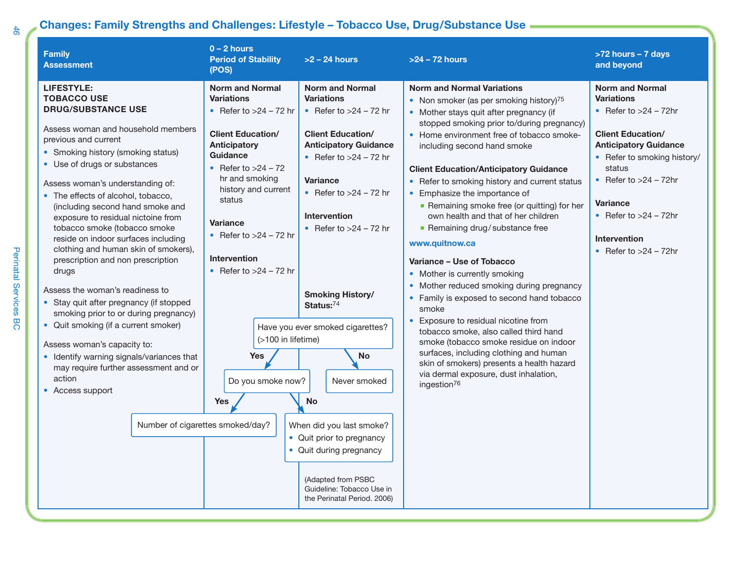### **Changes: Family Strengths and Challenges: Lifestyle – Tobacco Use, Drug/Substance Use**

| <b>Family</b><br><b>Assessment</b>                                                                                                                                                                                                                                                                                                                                                                                                                                                                                                                                                                                                                                                                                                                                                                                                          | $0 - 2$ hours<br><b>Period of Stability</b><br>(POS)                                                                                                                                                                                                                                                                                                                                                                     | $>2 - 24$ hours                                                                                                                                                                                                                                                                                                                                                                                                                                                                                                                                               | >24 - 72 hours                                                                                                                                                                                                                                                                                                                                                                                                                                                                                                                                                                                                                                                                                                                                                                                                                                                                                                                                                                          | >72 hours - 7 days<br>and beyond                                                                                                                                                                                                                                                                       |
|---------------------------------------------------------------------------------------------------------------------------------------------------------------------------------------------------------------------------------------------------------------------------------------------------------------------------------------------------------------------------------------------------------------------------------------------------------------------------------------------------------------------------------------------------------------------------------------------------------------------------------------------------------------------------------------------------------------------------------------------------------------------------------------------------------------------------------------------|--------------------------------------------------------------------------------------------------------------------------------------------------------------------------------------------------------------------------------------------------------------------------------------------------------------------------------------------------------------------------------------------------------------------------|---------------------------------------------------------------------------------------------------------------------------------------------------------------------------------------------------------------------------------------------------------------------------------------------------------------------------------------------------------------------------------------------------------------------------------------------------------------------------------------------------------------------------------------------------------------|-----------------------------------------------------------------------------------------------------------------------------------------------------------------------------------------------------------------------------------------------------------------------------------------------------------------------------------------------------------------------------------------------------------------------------------------------------------------------------------------------------------------------------------------------------------------------------------------------------------------------------------------------------------------------------------------------------------------------------------------------------------------------------------------------------------------------------------------------------------------------------------------------------------------------------------------------------------------------------------------|--------------------------------------------------------------------------------------------------------------------------------------------------------------------------------------------------------------------------------------------------------------------------------------------------------|
| <b>LIFESTYLE:</b><br><b>TOBACCO USE</b><br><b>DRUG/SUBSTANCE USE</b><br>Assess woman and household members<br>previous and current<br>• Smoking history (smoking status)<br>• Use of drugs or substances<br>Assess woman's understanding of:<br>• The effects of alcohol, tobacco,<br>(including second hand smoke and<br>exposure to residual nictoine from<br>tobacco smoke (tobacco smoke<br>reside on indoor surfaces including<br>clothing and human skin of smokers),<br>prescription and non prescription<br>drugs<br>Assess the woman's readiness to<br>• Stay quit after pregnancy (if stopped<br>smoking prior to or during pregnancy)<br>• Quit smoking (if a current smoker)<br>Assess woman's capacity to:<br>• Identify warning signals/variances that<br>may require further assessment and or<br>action<br>• Access support | <b>Norm and Normal</b><br><b>Variations</b><br>• Refer to $>24$ – 72 hr<br><b>Client Education/</b><br><b>Anticipatory</b><br><b>Guidance</b><br>• Refer to $>24 - 72$<br>hr and smoking<br>history and current<br>status<br>Variance<br>• Refer to $>24 - 72$ hr<br>Intervention<br>• Refer to $>24 - 72$ hr<br>(>100 in lifetime)<br><b>Yes</b><br>Do you smoke now?<br><b>Yes</b><br>Number of cigarettes smoked/day? | <b>Norm and Normal</b><br><b>Variations</b><br>• Refer to $>24 - 72$ hr<br><b>Client Education/</b><br><b>Anticipatory Guidance</b><br>• Refer to $>24 - 72$ hr<br><b>Variance</b><br>• Refer to $>24 - 72$ hr<br><b>Intervention</b><br>• Refer to $>24 - 72$ hr<br><b>Smoking History/</b><br>Status:74<br>Have you ever smoked cigarettes?<br><b>No</b><br>Never smoked<br><b>No</b><br>When did you last smoke?<br>• Quit prior to pregnancy<br>• Quit during pregnancy<br>(Adapted from PSBC<br>Guideline: Tobacco Use in<br>the Perinatal Period. 2006) | <b>Norm and Normal Variations</b><br>• Non smoker (as per smoking history) $75$<br>• Mother stays quit after pregnancy (if<br>stopped smoking prior to/during pregnancy)<br>• Home environment free of tobacco smoke-<br>including second hand smoke<br><b>Client Education/Anticipatory Guidance</b><br>• Refer to smoking history and current status<br>• Emphasize the importance of<br>Remaining smoke free (or quitting) for her<br>own health and that of her children<br>Remaining drug/substance free<br>www.quitnow.ca<br>Variance - Use of Tobacco<br>• Mother is currently smoking<br>• Mother reduced smoking during pregnancy<br>• Family is exposed to second hand tobacco<br>smoke<br>• Exposure to residual nicotine from<br>tobacco smoke, also called third hand<br>smoke (tobacco smoke residue on indoor<br>surfaces, including clothing and human<br>skin of smokers) presents a health hazard<br>via dermal exposure, dust inhalation,<br>ingestion <sup>76</sup> | <b>Norm and Normal</b><br><b>Variations</b><br>• Refer to $>24$ – 72hr<br><b>Client Education/</b><br><b>Anticipatory Guidance</b><br>• Refer to smoking history/<br>status<br>• Refer to $>24$ – 72hr<br><b>Variance</b><br>• Refer to $>24$ – 72hr<br><b>Intervention</b><br>• Refer to $>24$ – 72hr |

Perinatal Services BC Perinatal Services BC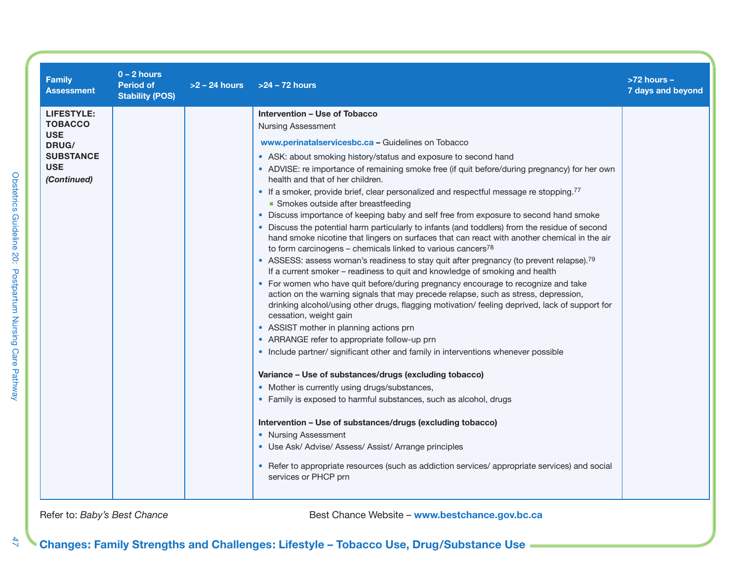| <b>Family</b><br><b>Assessment</b> | $0 - 2$ hours<br><b>Period of</b><br><b>Stability (POS)</b> | $>2 - 24$ hours | $>24 - 72$ hours                                                                                                                                                                                                                                                                                     | $>72$ hours -<br>7 days and beyond |
|------------------------------------|-------------------------------------------------------------|-----------------|------------------------------------------------------------------------------------------------------------------------------------------------------------------------------------------------------------------------------------------------------------------------------------------------------|------------------------------------|
| <b>LIFESTYLE:</b>                  |                                                             |                 | Intervention - Use of Tobacco                                                                                                                                                                                                                                                                        |                                    |
| <b>TOBACCO</b>                     |                                                             |                 | <b>Nursing Assessment</b>                                                                                                                                                                                                                                                                            |                                    |
| <b>USE</b><br>DRUG/                |                                                             |                 | www.perinatalservicesbc.ca - Guidelines on Tobacco                                                                                                                                                                                                                                                   |                                    |
| <b>SUBSTANCE</b><br><b>USE</b>     |                                                             |                 | • ASK: about smoking history/status and exposure to second hand<br>• ADVISE: re importance of remaining smoke free (if quit before/during pregnancy) for her own                                                                                                                                     |                                    |
| (Continued)                        |                                                             |                 | health and that of her children.                                                                                                                                                                                                                                                                     |                                    |
|                                    |                                                             |                 | • If a smoker, provide brief, clear personalized and respectful message re stopping. <sup>77</sup><br>• Smokes outside after breastfeeding                                                                                                                                                           |                                    |
|                                    |                                                             |                 | • Discuss importance of keeping baby and self free from exposure to second hand smoke                                                                                                                                                                                                                |                                    |
|                                    |                                                             |                 | • Discuss the potential harm particularly to infants (and toddlers) from the residue of second<br>hand smoke nicotine that lingers on surfaces that can react with another chemical in the air<br>to form carcinogens – chemicals linked to various cancers <sup>78</sup>                            |                                    |
|                                    |                                                             |                 | • ASSESS: assess woman's readiness to stay quit after pregnancy (to prevent relapse). <sup>79</sup><br>If a current smoker – readiness to quit and knowledge of smoking and health                                                                                                                   |                                    |
|                                    |                                                             |                 | • For women who have quit before/during pregnancy encourage to recognize and take<br>action on the warning signals that may precede relapse, such as stress, depression,<br>drinking alcohol/using other drugs, flagging motivation/ feeling deprived, lack of support for<br>cessation, weight gain |                                    |
|                                    |                                                             |                 | • ASSIST mother in planning actions prn                                                                                                                                                                                                                                                              |                                    |
|                                    |                                                             |                 | • ARRANGE refer to appropriate follow-up prn                                                                                                                                                                                                                                                         |                                    |
|                                    |                                                             |                 | • Include partner/ significant other and family in interventions whenever possible                                                                                                                                                                                                                   |                                    |
|                                    |                                                             |                 | Variance - Use of substances/drugs (excluding tobacco)                                                                                                                                                                                                                                               |                                    |
|                                    |                                                             |                 | • Mother is currently using drugs/substances,                                                                                                                                                                                                                                                        |                                    |
|                                    |                                                             |                 | • Family is exposed to harmful substances, such as alcohol, drugs                                                                                                                                                                                                                                    |                                    |
|                                    |                                                             |                 | Intervention - Use of substances/drugs (excluding tobacco)                                                                                                                                                                                                                                           |                                    |
|                                    |                                                             |                 | • Nursing Assessment                                                                                                                                                                                                                                                                                 |                                    |
|                                    |                                                             |                 | • Use Ask/ Advise/ Assess/ Assist/ Arrange principles                                                                                                                                                                                                                                                |                                    |
|                                    |                                                             |                 | • Refer to appropriate resources (such as addiction services/ appropriate services) and social<br>services or PHCP prn                                                                                                                                                                               |                                    |
|                                    |                                                             |                 |                                                                                                                                                                                                                                                                                                      |                                    |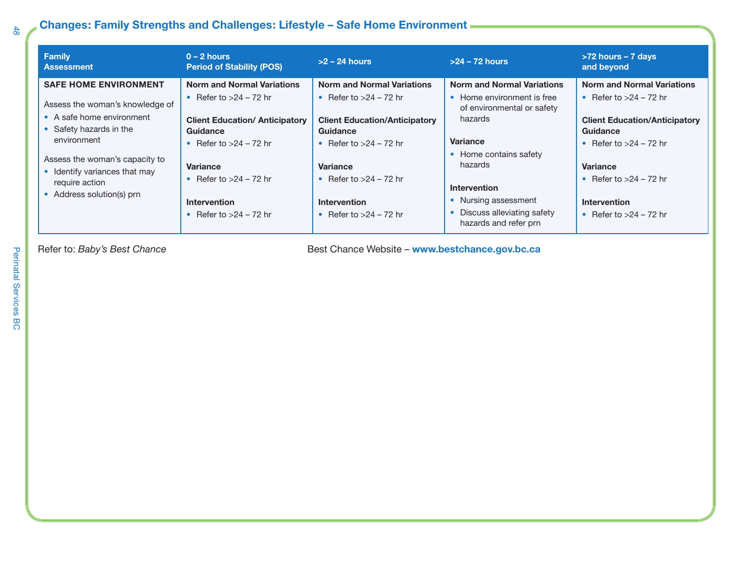### **Changes: Family Strengths and Challenges: Lifestyle – Safe Home Environment**

| Family<br><b>Assessment</b>                                                                                                                                                                                                                              | $0 - 2$ hours<br><b>Period of Stability (POS)</b>                                                                                                                                                                                         | $>2 - 24$ hours                                                                                                                                                                                                                                                                             | $>24 - 72$ hours                                                                                                                                                                                                                                                         | >72 hours - 7 days<br>and beyond                                                                                                                                                                                                         |
|----------------------------------------------------------------------------------------------------------------------------------------------------------------------------------------------------------------------------------------------------------|-------------------------------------------------------------------------------------------------------------------------------------------------------------------------------------------------------------------------------------------|---------------------------------------------------------------------------------------------------------------------------------------------------------------------------------------------------------------------------------------------------------------------------------------------|--------------------------------------------------------------------------------------------------------------------------------------------------------------------------------------------------------------------------------------------------------------------------|------------------------------------------------------------------------------------------------------------------------------------------------------------------------------------------------------------------------------------------|
| <b>SAFE HOME ENVIRONMENT</b><br>Assess the woman's knowledge of<br>• A safe home environment<br>• Safety hazards in the<br>environment<br>Assess the woman's capacity to<br>• Identify variances that may<br>require action<br>• Address solution(s) prn | <b>Norm and Normal Variations</b><br>• Refer to $>24$ – 72 hr<br><b>Client Education/ Anticipatory</b><br>Guidance<br>• Refer to $>24$ – 72 hr<br>Variance<br>• Refer to $>24$ – 72 hr<br><b>Intervention</b><br>• Refer to $>24$ – 72 hr | <b>Norm and Normal Variations</b><br>Refer to $>24$ – 72 hr<br>$\bullet$<br><b>Client Education/Anticipatory</b><br>Guidance<br>Refer to $>24$ – 72 hr<br>$\bullet$<br><b>Variance</b><br>Refer to $>24$ – 72 hr<br>$\bullet$<br><b>Intervention</b><br>Refer to $>24$ – 72 hr<br>$\bullet$ | <b>Norm and Normal Variations</b><br>• Home environment is free<br>of environmental or safety<br>hazards<br><b>Variance</b><br>• Home contains safety<br>hazards<br><b>Intervention</b><br>• Nursing assessment<br>• Discuss alleviating safety<br>hazards and refer prn | <b>Norm and Normal Variations</b><br>• Refer to $>24$ – 72 hr<br><b>Client Education/Anticipatory</b><br>Guidance<br>• Refer to $>24$ – 72 hr<br>Variance<br>• Refer to $>24$ – 72 hr<br><b>Intervention</b><br>• Refer to $>24$ – 72 hr |

Refer to: *Baby's Best Chance* **Best Chance** *Best Chance Website* – **www.bestchance.gov.bc.ca**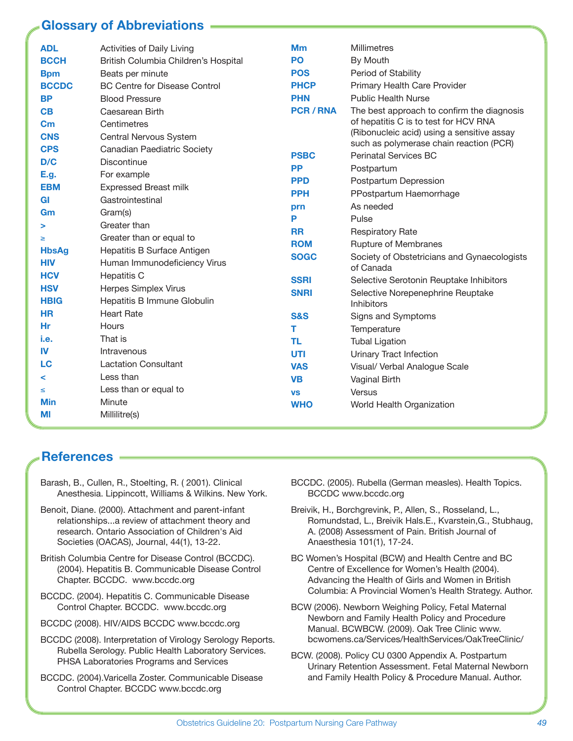### **Glossary of Abbreviations**

| <b>ADL</b><br><b>BCCH</b><br><b>Bpm</b> | Activities of Daily Living<br>British Columbia Children's Hospital<br>Beats per minute | <b>Mm</b><br>PO<br><b>POS</b> | <b>Millimetres</b><br>By Mouth<br>Period of Stability                               |
|-----------------------------------------|----------------------------------------------------------------------------------------|-------------------------------|-------------------------------------------------------------------------------------|
| <b>BCCDC</b>                            | <b>BC Centre for Disease Control</b>                                                   | <b>PHCP</b>                   | Primary Health Care Provider                                                        |
| <b>BP</b>                               | <b>Blood Pressure</b>                                                                  | <b>PHN</b>                    | <b>Public Health Nurse</b>                                                          |
| CB                                      | Caesarean Birth                                                                        | <b>PCR/RNA</b>                | The best approach to confirm the diagnosis                                          |
| $\mathbf{C}$ m                          | Centimetres                                                                            |                               | of hepatitis C is to test for HCV RNA<br>(Ribonucleic acid) using a sensitive assay |
| <b>CNS</b>                              | Central Nervous System                                                                 |                               | such as polymerase chain reaction (PCR)                                             |
| <b>CPS</b>                              | Canadian Paediatric Society                                                            | <b>PSBC</b>                   | Perinatal Services BC                                                               |
| D/C                                     | <b>Discontinue</b>                                                                     | <b>PP</b>                     | Postpartum                                                                          |
| E.g.<br><b>EBM</b>                      | For example<br><b>Expressed Breast milk</b>                                            | <b>PPD</b>                    | Postpartum Depression                                                               |
| <b>GI</b>                               | Gastrointestinal                                                                       | <b>PPH</b>                    | PPostpartum Haemorrhage                                                             |
| Gm                                      | Gram(s)                                                                                | prn                           | As needed                                                                           |
| >                                       | Greater than                                                                           | P                             | Pulse                                                                               |
| ≥                                       | Greater than or equal to                                                               | <b>RR</b>                     | <b>Respiratory Rate</b>                                                             |
| <b>HbsAg</b>                            | Hepatitis B Surface Antigen                                                            | <b>ROM</b>                    | Rupture of Membranes                                                                |
| <b>HIV</b>                              | Human Immunodeficiency Virus                                                           | <b>SOGC</b>                   | Society of Obstetricians and Gynaecologists<br>of Canada                            |
| <b>HCV</b>                              | <b>Hepatitis C</b>                                                                     | <b>SSRI</b>                   | Selective Serotonin Reuptake Inhibitors                                             |
| <b>HSV</b>                              | Herpes Simplex Virus                                                                   | <b>SNRI</b>                   | Selective Norepenephrine Reuptake                                                   |
| <b>HBIG</b>                             | Hepatitis B Immune Globulin                                                            |                               | <b>Inhibitors</b>                                                                   |
| <b>HR</b>                               | <b>Heart Rate</b>                                                                      | <b>S&amp;S</b>                | Signs and Symptoms                                                                  |
| Hr                                      | Hours                                                                                  | т                             | Temperature                                                                         |
| i.e.                                    | That is                                                                                | TL                            | <b>Tubal Ligation</b>                                                               |
| IV                                      | Intravenous                                                                            | UTI                           | Urinary Tract Infection                                                             |
| LC                                      | <b>Lactation Consultant</b>                                                            | <b>VAS</b>                    | Visual/ Verbal Analogue Scale                                                       |
| ≺                                       | Less than                                                                              | <b>VB</b>                     | Vaginal Birth                                                                       |
| ≤                                       | Less than or equal to                                                                  | <b>VS</b>                     | Versus                                                                              |
| Min                                     | Minute                                                                                 | <b>WHO</b>                    | World Health Organization                                                           |
| MI                                      | Millilitre(s)                                                                          |                               |                                                                                     |

### **References**

- Barash, B., Cullen, R., Stoelting, R. ( 2001). Clinical Anesthesia. Lippincott, Williams & Wilkins. New York.
- Benoit, Diane. (2000). Attachment and parent-infant relationships...a review of attachment theory and research. Ontario Association of Children's Aid Societies (OACAS), Journal, 44(1), 13-22.
- British Columbia Centre for Disease Control (BCCDC). (2004). Hepatitis B. Communicable Disease Control Chapter. BCCDC. www.bccdc.org
- BCCDC. (2004). Hepatitis C. Communicable Disease Control Chapter. BCCDC. www.bccdc.org
- BCCDC (2008). HIV/AIDS BCCDC www.bccdc.org
- BCCDC (2008). Interpretation of Virology Serology Reports. Rubella Serology. Public Health Laboratory Services. PHSA Laboratories Programs and Services
- BCCDC. (2004).Varicella Zoster. Communicable Disease Control Chapter. BCCDC www.bccdc.org
- BCCDC. (2005). Rubella (German measles). Health Topics. BCCDC www.bccdc.org
- Breivik, H., Borchgrevink, P., Allen, S., Rosseland, L., Romundstad, L., Breivik Hals.E., Kvarstein,G., Stubhaug, A. (2008) Assessment of Pain. British Journal of Anaesthesia 101(1), 17-24.
- BC Women's Hospital (BCW) and Health Centre and BC Centre of Excellence for Women's Health (2004). Advancing the Health of Girls and Women in British Columbia: A Provincial Women's Health Strategy. Author.
- BCW (2006). Newborn Weighing Policy, Fetal Maternal Newborn and Family Health Policy and Procedure Manual. BCWBCW. (2009). Oak Tree Clinic www. bcwomens.ca/Services/HealthServices/OakTreeClinic/
- BCW. (2008). Policy CU 0300 Appendix A. Postpartum Urinary Retention Assessment. Fetal Maternal Newborn and Family Health Policy & Procedure Manual. Author.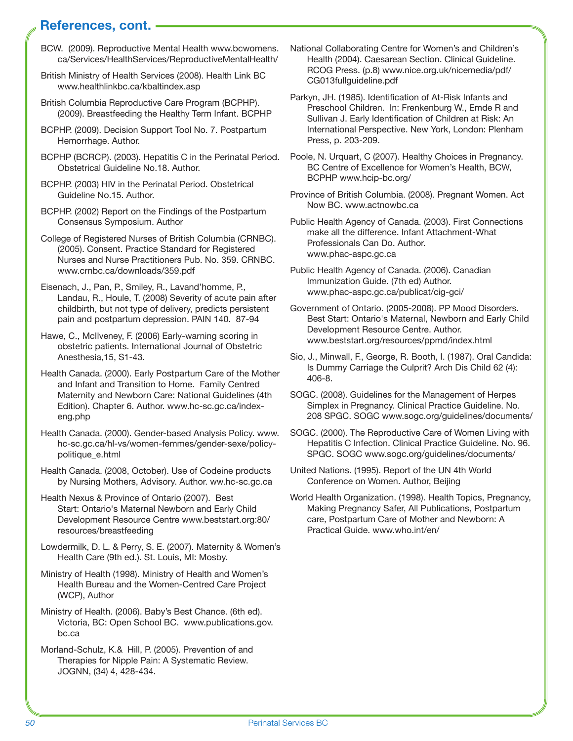### **References, cont.**

- BCW. (2009). Reproductive Mental Health www.bcwomens. ca/Services/HealthServices/ReproductiveMentalHealth/
- British Ministry of Health Services (2008). Health Link BC www.healthlinkbc.ca/kbaltindex.asp
- British Columbia Reproductive Care Program (BCPHP). (2009). Breastfeeding the Healthy Term Infant. BCPHP
- BCPHP. (2009). Decision Support Tool No. 7. Postpartum Hemorrhage. Author.
- BCPHP (BCRCP). (2003). Hepatitis C in the Perinatal Period. Obstetrical Guideline No.18. Author.
- BCPHP. (2003) HIV in the Perinatal Period. Obstetrical Guideline No.15. Author.
- BCPHP. (2002) Report on the Findings of the Postpartum Consensus Symposium. Author
- College of Registered Nurses of British Columbia (CRNBC). (2005). Consent. Practice Standard for Registered Nurses and Nurse Practitioners Pub. No. 359. CRNBC. www.crnbc.ca/downloads/359.pdf
- Eisenach, J., Pan, P., Smiley, R., Lavand'homme, P., Landau, R., Houle, T. (2008) Severity of acute pain after childbirth, but not type of delivery, predicts persistent pain and postpartum depression. PAIN 140. 87-94
- Hawe, C., McIlveney, F. (2006) Early-warning scoring in obstetric patients. International Journal of Obstetric Anesthesia,15, S1-43.
- Health Canada. (2000). Early Postpartum Care of the Mother and Infant and Transition to Home. Family Centred Maternity and Newborn Care: National Guidelines (4th Edition). Chapter 6. Author. www.hc-sc.gc.ca/indexeng.php
- Health Canada. (2000). Gender-based Analysis Policy. www. hc-sc.gc.ca/hl-vs/women-femmes/gender-sexe/policypolitique\_e.html
- Health Canada. (2008, October). Use of Codeine products by Nursing Mothers, Advisory. Author. ww.hc-sc.gc.ca
- Health Nexus & Province of Ontario (2007). Best Start: Ontario's Maternal Newborn and Early Child Development Resource Centre www.beststart.org:80/ resources/breastfeeding
- Lowdermilk, D. L. & Perry, S. E. (2007). Maternity & Women's Health Care (9th ed.). St. Louis, MI: Mosby.
- Ministry of Health (1998). Ministry of Health and Women's Health Bureau and the Women-Centred Care Project (WCP), Author
- Ministry of Health. (2006). Baby's Best Chance. (6th ed). Victoria, BC: Open School BC. www.publications.gov. bc.ca
- Morland-Schulz, K.& Hill, P. (2005). Prevention of and Therapies for Nipple Pain: A Systematic Review. JOGNN, (34) 4, 428-434.
- National Collaborating Centre for Women's and Children's Health (2004). Caesarean Section. Clinical Guideline. RCOG Press. (p.8) www.nice.org.uk/nicemedia/pdf/ CG013fullguideline.pdf
- Parkyn, JH. (1985). Identification of At-Risk Infants and Preschool Children. In: Frenkenburg W., Emde R and Sullivan J. Early Identification of Children at Risk: An International Perspective. New York, London: Plenham Press, p. 203-209.
- Poole, N. Urquart, C (2007). Healthy Choices in Pregnancy. BC Centre of Excellence for Women's Health, BCW, BCPHP www.hcip-bc.org/
- Province of British Columbia. (2008). Pregnant Women. Act Now BC. www.actnowbc.ca
- Public Health Agency of Canada. (2003). First Connections make all the difference. Infant Attachment-What Professionals Can Do. Author. www.phac-aspc.gc.ca
- Public Health Agency of Canada. (2006). Canadian Immunization Guide. (7th ed) Author. www.phac-aspc.gc.ca/publicat/cig-gci/
- Government of Ontario. (2005-2008). PP Mood Disorders. Best Start: Ontario's Maternal, Newborn and Early Child Development Resource Centre. Author. www.beststart.org/resources/ppmd/index.html
- Sio, J., Minwall, F., George, R. Booth, I. (1987). Oral Candida: Is Dummy Carriage the Culprit? Arch Dis Child 62 (4): 406-8.
- SOGC. (2008). Guidelines for the Management of Herpes Simplex in Pregnancy. Clinical Practice Guideline. No. 208 SPGC. SOGC www.sogc.org/guidelines/documents/
- SOGC. (2000). The Reproductive Care of Women Living with Hepatitis C Infection. Clinical Practice Guideline. No. 96. SPGC. SOGC www.sogc.org/guidelines/documents/
- United Nations. (1995). Report of the UN 4th World Conference on Women. Author, Beijing
- World Health Organization. (1998). Health Topics, Pregnancy, Making Pregnancy Safer, All Publications, Postpartum care, Postpartum Care of Mother and Newborn: A Practical Guide. www.who.int/en/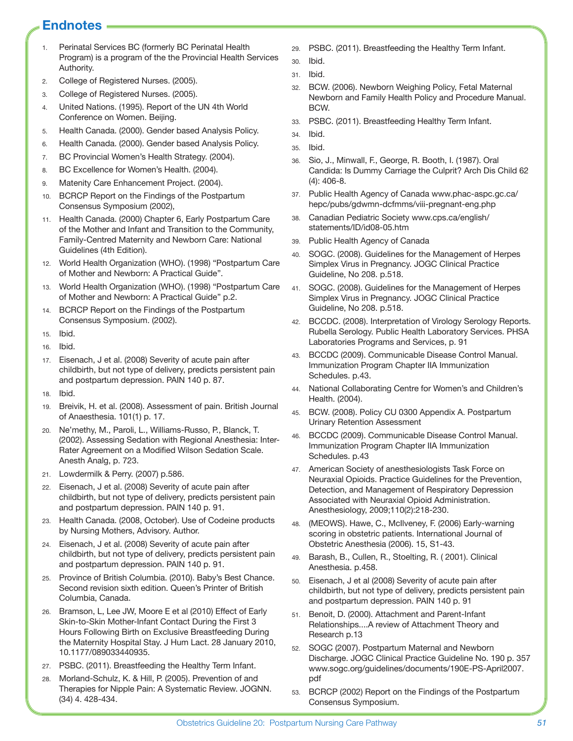### **Endnotes**

- 1. Perinatal Services BC (formerly BC Perinatal Health Program) is a program of the the Provincial Health Services Authority.
- 2. College of Registered Nurses. (2005).
- 3. College of Registered Nurses. (2005).
- 4. United Nations. (1995). Report of the UN 4th World Conference on Women. Beijing.
- 5. Health Canada. (2000). Gender based Analysis Policy.
- 6. Health Canada. (2000). Gender based Analysis Policy.
- 7. BC Provincial Women's Health Strategy. (2004).
- 8. BC Excellence for Women's Health. (2004).
- 9. Matenity Care Enhancement Project. (2004).
- 10. BCRCP Report on the Findings of the Postpartum Consensus Symposium (2002),
- 11. Health Canada. (2000) Chapter 6, Early Postpartum Care of the Mother and Infant and Transition to the Community, Family-Centred Maternity and Newborn Care: National Guidelines (4th Edition).
- 12. World Health Organization (WHO). (1998) "Postpartum Care of Mother and Newborn: A Practical Guide".
- 13. World Health Organization (WHO). (1998) "Postpartum Care of Mother and Newborn: A Practical Guide" p.2.
- 14. BCRCP Report on the Findings of the Postpartum Consensus Symposium. (2002).
- 15. Ibid.
- 16. Ibid.
- 17. Eisenach, J et al. (2008) Severity of acute pain after childbirth, but not type of delivery, predicts persistent pain and postpartum depression. PAIN 140 p. 87.
- 18. Ibid.
- 19. Breivik, H. et al. (2008). Assessment of pain. British Journal of Anaesthesia. 101(1) p. 17.
- 20. Ne'methy, M., Paroli, L., Williams-Russo, P., Blanck, T. (2002). Assessing Sedation with Regional Anesthesia: Inter-Rater Agreement on a Modified Wilson Sedation Scale. Anesth Analg, p. 723.
- 21. Lowdermilk & Perry. (2007) p.586.
- 22. Eisenach, J et al. (2008) Severity of acute pain after childbirth, but not type of delivery, predicts persistent pain and postpartum depression. PAIN 140 p. 91.
- 23. Health Canada. (2008, October). Use of Codeine products by Nursing Mothers, Advisory. Author.
- 24. Eisenach, J et al. (2008) Severity of acute pain after childbirth, but not type of delivery, predicts persistent pain and postpartum depression. PAIN 140 p. 91.
- 25. Province of British Columbia. (2010). Baby's Best Chance. Second revision sixth edition. Queen's Printer of British Columbia, Canada.
- 26. Bramson, L, Lee JW, Moore E et al (2010) Effect of Early Skin-to-Skin Mother-Infant Contact During the First 3 Hours Following Birth on Exclusive Breastfeeding During the Maternity Hospital Stay. J Hum Lact. 28 January 2010, 10.1177/089033440935.
- 27. PSBC. (2011). Breastfeeding the Healthy Term Infant.
- 28. Morland-Schulz, K. & Hill, P. (2005). Prevention of and Therapies for Nipple Pain: A Systematic Review. JOGNN. (34) 4. 428-434.
- 29. PSBC. (2011). Breastfeeding the Healthy Term Infant.
- 30. Ibid.
- 31. Ibid.
- 32. BCW. (2006). Newborn Weighing Policy, Fetal Maternal Newborn and Family Health Policy and Procedure Manual. BCW.
- 33. PSBC. (2011). Breastfeeding Healthy Term Infant.
- 34. Ibid.
- 35. Ibid.
- 36. Sio, J., Minwall, F., George, R. Booth, I. (1987). Oral Candida: Is Dummy Carriage the Culprit? Arch Dis Child 62 (4): 406-8.
- 37. Public Health Agency of Canada www.phac-aspc.gc.ca/ hepc/pubs/gdwmn-dcfmms/viii-pregnant-eng.php
- 38. Canadian Pediatric Society www.cps.ca/english/ statements/ID/id08-05.htm
- 39. Public Health Agency of Canada
- 40. SOGC. (2008). Guidelines for the Management of Herpes Simplex Virus in Pregnancy. JOGC Clinical Practice Guideline, No 208. p.518.
- 41. SOGC. (2008). Guidelines for the Management of Herpes Simplex Virus in Pregnancy. JOGC Clinical Practice Guideline, No 208. p.518.
- 42. BCCDC. (2008). Interpretation of Virology Serology Reports. Rubella Serology. Public Health Laboratory Services. PHSA Laboratories Programs and Services, p. 91
- 43. BCCDC (2009). Communicable Disease Control Manual. Immunization Program Chapter IIA Immunization Schedules. p.43.
- 44. National Collaborating Centre for Women's and Children's Health. (2004).
- 45. BCW. (2008). Policy CU 0300 Appendix A. Postpartum Urinary Retention Assessment
- 46. BCCDC (2009). Communicable Disease Control Manual. Immunization Program Chapter IIA Immunization Schedules. p.43
- 47. American Society of anesthesiologists Task Force on Neuraxial Opioids. Practice Guidelines for the Prevention, Detection, and Management of Respiratory Depression Associated with Neuraxial Opioid Administration. Anesthesiology, 2009;110(2):218-230.
- 48. (MEOWS). Hawe, C., McIlveney, F. (2006) Early-warning scoring in obstetric patients. International Journal of Obstetric Anesthesia (2006). 15, S1-43.
- 49. Barash, B., Cullen, R., Stoelting, R. ( 2001). Clinical Anesthesia. p.458.
- 50. Eisenach, J et al (2008) Severity of acute pain after childbirth, but not type of delivery, predicts persistent pain and postpartum depression. PAIN 140 p. 91
- 51. Benoit, D. (2000). Attachment and Parent-Infant Relationships....A review of Attachment Theory and Research p.13
- 52. SOGC (2007). Postpartum Maternal and Newborn Discharge. JOGC Clinical Practice Guideline No. 190 p. 357 www.sogc.org/guidelines/documents/190E-PS-April2007. pdf
- 53. BCRCP (2002) Report on the Findings of the Postpartum Consensus Symposium.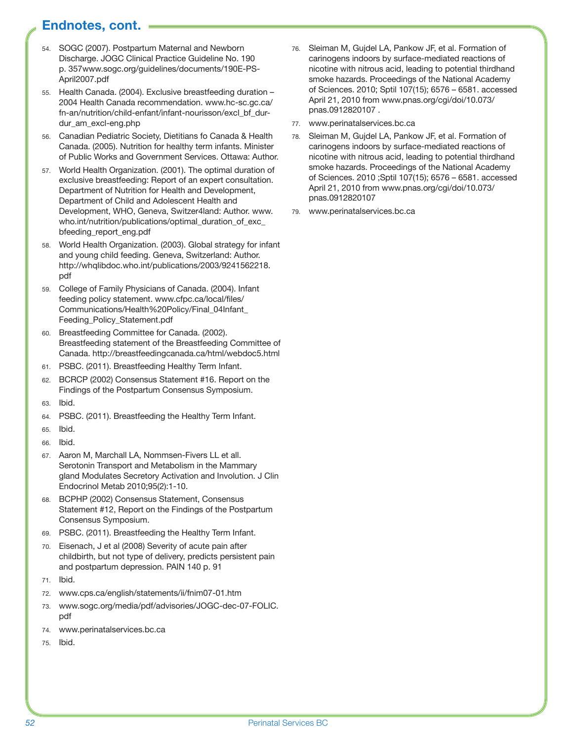### **Endnotes, cont.**

- 54. SOGC (2007). Postpartum Maternal and Newborn Discharge. JOGC Clinical Practice Guideline No. 190 p. 357www.sogc.org/guidelines/documents/190E-PS-April2007.pdf
- 55. Health Canada. (2004). Exclusive breastfeeding duration 2004 Health Canada recommendation. www.hc-sc.gc.ca/ fn-an/nutrition/child-enfant/infant-nourisson/excl\_bf\_durdur\_am\_excl-eng.php
- 56. Canadian Pediatric Society, Dietitians fo Canada & Health Canada. (2005). Nutrition for healthy term infants. Minister of Public Works and Government Services. Ottawa: Author.
- 57. World Health Organization. (2001). The optimal duration of exclusive breastfeeding: Report of an expert consultation. Department of Nutrition for Health and Development, Department of Child and Adolescent Health and Development, WHO, Geneva, Switzer4land: Author. www. who.int/nutrition/publications/optimal\_duration\_of\_exc\_ bfeeding\_report\_eng.pdf
- 58. World Health Organization. (2003). Global strategy for infant and young child feeding. Geneva, Switzerland: Author. http://whqlibdoc.who.int/publications/2003/9241562218. pdf
- 59. College of Family Physicians of Canada. (2004). Infant feeding policy statement. www.cfpc.ca/local/files/ Communications/Health%20Policy/Final\_04Infant\_ Feeding\_Policy\_Statement.pdf
- 60. Breastfeeding Committee for Canada. (2002). Breastfeeding statement of the Breastfeeding Committee of Canada. http://breastfeedingcanada.ca/html/webdoc5.html
- 61. PSBC. (2011). Breastfeeding Healthy Term Infant.
- 62. BCRCP (2002) Consensus Statement #16. Report on the Findings of the Postpartum Consensus Symposium.
- 63. Ibid.
- 64. PSBC. (2011). Breastfeeding the Healthy Term Infant.
- 65. Ibid.
- 66. Ibid.
- 67. Aaron M, Marchall LA, Nommsen-Fivers LL et all.
- Serotonin Transport and Metabolism in the Mammary gland Modulates Secretory Activation and Involution. J Clin Endocrinol Metab 2010;95(2):1-10.
- 68. BCPHP (2002) Consensus Statement, Consensus Statement #12, Report on the Findings of the Postpartum Consensus Symposium.
- 69. PSBC. (2011). Breastfeeding the Healthy Term Infant.
- 70. Eisenach, J et al (2008) Severity of acute pain after childbirth, but not type of delivery, predicts persistent pain and postpartum depression. PAIN 140 p. 91
- 71. Ibid.
- 72. www.cps.ca/english/statements/ii/fnim07-01.htm
- 73. www.sogc.org/media/pdf/advisories/JOGC-dec-07-FOLIC. pdf
- 74. www.perinatalservices.bc.ca
- 75. Ibid.
- 76. Sleiman M, Gujdel LA, Pankow JF, et al. Formation of carinogens indoors by surface-mediated reactions of nicotine with nitrous acid, leading to potential thirdhand smoke hazards. Proceedings of the National Academy of Sciences. 2010; Sptil 107(15); 6576 – 6581. accessed April 21, 2010 from www.pnas.org/cgi/doi/10.073/ pnas.0912820107 .
- 77. www.perinatalservices.bc.ca
- 78. Sleiman M, Gujdel LA, Pankow JF, et al. Formation of carinogens indoors by surface-mediated reactions of nicotine with nitrous acid, leading to potential thirdhand smoke hazards. Proceedings of the National Academy of Sciences. 2010 ;Sptil 107(15); 6576 – 6581. accessed April 21, 2010 from www.pnas.org/cgi/doi/10.073/ pnas.0912820107
- 79. www.perinatalservices.bc.ca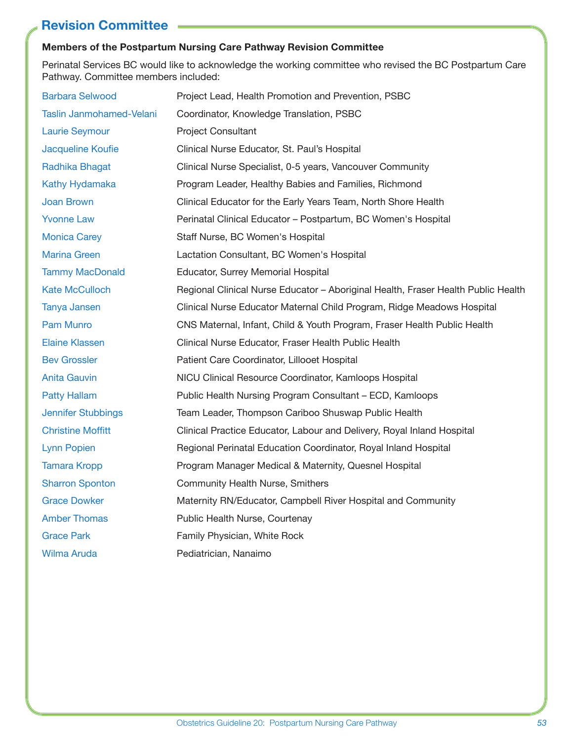### **Revision Committee**

#### **Members of the Postpartum Nursing Care Pathway Revision Committee**

Perinatal Services BC would like to acknowledge the working committee who revised the BC Postpartum Care Pathway. Committee members included:

| <b>Barbara Selwood</b>   | Project Lead, Health Promotion and Prevention, PSBC                               |
|--------------------------|-----------------------------------------------------------------------------------|
| Taslin Janmohamed-Velani | Coordinator, Knowledge Translation, PSBC                                          |
| <b>Laurie Seymour</b>    | <b>Project Consultant</b>                                                         |
| Jacqueline Koufie        | Clinical Nurse Educator, St. Paul's Hospital                                      |
| Radhika Bhagat           | Clinical Nurse Specialist, 0-5 years, Vancouver Community                         |
| Kathy Hydamaka           | Program Leader, Healthy Babies and Families, Richmond                             |
| Joan Brown               | Clinical Educator for the Early Years Team, North Shore Health                    |
| <b>Yvonne Law</b>        | Perinatal Clinical Educator - Postpartum, BC Women's Hospital                     |
| <b>Monica Carey</b>      | Staff Nurse, BC Women's Hospital                                                  |
| <b>Marina Green</b>      | Lactation Consultant, BC Women's Hospital                                         |
| <b>Tammy MacDonald</b>   | Educator, Surrey Memorial Hospital                                                |
| <b>Kate McCulloch</b>    | Regional Clinical Nurse Educator - Aboriginal Health, Fraser Health Public Health |
| Tanya Jansen             | Clinical Nurse Educator Maternal Child Program, Ridge Meadows Hospital            |
| Pam Munro                | CNS Maternal, Infant, Child & Youth Program, Fraser Health Public Health          |
| <b>Elaine Klassen</b>    | Clinical Nurse Educator, Fraser Health Public Health                              |
| <b>Bev Grossler</b>      | Patient Care Coordinator, Lillooet Hospital                                       |
| <b>Anita Gauvin</b>      | NICU Clinical Resource Coordinator, Kamloops Hospital                             |
| <b>Patty Hallam</b>      | Public Health Nursing Program Consultant – ECD, Kamloops                          |
| Jennifer Stubbings       | Team Leader, Thompson Cariboo Shuswap Public Health                               |
| <b>Christine Moffitt</b> | Clinical Practice Educator, Labour and Delivery, Royal Inland Hospital            |
| <b>Lynn Popien</b>       | Regional Perinatal Education Coordinator, Royal Inland Hospital                   |
| <b>Tamara Kropp</b>      | Program Manager Medical & Maternity, Quesnel Hospital                             |
| <b>Sharron Sponton</b>   | <b>Community Health Nurse, Smithers</b>                                           |
| <b>Grace Dowker</b>      | Maternity RN/Educator, Campbell River Hospital and Community                      |
| <b>Amber Thomas</b>      | Public Health Nurse, Courtenay                                                    |
| <b>Grace Park</b>        | Family Physician, White Rock                                                      |
| <b>Wilma Aruda</b>       | Pediatrician, Nanaimo                                                             |